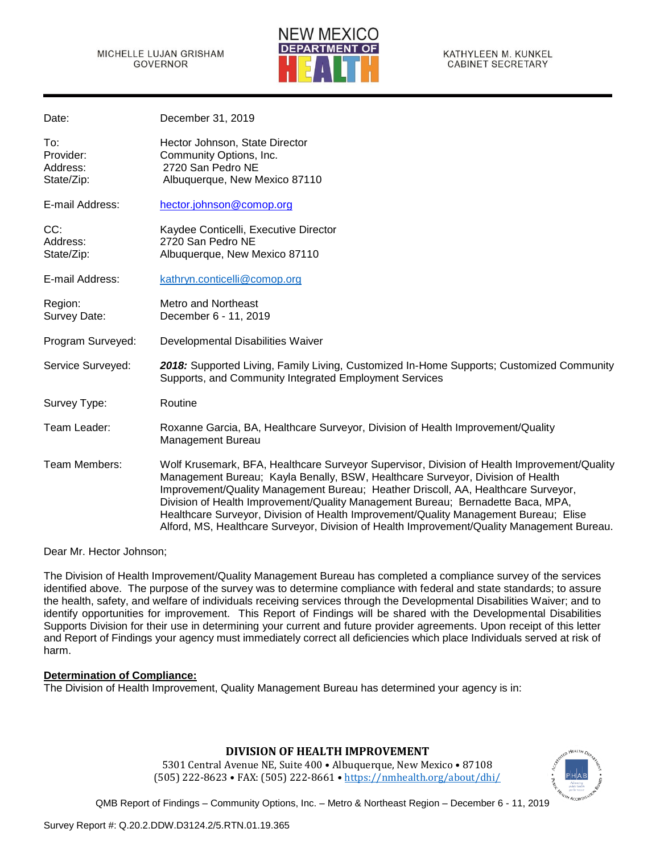Date: December 31, 2019



KATHYLEEN M. KUNKEL **CABINET SECRETARY** 

| Dale.                                      | December 21, 2019                                                                                                                                                                                                                                                                                                                                                                                                                                                                                                                           |
|--------------------------------------------|---------------------------------------------------------------------------------------------------------------------------------------------------------------------------------------------------------------------------------------------------------------------------------------------------------------------------------------------------------------------------------------------------------------------------------------------------------------------------------------------------------------------------------------------|
| To:<br>Provider:<br>Address:<br>State/Zip: | Hector Johnson, State Director<br>Community Options, Inc.<br>2720 San Pedro NE<br>Albuquerque, New Mexico 87110                                                                                                                                                                                                                                                                                                                                                                                                                             |
| E-mail Address:                            | hector.johnson@comop.org                                                                                                                                                                                                                                                                                                                                                                                                                                                                                                                    |
| CC:<br>Address:<br>State/Zip:              | Kaydee Conticelli, Executive Director<br>2720 San Pedro NE<br>Albuquerque, New Mexico 87110                                                                                                                                                                                                                                                                                                                                                                                                                                                 |
| E-mail Address:                            | kathryn.conticelli@comop.org                                                                                                                                                                                                                                                                                                                                                                                                                                                                                                                |
| Region:<br>Survey Date:                    | Metro and Northeast<br>December 6 - 11, 2019                                                                                                                                                                                                                                                                                                                                                                                                                                                                                                |
| Program Surveyed:                          | Developmental Disabilities Waiver                                                                                                                                                                                                                                                                                                                                                                                                                                                                                                           |
| Service Surveyed:                          | 2018: Supported Living, Family Living, Customized In-Home Supports; Customized Community<br>Supports, and Community Integrated Employment Services                                                                                                                                                                                                                                                                                                                                                                                          |
| Survey Type:                               | Routine                                                                                                                                                                                                                                                                                                                                                                                                                                                                                                                                     |
| Team Leader:                               | Roxanne Garcia, BA, Healthcare Surveyor, Division of Health Improvement/Quality<br><b>Management Bureau</b>                                                                                                                                                                                                                                                                                                                                                                                                                                 |
| Team Members:                              | Wolf Krusemark, BFA, Healthcare Surveyor Supervisor, Division of Health Improvement/Quality<br>Management Bureau; Kayla Benally, BSW, Healthcare Surveyor, Division of Health<br>Improvement/Quality Management Bureau; Heather Driscoll, AA, Healthcare Surveyor,<br>Division of Health Improvement/Quality Management Bureau; Bernadette Baca, MPA,<br>Healthcare Surveyor, Division of Health Improvement/Quality Management Bureau; Elise<br>Alford, MS, Healthcare Surveyor, Division of Health Improvement/Quality Management Bureau. |

Dear Mr. Hector Johnson;

The Division of Health Improvement/Quality Management Bureau has completed a compliance survey of the services identified above. The purpose of the survey was to determine compliance with federal and state standards; to assure the health, safety, and welfare of individuals receiving services through the Developmental Disabilities Waiver; and to identify opportunities for improvement. This Report of Findings will be shared with the Developmental Disabilities Supports Division for their use in determining your current and future provider agreements. Upon receipt of this letter and Report of Findings your agency must immediately correct all deficiencies which place Individuals served at risk of harm.

## **Determination of Compliance:**

The Division of Health Improvement, Quality Management Bureau has determined your agency is in:

## **DIVISION OF HEALTH IMPROVEMENT**

5301 Central Avenue NE, Suite 400 • Albuquerque, New Mexico • 87108 (505) 222-8623 • FAX: (505) 222-8661 • <https://nmhealth.org/about/dhi/>

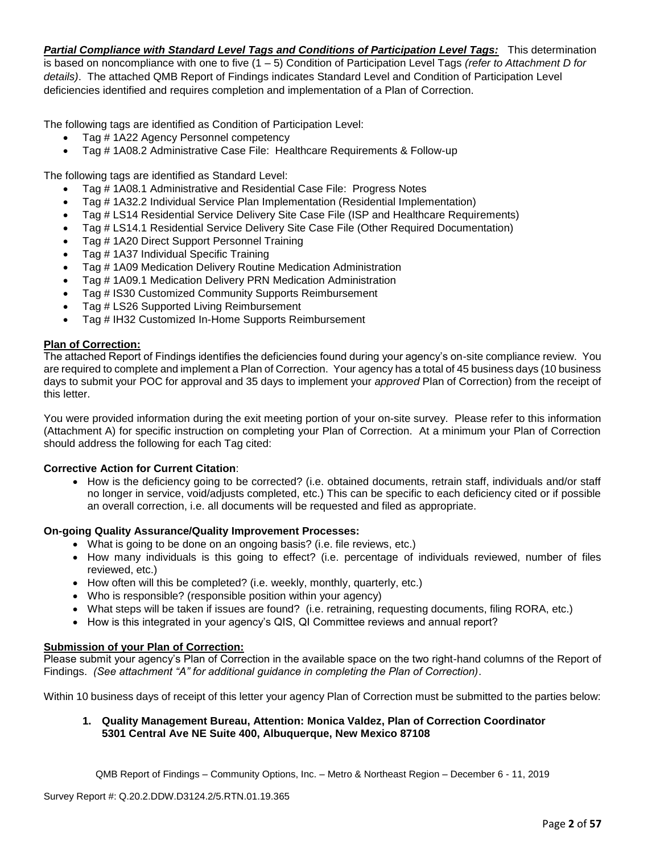*Partial Compliance with Standard Level Tags and Conditions of Participation Level Tags:* This determination is based on noncompliance with one to five (1 – 5) Condition of Participation Level Tags *(refer to Attachment D for details)*. The attached QMB Report of Findings indicates Standard Level and Condition of Participation Level deficiencies identified and requires completion and implementation of a Plan of Correction.

The following tags are identified as Condition of Participation Level:

- Tag # 1A22 Agency Personnel competency
- Tag # 1A08.2 Administrative Case File: Healthcare Requirements & Follow-up

The following tags are identified as Standard Level:

- Tag # 1A08.1 Administrative and Residential Case File: Progress Notes
- Tag # 1A32.2 Individual Service Plan Implementation (Residential Implementation)
- Tag # LS14 Residential Service Delivery Site Case File (ISP and Healthcare Requirements)
- Tag # LS14.1 Residential Service Delivery Site Case File (Other Required Documentation)
- Tag # 1A20 Direct Support Personnel Training
- Tag # 1A37 Individual Specific Training
- Tag # 1A09 Medication Delivery Routine Medication Administration
- Tag # 1A09.1 Medication Delivery PRN Medication Administration
- Tag # IS30 Customized Community Supports Reimbursement
- Tag # LS26 Supported Living Reimbursement
- Tag # IH32 Customized In-Home Supports Reimbursement

## **Plan of Correction:**

The attached Report of Findings identifies the deficiencies found during your agency's on-site compliance review. You are required to complete and implement a Plan of Correction. Your agency has a total of 45 business days (10 business days to submit your POC for approval and 35 days to implement your *approved* Plan of Correction) from the receipt of this letter.

You were provided information during the exit meeting portion of your on-site survey. Please refer to this information (Attachment A) for specific instruction on completing your Plan of Correction. At a minimum your Plan of Correction should address the following for each Tag cited:

## **Corrective Action for Current Citation**:

• How is the deficiency going to be corrected? (i.e. obtained documents, retrain staff, individuals and/or staff no longer in service, void/adjusts completed, etc.) This can be specific to each deficiency cited or if possible an overall correction, i.e. all documents will be requested and filed as appropriate.

## **On-going Quality Assurance/Quality Improvement Processes:**

- What is going to be done on an ongoing basis? (i.e. file reviews, etc.)
- How many individuals is this going to effect? (i.e. percentage of individuals reviewed, number of files reviewed, etc.)
- How often will this be completed? (i.e. weekly, monthly, quarterly, etc.)
- Who is responsible? (responsible position within your agency)
- What steps will be taken if issues are found? (i.e. retraining, requesting documents, filing RORA, etc.)
- How is this integrated in your agency's QIS, QI Committee reviews and annual report?

## **Submission of your Plan of Correction:**

Please submit your agency's Plan of Correction in the available space on the two right-hand columns of the Report of Findings. *(See attachment "A" for additional guidance in completing the Plan of Correction)*.

Within 10 business days of receipt of this letter your agency Plan of Correction must be submitted to the parties below:

## **1. Quality Management Bureau, Attention: Monica Valdez, Plan of Correction Coordinator 5301 Central Ave NE Suite 400, Albuquerque, New Mexico 87108**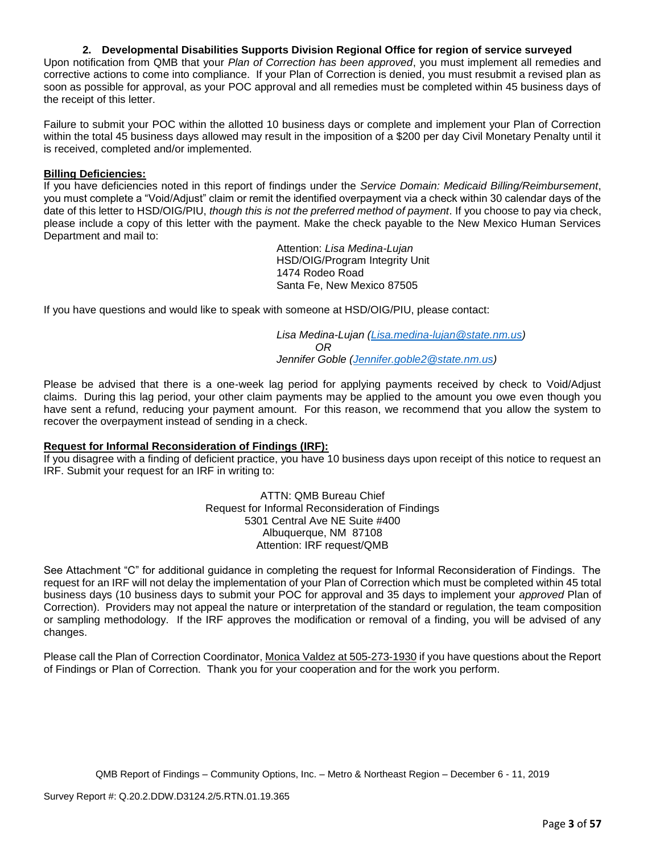## **2. Developmental Disabilities Supports Division Regional Office for region of service surveyed**

Upon notification from QMB that your *Plan of Correction has been approved*, you must implement all remedies and corrective actions to come into compliance. If your Plan of Correction is denied, you must resubmit a revised plan as soon as possible for approval, as your POC approval and all remedies must be completed within 45 business days of the receipt of this letter.

Failure to submit your POC within the allotted 10 business days or complete and implement your Plan of Correction within the total 45 business days allowed may result in the imposition of a \$200 per day Civil Monetary Penalty until it is received, completed and/or implemented.

#### **Billing Deficiencies:**

If you have deficiencies noted in this report of findings under the *Service Domain: Medicaid Billing/Reimbursement*, you must complete a "Void/Adjust" claim or remit the identified overpayment via a check within 30 calendar days of the date of this letter to HSD/OIG/PIU, *though this is not the preferred method of payment*. If you choose to pay via check, please include a copy of this letter with the payment. Make the check payable to the New Mexico Human Services Department and mail to:

> Attention: *Lisa Medina-Lujan* HSD/OIG/Program Integrity Unit 1474 Rodeo Road Santa Fe, New Mexico 87505

If you have questions and would like to speak with someone at HSD/OIG/PIU, please contact:

*Lisa Medina-Lujan [\(Lisa.medina-lujan@state.nm.us\)](mailto:Lisa.medina-lujan@state.nm.us) OR Jennifer Goble [\(Jennifer.goble2@state.nm.us\)](mailto:Jennifer.goble2@state.nm.us)*

Please be advised that there is a one-week lag period for applying payments received by check to Void/Adjust claims. During this lag period, your other claim payments may be applied to the amount you owe even though you have sent a refund, reducing your payment amount. For this reason, we recommend that you allow the system to recover the overpayment instead of sending in a check.

#### **Request for Informal Reconsideration of Findings (IRF):**

If you disagree with a finding of deficient practice, you have 10 business days upon receipt of this notice to request an IRF. Submit your request for an IRF in writing to:

> ATTN: QMB Bureau Chief Request for Informal Reconsideration of Findings 5301 Central Ave NE Suite #400 Albuquerque, NM 87108 Attention: IRF request/QMB

See Attachment "C" for additional guidance in completing the request for Informal Reconsideration of Findings. The request for an IRF will not delay the implementation of your Plan of Correction which must be completed within 45 total business days (10 business days to submit your POC for approval and 35 days to implement your *approved* Plan of Correction). Providers may not appeal the nature or interpretation of the standard or regulation, the team composition or sampling methodology. If the IRF approves the modification or removal of a finding, you will be advised of any changes.

Please call the Plan of Correction Coordinator, Monica Valdez at 505-273-1930 if you have questions about the Report of Findings or Plan of Correction. Thank you for your cooperation and for the work you perform.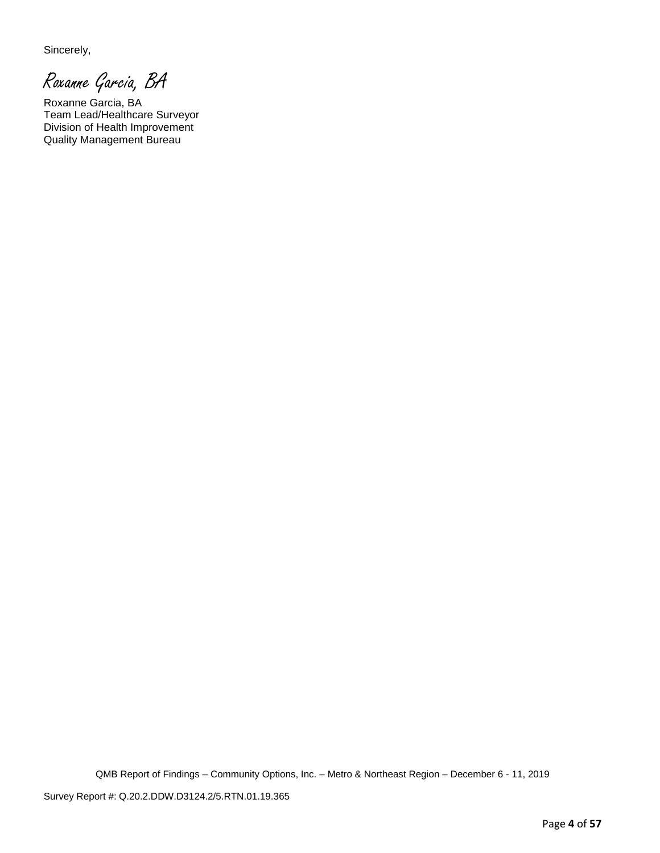Sincerely,

Roxanne Garcia, BA

Roxanne Garcia, BA Team Lead/Healthcare Surveyor Division of Health Improvement Quality Management Bureau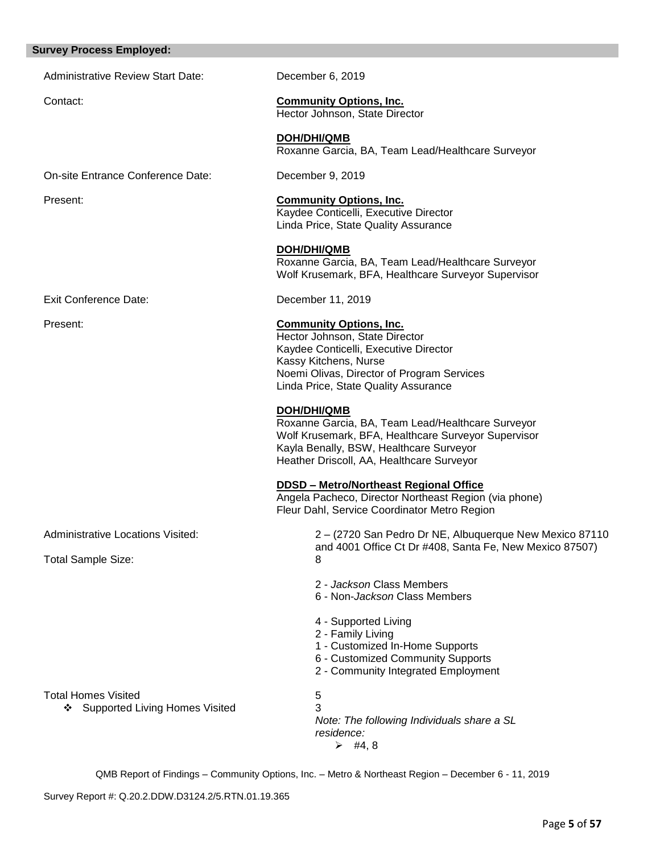#### **Survey Process Employed:**

Administrative Review Start Date: December 6, 2019

**DOH/DHI/QMB**

Contact: **Community Options, Inc.**  Hector Johnson, State Director

> Kaydee Conticelli, Executive Director Linda Price, State Quality Assurance

> Hector Johnson, State Director Kaydee Conticelli, Executive Director

Noemi Olivas, Director of Program Services Linda Price, State Quality Assurance

Kayla Benally, BSW, Healthcare Surveyor Heather Driscoll, AA, Healthcare Surveyor

**DDSD – Metro/Northeast Regional Office** 

Fleur Dahl, Service Coordinator Metro Region

2 - *Jackson* Class Members 6 - Non-*Jackson* Class Members

1 - Customized In-Home Supports 6 - Customized Community Supports 2 - Community Integrated Employment

4 - Supported Living 2 - Family Living

Kassy Kitchens, Nurse

**DOH/DHI/QMB**

**DOH/DHI/QMB** Roxanne Garcia, BA, Team Lead/Healthcare Surveyor

Roxanne Garcia, BA, Team Lead/Healthcare Surveyor Wolf Krusemark, BFA, Healthcare Surveyor Supervisor

Roxanne Garcia, BA, Team Lead/Healthcare Surveyor Wolf Krusemark, BFA, Healthcare Surveyor Supervisor

Angela Pacheco, Director Northeast Region (via phone)

and 4001 Office Ct Dr #408, Santa Fe, New Mexico 87507)

On-site Entrance Conference Date: December 9, 2019

Present: **Community Options, Inc.** 

Exit Conference Date: December 11, 2019

Present: **Community Options, Inc.**

Administrative Locations Visited: 2 – (2720 San Pedro Dr NE, Albuquerque New Mexico 87110

Total Sample Size: 8

Total Homes Visited 5

❖ Supported Living Homes Visited 3

*Note: The following Individuals share a SL residence:*

 $\geq$  #4, 8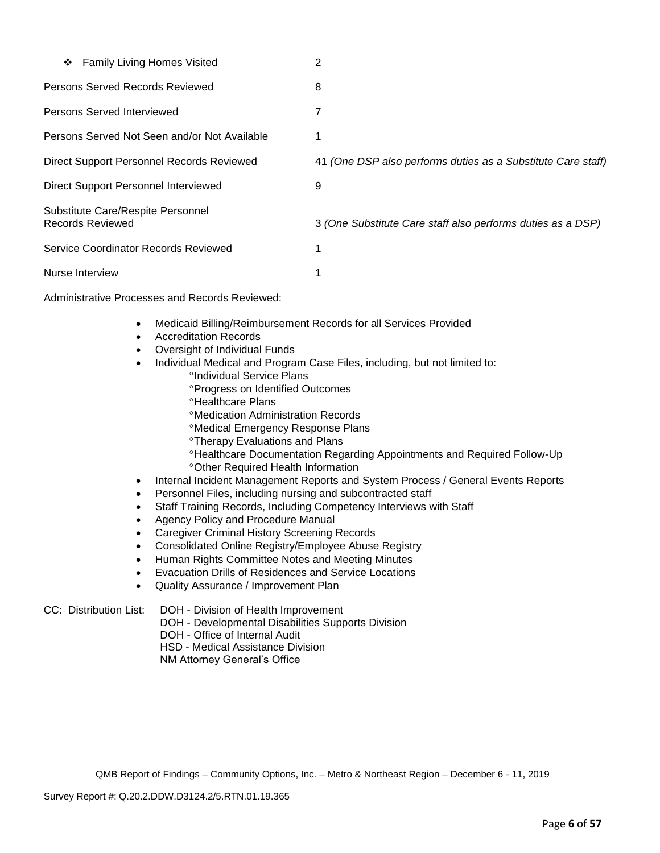| ❖ Family Living Homes Visited                         | 2                                                            |
|-------------------------------------------------------|--------------------------------------------------------------|
| Persons Served Records Reviewed                       | 8                                                            |
| Persons Served Interviewed                            | 7                                                            |
| Persons Served Not Seen and/or Not Available          |                                                              |
| Direct Support Personnel Records Reviewed             | 41 (One DSP also performs duties as a Substitute Care staff) |
| Direct Support Personnel Interviewed                  | 9                                                            |
| Substitute Care/Respite Personnel<br>Records Reviewed | 3 (One Substitute Care staff also performs duties as a DSP)  |
| Service Coordinator Records Reviewed                  | 1                                                            |
| Nurse Interview                                       | 1                                                            |

Administrative Processes and Records Reviewed:

- Medicaid Billing/Reimbursement Records for all Services Provided
- Accreditation Records
- Oversight of Individual Funds
- Individual Medical and Program Case Files, including, but not limited to:
	- <sup>o</sup>Individual Service Plans
	- **Progress on Identified Outcomes**
	- **<sup>o</sup>Healthcare Plans**
	- Medication Administration Records
	- Medical Emergency Response Plans
	- **Therapy Evaluations and Plans**
	- Healthcare Documentation Regarding Appointments and Required Follow-Up Other Required Health Information
- Internal Incident Management Reports and System Process / General Events Reports
- Personnel Files, including nursing and subcontracted staff
- Staff Training Records, Including Competency Interviews with Staff
- Agency Policy and Procedure Manual
- Caregiver Criminal History Screening Records
- Consolidated Online Registry/Employee Abuse Registry
- Human Rights Committee Notes and Meeting Minutes
- Evacuation Drills of Residences and Service Locations
- Quality Assurance / Improvement Plan

- CC: Distribution List: DOH Division of Health Improvement
	- DOH Developmental Disabilities Supports Division
	- DOH Office of Internal Audit
	- HSD Medical Assistance Division
	- NM Attorney General's Office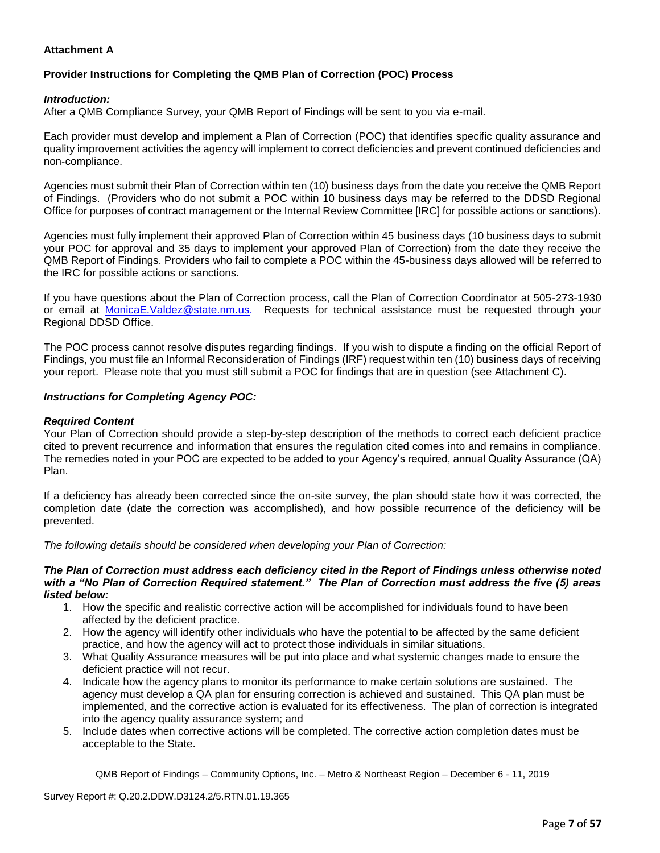## **Attachment A**

## **Provider Instructions for Completing the QMB Plan of Correction (POC) Process**

#### *Introduction:*

After a QMB Compliance Survey, your QMB Report of Findings will be sent to you via e-mail.

Each provider must develop and implement a Plan of Correction (POC) that identifies specific quality assurance and quality improvement activities the agency will implement to correct deficiencies and prevent continued deficiencies and non-compliance.

Agencies must submit their Plan of Correction within ten (10) business days from the date you receive the QMB Report of Findings. (Providers who do not submit a POC within 10 business days may be referred to the DDSD Regional Office for purposes of contract management or the Internal Review Committee [IRC] for possible actions or sanctions).

Agencies must fully implement their approved Plan of Correction within 45 business days (10 business days to submit your POC for approval and 35 days to implement your approved Plan of Correction) from the date they receive the QMB Report of Findings. Providers who fail to complete a POC within the 45-business days allowed will be referred to the IRC for possible actions or sanctions.

If you have questions about the Plan of Correction process, call the Plan of Correction Coordinator at 505-273-1930 or email at [MonicaE.Valdez@state.nm.us.](mailto:MonicaE.Valdez@state.nm.us) Requests for technical assistance must be requested through your Regional DDSD Office.

The POC process cannot resolve disputes regarding findings. If you wish to dispute a finding on the official Report of Findings, you must file an Informal Reconsideration of Findings (IRF) request within ten (10) business days of receiving your report. Please note that you must still submit a POC for findings that are in question (see Attachment C).

#### *Instructions for Completing Agency POC:*

#### *Required Content*

Your Plan of Correction should provide a step-by-step description of the methods to correct each deficient practice cited to prevent recurrence and information that ensures the regulation cited comes into and remains in compliance. The remedies noted in your POC are expected to be added to your Agency's required, annual Quality Assurance (QA) Plan.

If a deficiency has already been corrected since the on-site survey, the plan should state how it was corrected, the completion date (date the correction was accomplished), and how possible recurrence of the deficiency will be prevented.

*The following details should be considered when developing your Plan of Correction:*

#### *The Plan of Correction must address each deficiency cited in the Report of Findings unless otherwise noted with a "No Plan of Correction Required statement." The Plan of Correction must address the five (5) areas listed below:*

- 1. How the specific and realistic corrective action will be accomplished for individuals found to have been affected by the deficient practice.
- 2. How the agency will identify other individuals who have the potential to be affected by the same deficient practice, and how the agency will act to protect those individuals in similar situations.
- 3. What Quality Assurance measures will be put into place and what systemic changes made to ensure the deficient practice will not recur.
- 4. Indicate how the agency plans to monitor its performance to make certain solutions are sustained. The agency must develop a QA plan for ensuring correction is achieved and sustained. This QA plan must be implemented, and the corrective action is evaluated for its effectiveness. The plan of correction is integrated into the agency quality assurance system; and
- 5. Include dates when corrective actions will be completed. The corrective action completion dates must be acceptable to the State.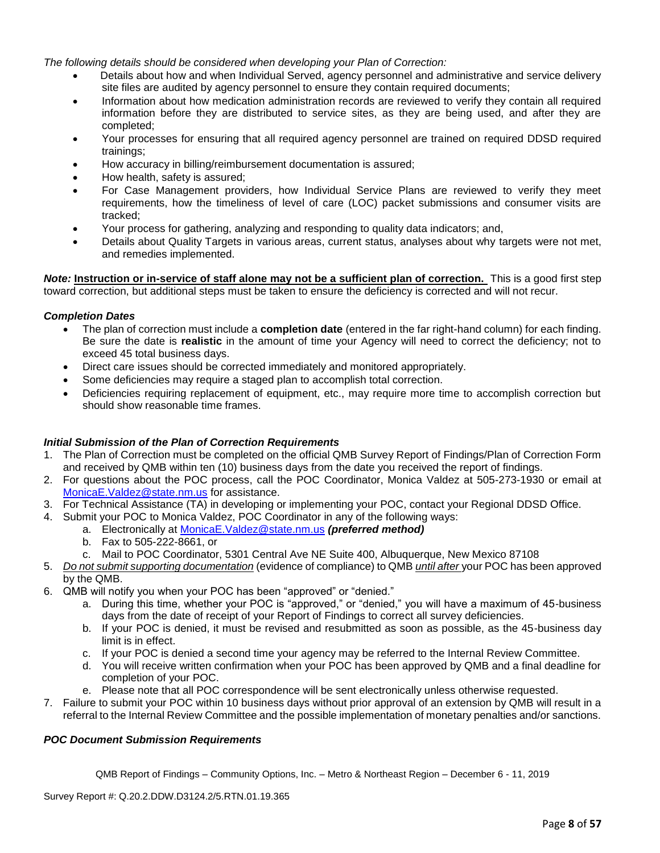*The following details should be considered when developing your Plan of Correction:*

- Details about how and when Individual Served, agency personnel and administrative and service delivery site files are audited by agency personnel to ensure they contain required documents;
- Information about how medication administration records are reviewed to verify they contain all required information before they are distributed to service sites, as they are being used, and after they are completed;
- Your processes for ensuring that all required agency personnel are trained on required DDSD required trainings;
- How accuracy in billing/reimbursement documentation is assured;
- How health, safety is assured;
- For Case Management providers, how Individual Service Plans are reviewed to verify they meet requirements, how the timeliness of level of care (LOC) packet submissions and consumer visits are tracked;
- Your process for gathering, analyzing and responding to quality data indicators; and,
- Details about Quality Targets in various areas, current status, analyses about why targets were not met, and remedies implemented.

*Note:* **Instruction or in-service of staff alone may not be a sufficient plan of correction.** This is a good first step toward correction, but additional steps must be taken to ensure the deficiency is corrected and will not recur.

#### *Completion Dates*

- The plan of correction must include a **completion date** (entered in the far right-hand column) for each finding. Be sure the date is **realistic** in the amount of time your Agency will need to correct the deficiency; not to exceed 45 total business days.
- Direct care issues should be corrected immediately and monitored appropriately.
- Some deficiencies may require a staged plan to accomplish total correction.
- Deficiencies requiring replacement of equipment, etc., may require more time to accomplish correction but should show reasonable time frames.

#### *Initial Submission of the Plan of Correction Requirements*

- 1. The Plan of Correction must be completed on the official QMB Survey Report of Findings/Plan of Correction Form and received by QMB within ten (10) business days from the date you received the report of findings.
- 2. For questions about the POC process, call the POC Coordinator, Monica Valdez at 505-273-1930 or email at [MonicaE.Valdez@state.nm.us](mailto:MonicaE.Valdez@state.nm.us) for assistance.
- 3. For Technical Assistance (TA) in developing or implementing your POC, contact your Regional DDSD Office.
- 4. Submit your POC to Monica Valdez, POC Coordinator in any of the following ways:
	- a. Electronically at [MonicaE.Valdez@state.nm.us](mailto:MonicaE.Valdez@state.nm.us) *(preferred method)*
	- b. Fax to 505-222-8661, or
	- c. Mail to POC Coordinator, 5301 Central Ave NE Suite 400, Albuquerque, New Mexico 87108
- 5. *Do not submit supporting documentation* (evidence of compliance) to QMB *until after* your POC has been approved by the QMB.
- 6. QMB will notify you when your POC has been "approved" or "denied."
	- a. During this time, whether your POC is "approved," or "denied," you will have a maximum of 45-business days from the date of receipt of your Report of Findings to correct all survey deficiencies.
	- b. If your POC is denied, it must be revised and resubmitted as soon as possible, as the 45-business day limit is in effect.
	- c. If your POC is denied a second time your agency may be referred to the Internal Review Committee.
	- d. You will receive written confirmation when your POC has been approved by QMB and a final deadline for completion of your POC.
	- e. Please note that all POC correspondence will be sent electronically unless otherwise requested.
- 7. Failure to submit your POC within 10 business days without prior approval of an extension by QMB will result in a referral to the Internal Review Committee and the possible implementation of monetary penalties and/or sanctions.

## *POC Document Submission Requirements*

QMB Report of Findings – Community Options, Inc. – Metro & Northeast Region – December 6 - 11, 2019

Survey Report #: Q.20.2.DDW.D3124.2/5.RTN.01.19.365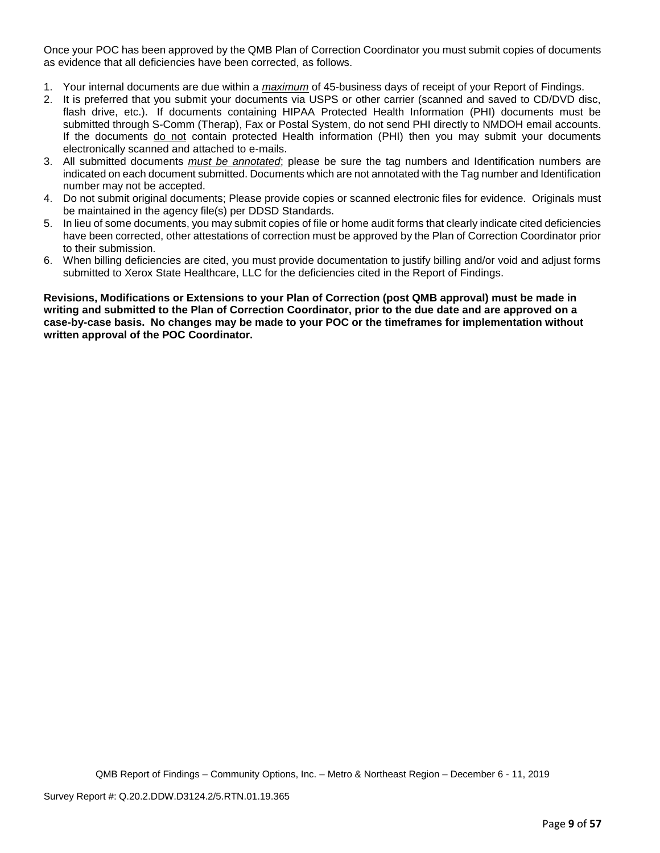Once your POC has been approved by the QMB Plan of Correction Coordinator you must submit copies of documents as evidence that all deficiencies have been corrected, as follows.

- 1. Your internal documents are due within a *maximum* of 45-business days of receipt of your Report of Findings.
- 2. It is preferred that you submit your documents via USPS or other carrier (scanned and saved to CD/DVD disc, flash drive, etc.). If documents containing HIPAA Protected Health Information (PHI) documents must be submitted through S-Comm (Therap), Fax or Postal System, do not send PHI directly to NMDOH email accounts. If the documents do not contain protected Health information (PHI) then you may submit your documents electronically scanned and attached to e-mails.
- 3. All submitted documents *must be annotated*; please be sure the tag numbers and Identification numbers are indicated on each document submitted. Documents which are not annotated with the Tag number and Identification number may not be accepted.
- 4. Do not submit original documents; Please provide copies or scanned electronic files for evidence. Originals must be maintained in the agency file(s) per DDSD Standards.
- 5. In lieu of some documents, you may submit copies of file or home audit forms that clearly indicate cited deficiencies have been corrected, other attestations of correction must be approved by the Plan of Correction Coordinator prior to their submission.
- 6. When billing deficiencies are cited, you must provide documentation to justify billing and/or void and adjust forms submitted to Xerox State Healthcare, LLC for the deficiencies cited in the Report of Findings.

**Revisions, Modifications or Extensions to your Plan of Correction (post QMB approval) must be made in writing and submitted to the Plan of Correction Coordinator, prior to the due date and are approved on a case-by-case basis. No changes may be made to your POC or the timeframes for implementation without written approval of the POC Coordinator.**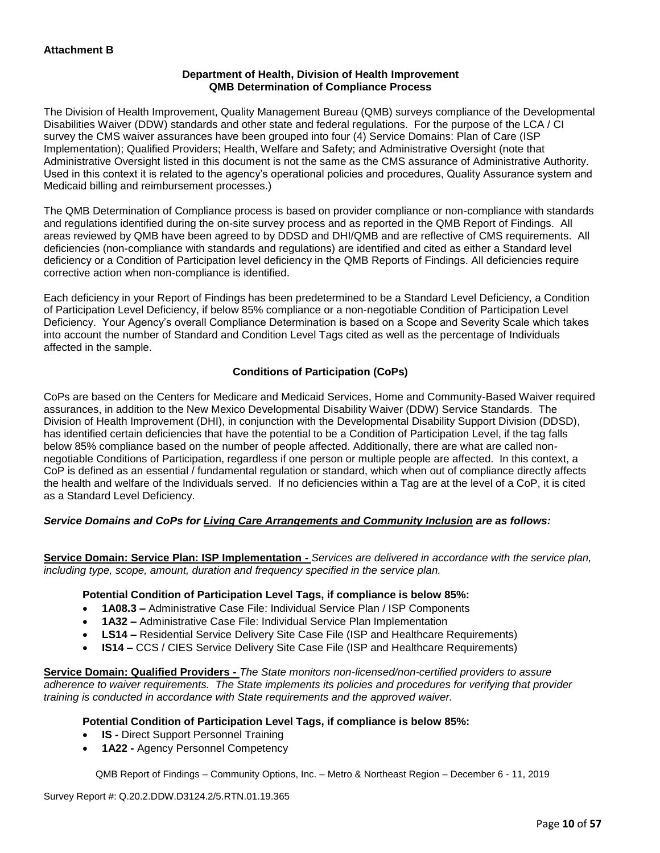## **Department of Health, Division of Health Improvement QMB Determination of Compliance Process**

The Division of Health Improvement, Quality Management Bureau (QMB) surveys compliance of the Developmental Disabilities Waiver (DDW) standards and other state and federal regulations. For the purpose of the LCA / CI survey the CMS waiver assurances have been grouped into four (4) Service Domains: Plan of Care (ISP Implementation); Qualified Providers; Health, Welfare and Safety; and Administrative Oversight (note that Administrative Oversight listed in this document is not the same as the CMS assurance of Administrative Authority. Used in this context it is related to the agency's operational policies and procedures, Quality Assurance system and Medicaid billing and reimbursement processes.)

The QMB Determination of Compliance process is based on provider compliance or non-compliance with standards and regulations identified during the on-site survey process and as reported in the QMB Report of Findings. All areas reviewed by QMB have been agreed to by DDSD and DHI/QMB and are reflective of CMS requirements. All deficiencies (non-compliance with standards and regulations) are identified and cited as either a Standard level deficiency or a Condition of Participation level deficiency in the QMB Reports of Findings. All deficiencies require corrective action when non-compliance is identified.

Each deficiency in your Report of Findings has been predetermined to be a Standard Level Deficiency, a Condition of Participation Level Deficiency, if below 85% compliance or a non-negotiable Condition of Participation Level Deficiency. Your Agency's overall Compliance Determination is based on a Scope and Severity Scale which takes into account the number of Standard and Condition Level Tags cited as well as the percentage of Individuals affected in the sample.

## **Conditions of Participation (CoPs)**

CoPs are based on the Centers for Medicare and Medicaid Services, Home and Community-Based Waiver required assurances, in addition to the New Mexico Developmental Disability Waiver (DDW) Service Standards. The Division of Health Improvement (DHI), in conjunction with the Developmental Disability Support Division (DDSD), has identified certain deficiencies that have the potential to be a Condition of Participation Level, if the tag falls below 85% compliance based on the number of people affected. Additionally, there are what are called nonnegotiable Conditions of Participation, regardless if one person or multiple people are affected. In this context, a CoP is defined as an essential / fundamental regulation or standard, which when out of compliance directly affects the health and welfare of the Individuals served. If no deficiencies within a Tag are at the level of a CoP, it is cited as a Standard Level Deficiency.

## *Service Domains and CoPs for Living Care Arrangements and Community Inclusion are as follows:*

**Service Domain: Service Plan: ISP Implementation -** *Services are delivered in accordance with the service plan, including type, scope, amount, duration and frequency specified in the service plan.*

#### **Potential Condition of Participation Level Tags, if compliance is below 85%:**

- **1A08.3 –** Administrative Case File: Individual Service Plan / ISP Components
- **1A32 –** Administrative Case File: Individual Service Plan Implementation
- **LS14 –** Residential Service Delivery Site Case File (ISP and Healthcare Requirements)
- **IS14 –** CCS / CIES Service Delivery Site Case File (ISP and Healthcare Requirements)

**Service Domain: Qualified Providers -** *The State monitors non-licensed/non-certified providers to assure adherence to waiver requirements. The State implements its policies and procedures for verifying that provider training is conducted in accordance with State requirements and the approved waiver.*

#### **Potential Condition of Participation Level Tags, if compliance is below 85%:**

- **IS -** Direct Support Personnel Training
- **1A22 -** Agency Personnel Competency

QMB Report of Findings – Community Options, Inc. – Metro & Northeast Region – December 6 - 11, 2019

Survey Report #: Q.20.2.DDW.D3124.2/5.RTN.01.19.365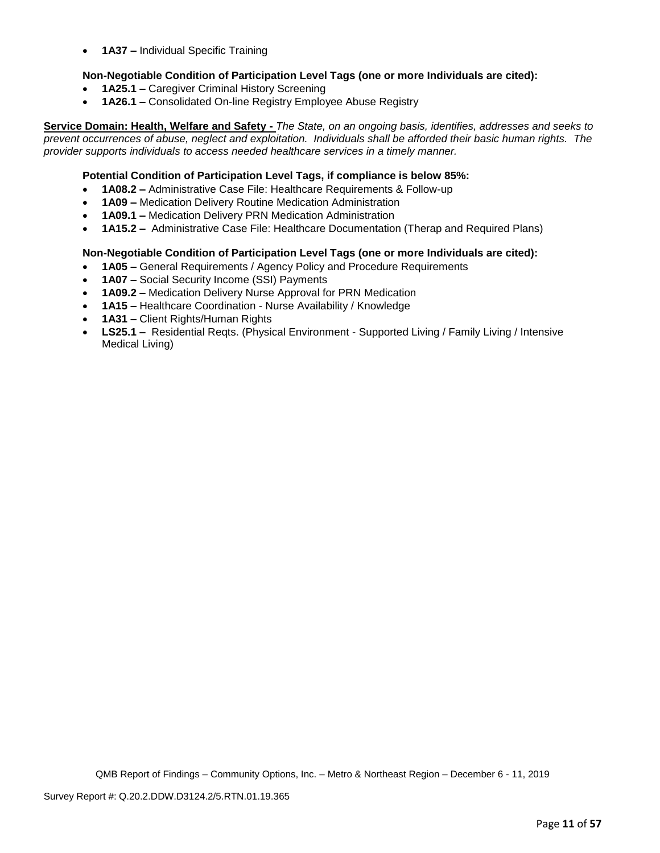• **1A37 –** Individual Specific Training

## **Non-Negotiable Condition of Participation Level Tags (one or more Individuals are cited):**

- **1A25.1 –** Caregiver Criminal History Screening
- **1A26.1 –** Consolidated On-line Registry Employee Abuse Registry

**Service Domain: Health, Welfare and Safety -** *The State, on an ongoing basis, identifies, addresses and seeks to prevent occurrences of abuse, neglect and exploitation. Individuals shall be afforded their basic human rights. The provider supports individuals to access needed healthcare services in a timely manner.*

## **Potential Condition of Participation Level Tags, if compliance is below 85%:**

- **1A08.2 –** Administrative Case File: Healthcare Requirements & Follow-up
- **1A09 –** Medication Delivery Routine Medication Administration
- **1A09.1 –** Medication Delivery PRN Medication Administration
- **1A15.2 –** Administrative Case File: Healthcare Documentation (Therap and Required Plans)

#### **Non-Negotiable Condition of Participation Level Tags (one or more Individuals are cited):**

- **1A05 –** General Requirements / Agency Policy and Procedure Requirements
- **1A07 –** Social Security Income (SSI) Payments
- **1A09.2 –** Medication Delivery Nurse Approval for PRN Medication
- **1A15 –** Healthcare Coordination Nurse Availability / Knowledge
- **1A31 –** Client Rights/Human Rights
- **LS25.1 –** Residential Reqts. (Physical Environment Supported Living / Family Living / Intensive Medical Living)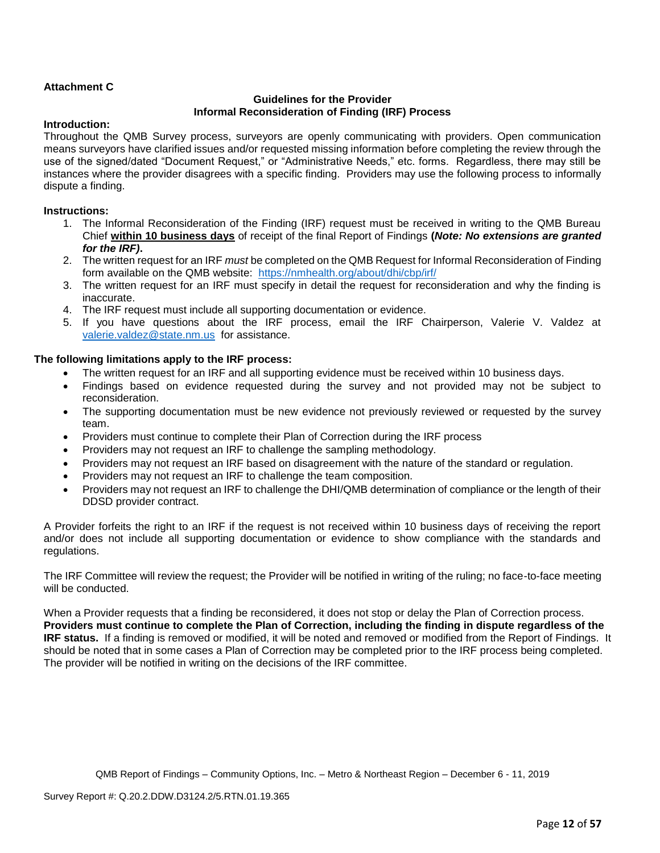## **Attachment C**

#### **Guidelines for the Provider Informal Reconsideration of Finding (IRF) Process**

## **Introduction:**

Throughout the QMB Survey process, surveyors are openly communicating with providers. Open communication means surveyors have clarified issues and/or requested missing information before completing the review through the use of the signed/dated "Document Request," or "Administrative Needs," etc. forms. Regardless, there may still be instances where the provider disagrees with a specific finding. Providers may use the following process to informally dispute a finding.

#### **Instructions:**

- 1. The Informal Reconsideration of the Finding (IRF) request must be received in writing to the QMB Bureau Chief **within 10 business days** of receipt of the final Report of Findings **(***Note: No extensions are granted for the IRF)***.**
- 2. The written request for an IRF *must* be completed on the QMB Request for Informal Reconsideration of Finding form available on the QMB website: <https://nmhealth.org/about/dhi/cbp/irf/>
- 3. The written request for an IRF must specify in detail the request for reconsideration and why the finding is inaccurate.
- 4. The IRF request must include all supporting documentation or evidence.
- 5. If you have questions about the IRF process, email the IRF Chairperson, Valerie V. Valdez at [valerie.valdez@state.nm.us](mailto:valerie.valdez@state.nm.us) for assistance.

## **The following limitations apply to the IRF process:**

- The written request for an IRF and all supporting evidence must be received within 10 business days.
- Findings based on evidence requested during the survey and not provided may not be subject to reconsideration.
- The supporting documentation must be new evidence not previously reviewed or requested by the survey team.
- Providers must continue to complete their Plan of Correction during the IRF process
- Providers may not request an IRF to challenge the sampling methodology.
- Providers may not request an IRF based on disagreement with the nature of the standard or regulation.
- Providers may not request an IRF to challenge the team composition.
- Providers may not request an IRF to challenge the DHI/QMB determination of compliance or the length of their DDSD provider contract.

A Provider forfeits the right to an IRF if the request is not received within 10 business days of receiving the report and/or does not include all supporting documentation or evidence to show compliance with the standards and regulations.

The IRF Committee will review the request; the Provider will be notified in writing of the ruling; no face-to-face meeting will be conducted.

When a Provider requests that a finding be reconsidered, it does not stop or delay the Plan of Correction process. **Providers must continue to complete the Plan of Correction, including the finding in dispute regardless of the IRF status.** If a finding is removed or modified, it will be noted and removed or modified from the Report of Findings. It should be noted that in some cases a Plan of Correction may be completed prior to the IRF process being completed. The provider will be notified in writing on the decisions of the IRF committee.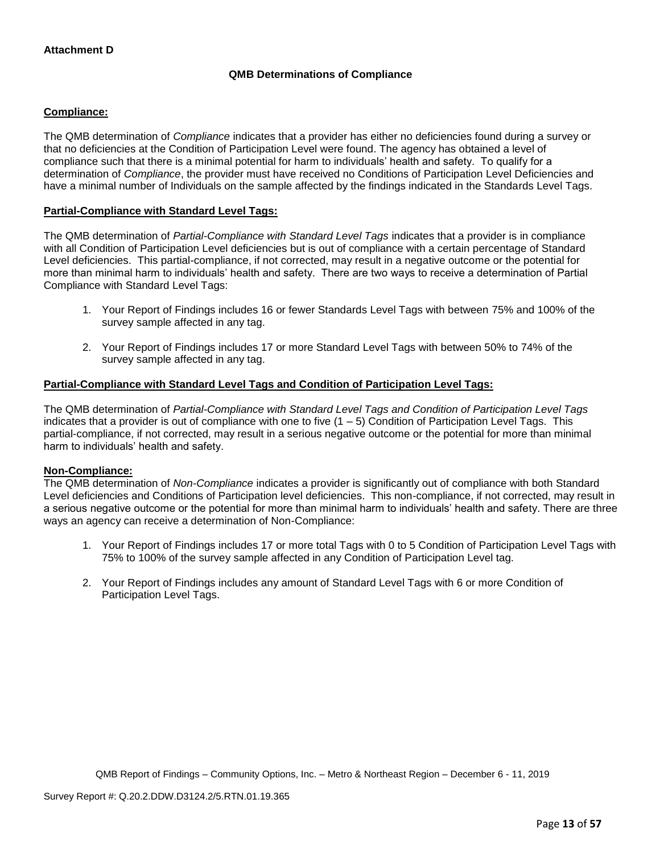## **QMB Determinations of Compliance**

## **Compliance:**

The QMB determination of *Compliance* indicates that a provider has either no deficiencies found during a survey or that no deficiencies at the Condition of Participation Level were found. The agency has obtained a level of compliance such that there is a minimal potential for harm to individuals' health and safety. To qualify for a determination of *Compliance*, the provider must have received no Conditions of Participation Level Deficiencies and have a minimal number of Individuals on the sample affected by the findings indicated in the Standards Level Tags.

## **Partial-Compliance with Standard Level Tags:**

The QMB determination of *Partial-Compliance with Standard Level Tags* indicates that a provider is in compliance with all Condition of Participation Level deficiencies but is out of compliance with a certain percentage of Standard Level deficiencies. This partial-compliance, if not corrected, may result in a negative outcome or the potential for more than minimal harm to individuals' health and safety. There are two ways to receive a determination of Partial Compliance with Standard Level Tags:

- 1. Your Report of Findings includes 16 or fewer Standards Level Tags with between 75% and 100% of the survey sample affected in any tag.
- 2. Your Report of Findings includes 17 or more Standard Level Tags with between 50% to 74% of the survey sample affected in any tag.

## **Partial-Compliance with Standard Level Tags and Condition of Participation Level Tags:**

The QMB determination of *Partial-Compliance with Standard Level Tags and Condition of Participation Level Tags*  indicates that a provider is out of compliance with one to five  $(1 - 5)$  Condition of Participation Level Tags. This partial-compliance, if not corrected, may result in a serious negative outcome or the potential for more than minimal harm to individuals' health and safety.

#### **Non-Compliance:**

The QMB determination of *Non-Compliance* indicates a provider is significantly out of compliance with both Standard Level deficiencies and Conditions of Participation level deficiencies. This non-compliance, if not corrected, may result in a serious negative outcome or the potential for more than minimal harm to individuals' health and safety. There are three ways an agency can receive a determination of Non-Compliance:

- 1. Your Report of Findings includes 17 or more total Tags with 0 to 5 Condition of Participation Level Tags with 75% to 100% of the survey sample affected in any Condition of Participation Level tag.
- 2. Your Report of Findings includes any amount of Standard Level Tags with 6 or more Condition of Participation Level Tags.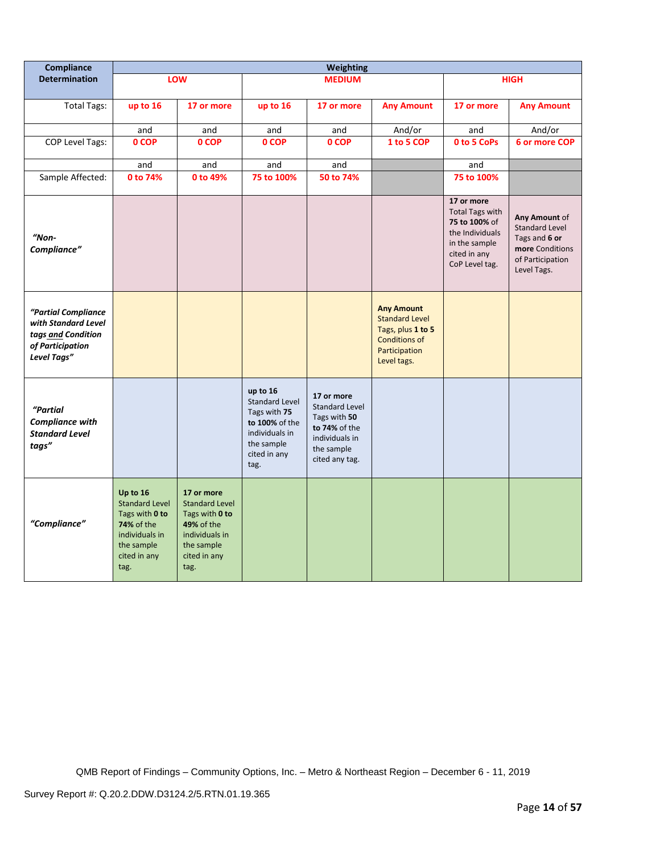| Compliance                                                                                          |                                                                                                                           |                                                                                                                             |                                                                                                                             | Weighting                                                                                                              |                                                                                                                  |                                                                                                                             |                                                                                                               |
|-----------------------------------------------------------------------------------------------------|---------------------------------------------------------------------------------------------------------------------------|-----------------------------------------------------------------------------------------------------------------------------|-----------------------------------------------------------------------------------------------------------------------------|------------------------------------------------------------------------------------------------------------------------|------------------------------------------------------------------------------------------------------------------|-----------------------------------------------------------------------------------------------------------------------------|---------------------------------------------------------------------------------------------------------------|
| <b>Determination</b>                                                                                |                                                                                                                           | LOW                                                                                                                         |                                                                                                                             | <b>MEDIUM</b>                                                                                                          |                                                                                                                  |                                                                                                                             | <b>HIGH</b>                                                                                                   |
| <b>Total Tags:</b>                                                                                  | up to 16                                                                                                                  | 17 or more                                                                                                                  | up to 16                                                                                                                    | 17 or more                                                                                                             | <b>Any Amount</b>                                                                                                | 17 or more                                                                                                                  | <b>Any Amount</b>                                                                                             |
|                                                                                                     | and                                                                                                                       | and                                                                                                                         | and                                                                                                                         | and                                                                                                                    | And/or                                                                                                           | and                                                                                                                         | And/or                                                                                                        |
| COP Level Tags:                                                                                     | 0 COP                                                                                                                     | 0 COP                                                                                                                       | 0 COP                                                                                                                       | 0 COP                                                                                                                  | 1 to 5 COP                                                                                                       | 0 to 5 CoPs                                                                                                                 | <b>6 or more COP</b>                                                                                          |
|                                                                                                     | and                                                                                                                       | and                                                                                                                         | and                                                                                                                         | and                                                                                                                    |                                                                                                                  | and                                                                                                                         |                                                                                                               |
| Sample Affected:                                                                                    | 0 to 74%                                                                                                                  | 0 to 49%                                                                                                                    | 75 to 100%                                                                                                                  | 50 to 74%                                                                                                              |                                                                                                                  | 75 to 100%                                                                                                                  |                                                                                                               |
| $"Non-$<br>Compliance"                                                                              |                                                                                                                           |                                                                                                                             |                                                                                                                             |                                                                                                                        |                                                                                                                  | 17 or more<br><b>Total Tags with</b><br>75 to 100% of<br>the Individuals<br>in the sample<br>cited in any<br>CoP Level tag. | Any Amount of<br><b>Standard Level</b><br>Tags and 6 or<br>more Conditions<br>of Participation<br>Level Tags. |
| "Partial Compliance<br>with Standard Level<br>tags and Condition<br>of Participation<br>Level Tags" |                                                                                                                           |                                                                                                                             |                                                                                                                             |                                                                                                                        | <b>Any Amount</b><br><b>Standard Level</b><br>Tags, plus 1 to 5<br>Conditions of<br>Participation<br>Level tags. |                                                                                                                             |                                                                                                               |
| "Partial<br><b>Compliance with</b><br><b>Standard Level</b><br>tags"                                |                                                                                                                           |                                                                                                                             | up to 16<br><b>Standard Level</b><br>Tags with 75<br>to 100% of the<br>individuals in<br>the sample<br>cited in any<br>tag. | 17 or more<br><b>Standard Level</b><br>Tags with 50<br>to 74% of the<br>individuals in<br>the sample<br>cited any tag. |                                                                                                                  |                                                                                                                             |                                                                                                               |
| "Compliance"                                                                                        | Up to 16<br><b>Standard Level</b><br>Tags with 0 to<br>74% of the<br>individuals in<br>the sample<br>cited in any<br>tag. | 17 or more<br><b>Standard Level</b><br>Tags with 0 to<br>49% of the<br>individuals in<br>the sample<br>cited in any<br>tag. |                                                                                                                             |                                                                                                                        |                                                                                                                  |                                                                                                                             |                                                                                                               |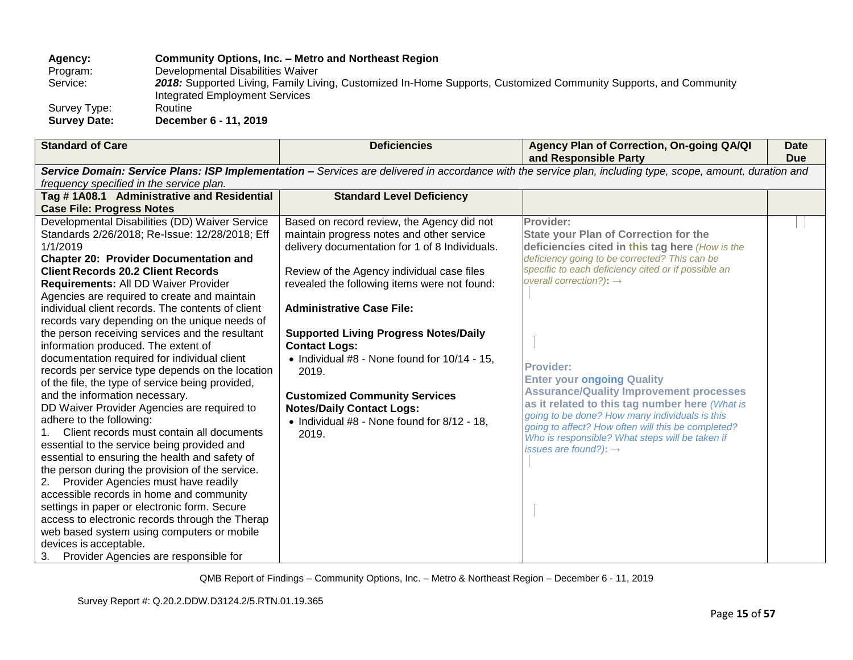**Agency: Community Options, Inc. – Metro and Northeast Region** Program: Developmental Disabilities Waiver<br>Service: 2018: Supported Living, Family Livi 2018: Supported Living, Family Living, Customized In-Home Supports, Customized Community Supports, and Community Integrated Employment Services Survey Type: **Survey Date: December 6 - 11, 2019**

| <b>Standard of Care</b>                           | <b>Deficiencies</b>                               | Agency Plan of Correction, On-going QA/QI<br>and Responsible Party                                                                                          | <b>Date</b><br><b>Due</b> |
|---------------------------------------------------|---------------------------------------------------|-------------------------------------------------------------------------------------------------------------------------------------------------------------|---------------------------|
|                                                   |                                                   | Service Domain: Service Plans: ISP Implementation - Services are delivered in accordance with the service plan, including type, scope, amount, duration and |                           |
| frequency specified in the service plan.          |                                                   |                                                                                                                                                             |                           |
| Tag #1A08.1 Administrative and Residential        | <b>Standard Level Deficiency</b>                  |                                                                                                                                                             |                           |
| <b>Case File: Progress Notes</b>                  |                                                   |                                                                                                                                                             |                           |
| Developmental Disabilities (DD) Waiver Service    | Based on record review, the Agency did not        | Provider:                                                                                                                                                   |                           |
| Standards 2/26/2018; Re-Issue: 12/28/2018; Eff    | maintain progress notes and other service         | <b>State your Plan of Correction for the</b>                                                                                                                |                           |
| 1/1/2019                                          | delivery documentation for 1 of 8 Individuals.    | deficiencies cited in this tag here (How is the                                                                                                             |                           |
| <b>Chapter 20: Provider Documentation and</b>     |                                                   | deficiency going to be corrected? This can be                                                                                                               |                           |
| <b>Client Records 20.2 Client Records</b>         | Review of the Agency individual case files        | specific to each deficiency cited or if possible an                                                                                                         |                           |
| Requirements: All DD Waiver Provider              | revealed the following items were not found:      | overall correction?): $\rightarrow$                                                                                                                         |                           |
| Agencies are required to create and maintain      |                                                   |                                                                                                                                                             |                           |
| individual client records. The contents of client | <b>Administrative Case File:</b>                  |                                                                                                                                                             |                           |
| records vary depending on the unique needs of     |                                                   |                                                                                                                                                             |                           |
| the person receiving services and the resultant   | <b>Supported Living Progress Notes/Daily</b>      |                                                                                                                                                             |                           |
| information produced. The extent of               | <b>Contact Logs:</b>                              |                                                                                                                                                             |                           |
| documentation required for individual client      | • Individual $#8$ - None found for $10/14 - 15$ , | <b>Provider:</b>                                                                                                                                            |                           |
| records per service type depends on the location  | 2019.                                             | <b>Enter your ongoing Quality</b>                                                                                                                           |                           |
| of the file, the type of service being provided,  |                                                   | <b>Assurance/Quality Improvement processes</b>                                                                                                              |                           |
| and the information necessary.                    | <b>Customized Community Services</b>              | as it related to this tag number here (What is                                                                                                              |                           |
| DD Waiver Provider Agencies are required to       | <b>Notes/Daily Contact Logs:</b>                  | going to be done? How many individuals is this                                                                                                              |                           |
| adhere to the following:                          | • Individual #8 - None found for 8/12 - 18,       | going to affect? How often will this be completed?                                                                                                          |                           |
| Client records must contain all documents         | 2019.                                             | Who is responsible? What steps will be taken if                                                                                                             |                           |
| essential to the service being provided and       |                                                   | issues are found?): $\rightarrow$                                                                                                                           |                           |
| essential to ensuring the health and safety of    |                                                   |                                                                                                                                                             |                           |
| the person during the provision of the service.   |                                                   |                                                                                                                                                             |                           |
| Provider Agencies must have readily<br>2.         |                                                   |                                                                                                                                                             |                           |
| accessible records in home and community          |                                                   |                                                                                                                                                             |                           |
| settings in paper or electronic form. Secure      |                                                   |                                                                                                                                                             |                           |
| access to electronic records through the Therap   |                                                   |                                                                                                                                                             |                           |
| web based system using computers or mobile        |                                                   |                                                                                                                                                             |                           |
| devices is acceptable.                            |                                                   |                                                                                                                                                             |                           |
| 3. Provider Agencies are responsible for          |                                                   |                                                                                                                                                             |                           |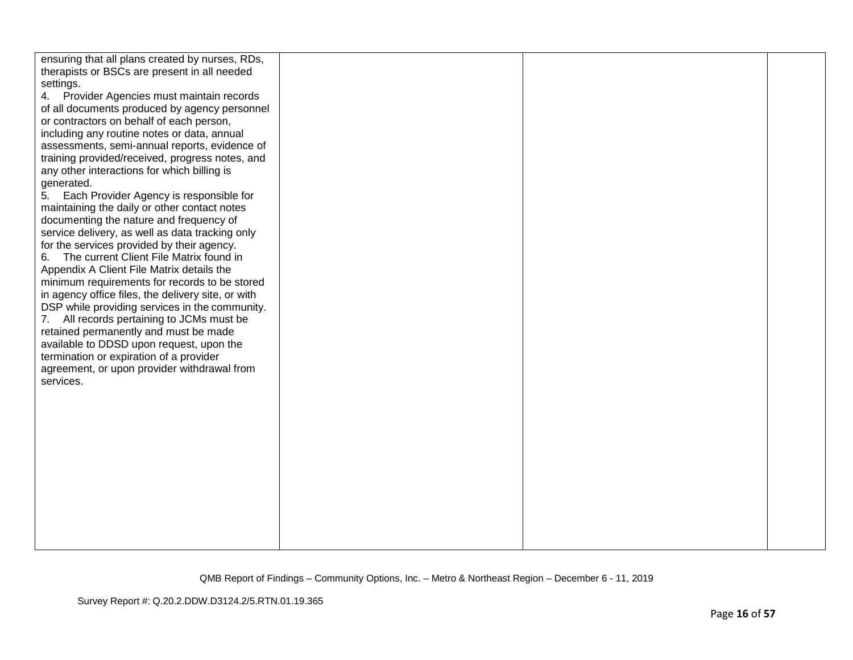| ensuring that all plans created by nurses, RDs,    |  |
|----------------------------------------------------|--|
| therapists or BSCs are present in all needed       |  |
| settings.                                          |  |
| 4. Provider Agencies must maintain records         |  |
| of all documents produced by agency personnel      |  |
| or contractors on behalf of each person,           |  |
| including any routine notes or data, annual        |  |
| assessments, semi-annual reports, evidence of      |  |
| training provided/received, progress notes, and    |  |
| any other interactions for which billing is        |  |
| generated.                                         |  |
| 5. Each Provider Agency is responsible for         |  |
| maintaining the daily or other contact notes       |  |
| documenting the nature and frequency of            |  |
| service delivery, as well as data tracking only    |  |
| for the services provided by their agency.         |  |
| 6. The current Client File Matrix found in         |  |
| Appendix A Client File Matrix details the          |  |
| minimum requirements for records to be stored      |  |
| in agency office files, the delivery site, or with |  |
| DSP while providing services in the community.     |  |
| All records pertaining to JCMs must be<br>7.       |  |
| retained permanently and must be made              |  |
| available to DDSD upon request, upon the           |  |
| termination or expiration of a provider            |  |
| agreement, or upon provider withdrawal from        |  |
| services.                                          |  |
|                                                    |  |
|                                                    |  |
|                                                    |  |
|                                                    |  |
|                                                    |  |
|                                                    |  |
|                                                    |  |
|                                                    |  |
|                                                    |  |
|                                                    |  |
|                                                    |  |
|                                                    |  |
|                                                    |  |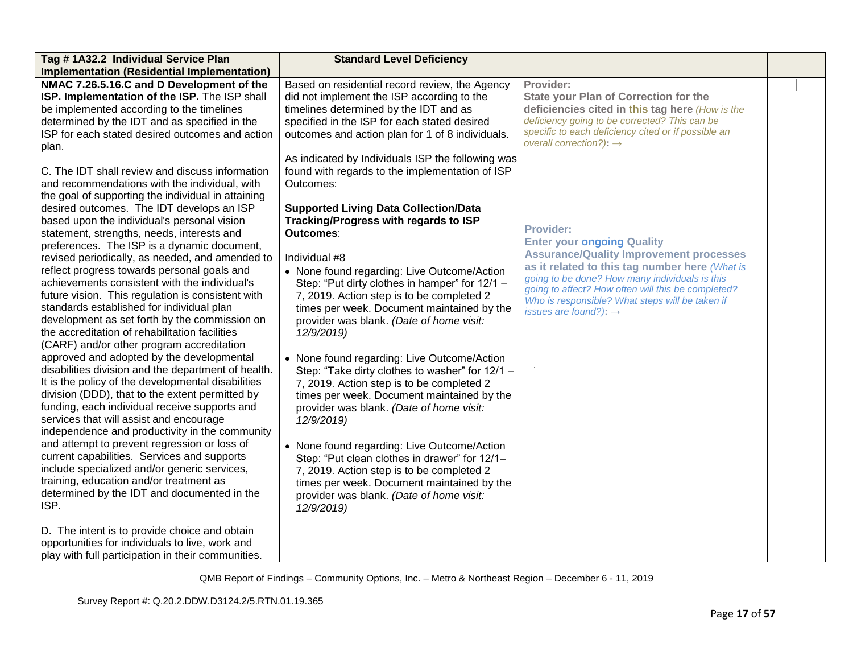| Tag #1A32.2 Individual Service Plan                 | <b>Standard Level Deficiency</b>                  |                                                     |  |
|-----------------------------------------------------|---------------------------------------------------|-----------------------------------------------------|--|
| <b>Implementation (Residential Implementation)</b>  |                                                   |                                                     |  |
| NMAC 7.26.5.16.C and D Development of the           | Based on residential record review, the Agency    | Provider:                                           |  |
| ISP. Implementation of the ISP. The ISP shall       | did not implement the ISP according to the        | <b>State your Plan of Correction for the</b>        |  |
| be implemented according to the timelines           | timelines determined by the IDT and as            | deficiencies cited in this tag here (How is the     |  |
| determined by the IDT and as specified in the       | specified in the ISP for each stated desired      | deficiency going to be corrected? This can be       |  |
| ISP for each stated desired outcomes and action     | outcomes and action plan for 1 of 8 individuals.  | specific to each deficiency cited or if possible an |  |
| plan.                                               |                                                   | overall correction?): $\rightarrow$                 |  |
|                                                     | As indicated by Individuals ISP the following was |                                                     |  |
| C. The IDT shall review and discuss information     | found with regards to the implementation of ISP   |                                                     |  |
| and recommendations with the individual, with       | Outcomes:                                         |                                                     |  |
| the goal of supporting the individual in attaining  |                                                   |                                                     |  |
| desired outcomes. The IDT develops an ISP           | <b>Supported Living Data Collection/Data</b>      |                                                     |  |
| based upon the individual's personal vision         | Tracking/Progress with regards to ISP             |                                                     |  |
| statement, strengths, needs, interests and          | Outcomes:                                         | <b>Provider:</b>                                    |  |
| preferences. The ISP is a dynamic document,         |                                                   | <b>Enter your ongoing Quality</b>                   |  |
| revised periodically, as needed, and amended to     | Individual #8                                     | <b>Assurance/Quality Improvement processes</b>      |  |
| reflect progress towards personal goals and         | • None found regarding: Live Outcome/Action       | as it related to this tag number here (What is      |  |
| achievements consistent with the individual's       | Step: "Put dirty clothes in hamper" for 12/1 -    | going to be done? How many individuals is this      |  |
| future vision. This regulation is consistent with   | 7, 2019. Action step is to be completed 2         | going to affect? How often will this be completed?  |  |
| standards established for individual plan           | times per week. Document maintained by the        | Who is responsible? What steps will be taken if     |  |
| development as set forth by the commission on       |                                                   | issues are found?): $\rightarrow$                   |  |
| the accreditation of rehabilitation facilities      | provider was blank. (Date of home visit:          |                                                     |  |
|                                                     | 12/9/2019)                                        |                                                     |  |
| (CARF) and/or other program accreditation           |                                                   |                                                     |  |
| approved and adopted by the developmental           | • None found regarding: Live Outcome/Action       |                                                     |  |
| disabilities division and the department of health. | Step: "Take dirty clothes to washer" for 12/1 -   |                                                     |  |
| It is the policy of the developmental disabilities  | 7, 2019. Action step is to be completed 2         |                                                     |  |
| division (DDD), that to the extent permitted by     | times per week. Document maintained by the        |                                                     |  |
| funding, each individual receive supports and       | provider was blank. (Date of home visit:          |                                                     |  |
| services that will assist and encourage             | 12/9/2019)                                        |                                                     |  |
| independence and productivity in the community      |                                                   |                                                     |  |
| and attempt to prevent regression or loss of        | • None found regarding: Live Outcome/Action       |                                                     |  |
| current capabilities. Services and supports         | Step: "Put clean clothes in drawer" for 12/1-     |                                                     |  |
| include specialized and/or generic services,        | 7, 2019. Action step is to be completed 2         |                                                     |  |
| training, education and/or treatment as             | times per week. Document maintained by the        |                                                     |  |
| determined by the IDT and documented in the         | provider was blank. (Date of home visit:          |                                                     |  |
| ISP.                                                | 12/9/2019)                                        |                                                     |  |
|                                                     |                                                   |                                                     |  |
| D. The intent is to provide choice and obtain       |                                                   |                                                     |  |
| opportunities for individuals to live, work and     |                                                   |                                                     |  |
| play with full participation in their communities.  |                                                   |                                                     |  |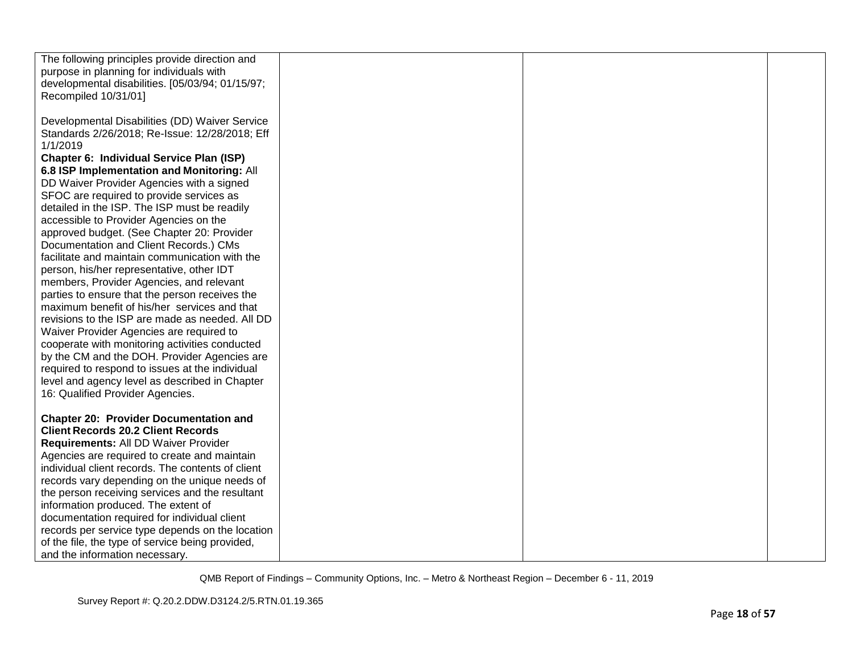| The following principles provide direction and    |  |  |
|---------------------------------------------------|--|--|
| purpose in planning for individuals with          |  |  |
| developmental disabilities. [05/03/94; 01/15/97;  |  |  |
| Recompiled 10/31/01]                              |  |  |
|                                                   |  |  |
| Developmental Disabilities (DD) Waiver Service    |  |  |
| Standards 2/26/2018; Re-Issue: 12/28/2018; Eff    |  |  |
| 1/1/2019                                          |  |  |
| Chapter 6: Individual Service Plan (ISP)          |  |  |
| 6.8 ISP Implementation and Monitoring: All        |  |  |
| DD Waiver Provider Agencies with a signed         |  |  |
| SFOC are required to provide services as          |  |  |
| detailed in the ISP. The ISP must be readily      |  |  |
| accessible to Provider Agencies on the            |  |  |
| approved budget. (See Chapter 20: Provider        |  |  |
| Documentation and Client Records.) CMs            |  |  |
| facilitate and maintain communication with the    |  |  |
| person, his/her representative, other IDT         |  |  |
| members, Provider Agencies, and relevant          |  |  |
| parties to ensure that the person receives the    |  |  |
| maximum benefit of his/her services and that      |  |  |
| revisions to the ISP are made as needed. All DD   |  |  |
|                                                   |  |  |
| Waiver Provider Agencies are required to          |  |  |
| cooperate with monitoring activities conducted    |  |  |
| by the CM and the DOH. Provider Agencies are      |  |  |
| required to respond to issues at the individual   |  |  |
| level and agency level as described in Chapter    |  |  |
| 16: Qualified Provider Agencies.                  |  |  |
|                                                   |  |  |
| <b>Chapter 20: Provider Documentation and</b>     |  |  |
| <b>Client Records 20.2 Client Records</b>         |  |  |
| Requirements: All DD Waiver Provider              |  |  |
| Agencies are required to create and maintain      |  |  |
| individual client records. The contents of client |  |  |
| records vary depending on the unique needs of     |  |  |
| the person receiving services and the resultant   |  |  |
| information produced. The extent of               |  |  |
| documentation required for individual client      |  |  |
| records per service type depends on the location  |  |  |
| of the file, the type of service being provided,  |  |  |
| and the information necessary.                    |  |  |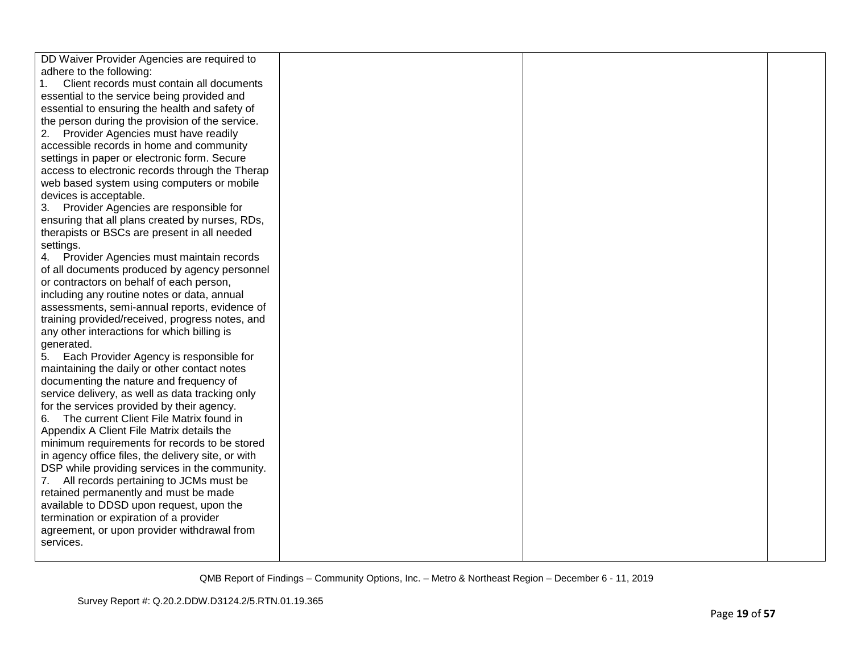| DD Waiver Provider Agencies are required to        |  |  |
|----------------------------------------------------|--|--|
| adhere to the following:                           |  |  |
| Client records must contain all documents          |  |  |
| essential to the service being provided and        |  |  |
| essential to ensuring the health and safety of     |  |  |
| the person during the provision of the service.    |  |  |
| Provider Agencies must have readily<br>2.          |  |  |
| accessible records in home and community           |  |  |
| settings in paper or electronic form. Secure       |  |  |
| access to electronic records through the Therap    |  |  |
| web based system using computers or mobile         |  |  |
| devices is acceptable.                             |  |  |
| 3. Provider Agencies are responsible for           |  |  |
| ensuring that all plans created by nurses, RDs,    |  |  |
| therapists or BSCs are present in all needed       |  |  |
| settings.                                          |  |  |
| 4. Provider Agencies must maintain records         |  |  |
| of all documents produced by agency personnel      |  |  |
| or contractors on behalf of each person,           |  |  |
| including any routine notes or data, annual        |  |  |
| assessments, semi-annual reports, evidence of      |  |  |
| training provided/received, progress notes, and    |  |  |
| any other interactions for which billing is        |  |  |
| generated.                                         |  |  |
| 5. Each Provider Agency is responsible for         |  |  |
| maintaining the daily or other contact notes       |  |  |
| documenting the nature and frequency of            |  |  |
| service delivery, as well as data tracking only    |  |  |
| for the services provided by their agency.         |  |  |
| The current Client File Matrix found in<br>6.      |  |  |
| Appendix A Client File Matrix details the          |  |  |
| minimum requirements for records to be stored      |  |  |
| in agency office files, the delivery site, or with |  |  |
| DSP while providing services in the community.     |  |  |
| All records pertaining to JCMs must be             |  |  |
| retained permanently and must be made              |  |  |
| available to DDSD upon request, upon the           |  |  |
| termination or expiration of a provider            |  |  |
| agreement, or upon provider withdrawal from        |  |  |
| services.                                          |  |  |
|                                                    |  |  |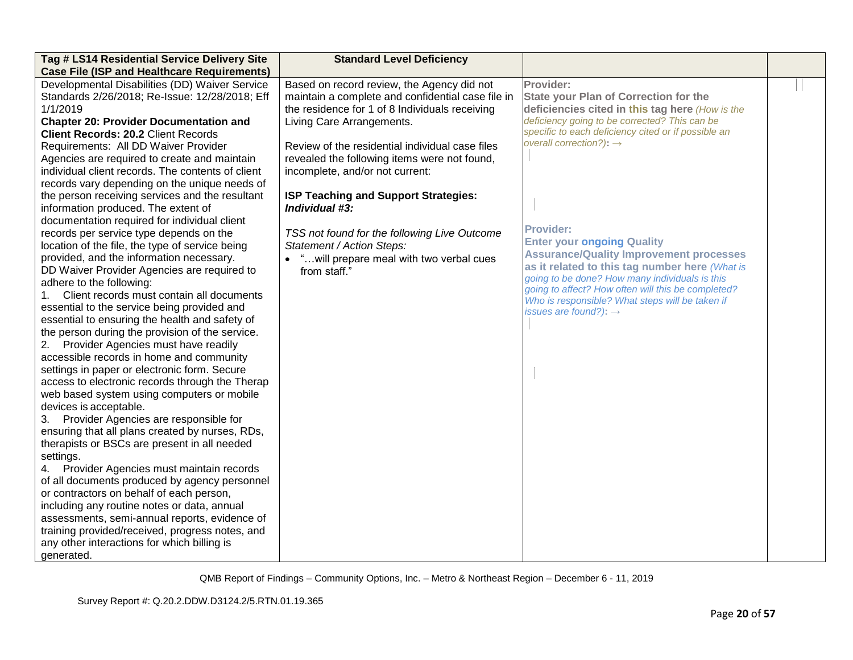| Tag # LS14 Residential Service Delivery Site       | <b>Standard Level Deficiency</b>                  |                                                     |  |
|----------------------------------------------------|---------------------------------------------------|-----------------------------------------------------|--|
| <b>Case File (ISP and Healthcare Requirements)</b> |                                                   |                                                     |  |
| Developmental Disabilities (DD) Waiver Service     | Based on record review, the Agency did not        | Provider:                                           |  |
| Standards 2/26/2018; Re-Issue: 12/28/2018; Eff     | maintain a complete and confidential case file in | <b>State your Plan of Correction for the</b>        |  |
| 1/1/2019                                           | the residence for 1 of 8 Individuals receiving    | deficiencies cited in this tag here (How is the     |  |
| <b>Chapter 20: Provider Documentation and</b>      | Living Care Arrangements.                         | deficiency going to be corrected? This can be       |  |
| <b>Client Records: 20.2 Client Records</b>         |                                                   | specific to each deficiency cited or if possible an |  |
| Requirements: All DD Waiver Provider               | Review of the residential individual case files   | overall correction?): $\rightarrow$                 |  |
| Agencies are required to create and maintain       | revealed the following items were not found,      |                                                     |  |
| individual client records. The contents of client  | incomplete, and/or not current:                   |                                                     |  |
| records vary depending on the unique needs of      |                                                   |                                                     |  |
| the person receiving services and the resultant    | ISP Teaching and Support Strategies:              |                                                     |  |
| information produced. The extent of                | Individual #3:                                    |                                                     |  |
| documentation required for individual client       |                                                   |                                                     |  |
| records per service type depends on the            | TSS not found for the following Live Outcome      | <b>Provider:</b>                                    |  |
| location of the file, the type of service being    | Statement / Action Steps:                         | <b>Enter your ongoing Quality</b>                   |  |
| provided, and the information necessary.           | • " will prepare meal with two verbal cues        | <b>Assurance/Quality Improvement processes</b>      |  |
| DD Waiver Provider Agencies are required to        | from staff."                                      | as it related to this tag number here (What is      |  |
| adhere to the following:                           |                                                   | going to be done? How many individuals is this      |  |
| Client records must contain all documents<br>1.    |                                                   | going to affect? How often will this be completed?  |  |
| essential to the service being provided and        |                                                   | Who is responsible? What steps will be taken if     |  |
| essential to ensuring the health and safety of     |                                                   | issues are found?): $\rightarrow$                   |  |
| the person during the provision of the service.    |                                                   |                                                     |  |
| 2. Provider Agencies must have readily             |                                                   |                                                     |  |
| accessible records in home and community           |                                                   |                                                     |  |
| settings in paper or electronic form. Secure       |                                                   |                                                     |  |
| access to electronic records through the Therap    |                                                   |                                                     |  |
| web based system using computers or mobile         |                                                   |                                                     |  |
| devices is acceptable.                             |                                                   |                                                     |  |
| 3. Provider Agencies are responsible for           |                                                   |                                                     |  |
| ensuring that all plans created by nurses, RDs,    |                                                   |                                                     |  |
| therapists or BSCs are present in all needed       |                                                   |                                                     |  |
| settings.                                          |                                                   |                                                     |  |
| 4. Provider Agencies must maintain records         |                                                   |                                                     |  |
| of all documents produced by agency personnel      |                                                   |                                                     |  |
| or contractors on behalf of each person,           |                                                   |                                                     |  |
| including any routine notes or data, annual        |                                                   |                                                     |  |
| assessments, semi-annual reports, evidence of      |                                                   |                                                     |  |
| training provided/received, progress notes, and    |                                                   |                                                     |  |
| any other interactions for which billing is        |                                                   |                                                     |  |
| generated.                                         |                                                   |                                                     |  |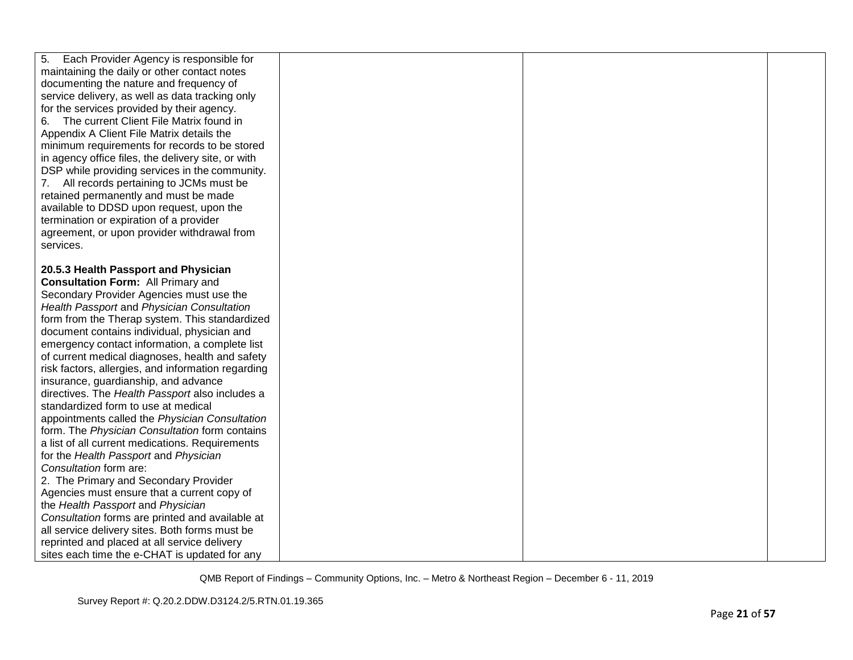| 5.<br>Each Provider Agency is responsible for      |  |  |
|----------------------------------------------------|--|--|
| maintaining the daily or other contact notes       |  |  |
| documenting the nature and frequency of            |  |  |
| service delivery, as well as data tracking only    |  |  |
| for the services provided by their agency.         |  |  |
| The current Client File Matrix found in<br>6.      |  |  |
| Appendix A Client File Matrix details the          |  |  |
| minimum requirements for records to be stored      |  |  |
| in agency office files, the delivery site, or with |  |  |
| DSP while providing services in the community.     |  |  |
| 7. All records pertaining to JCMs must be          |  |  |
| retained permanently and must be made              |  |  |
| available to DDSD upon request, upon the           |  |  |
| termination or expiration of a provider            |  |  |
| agreement, or upon provider withdrawal from        |  |  |
| services.                                          |  |  |
|                                                    |  |  |
| 20.5.3 Health Passport and Physician               |  |  |
| <b>Consultation Form: All Primary and</b>          |  |  |
| Secondary Provider Agencies must use the           |  |  |
| Health Passport and Physician Consultation         |  |  |
| form from the Therap system. This standardized     |  |  |
| document contains individual, physician and        |  |  |
| emergency contact information, a complete list     |  |  |
| of current medical diagnoses, health and safety    |  |  |
| risk factors, allergies, and information regarding |  |  |
| insurance, guardianship, and advance               |  |  |
| directives. The Health Passport also includes a    |  |  |
| standardized form to use at medical                |  |  |
| appointments called the Physician Consultation     |  |  |
| form. The Physician Consultation form contains     |  |  |
| a list of all current medications. Requirements    |  |  |
| for the Health Passport and Physician              |  |  |
| Consultation form are:                             |  |  |
| 2. The Primary and Secondary Provider              |  |  |
| Agencies must ensure that a current copy of        |  |  |
| the Health Passport and Physician                  |  |  |
| Consultation forms are printed and available at    |  |  |
| all service delivery sites. Both forms must be     |  |  |
| reprinted and placed at all service delivery       |  |  |
| sites each time the e-CHAT is updated for any      |  |  |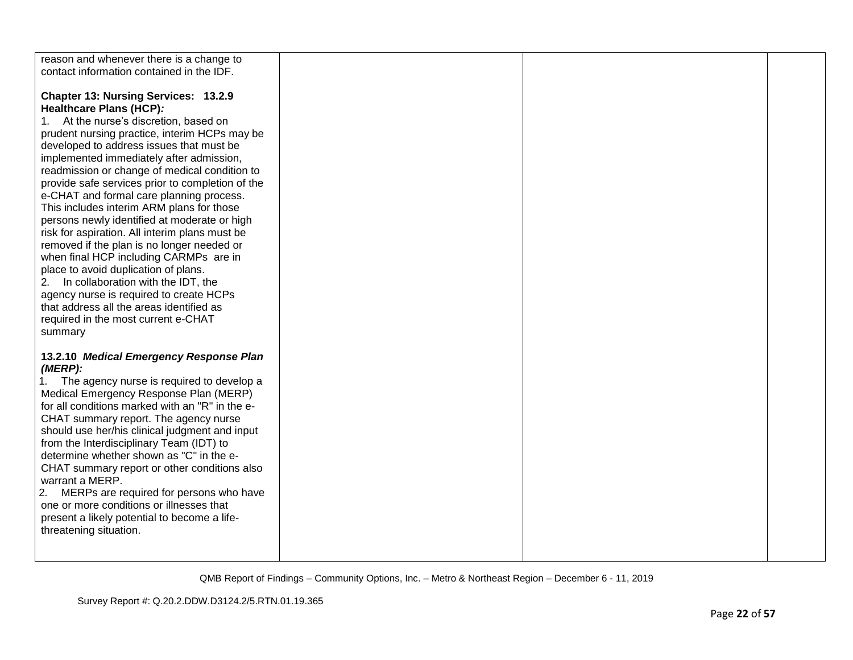| reason and whenever there is a change to<br>contact information contained in the IDF.                                                                                                                                                                                                                                                                                                                                                                                                                                                                                                                                                                                                                                                                                                                                                                                      |  |  |
|----------------------------------------------------------------------------------------------------------------------------------------------------------------------------------------------------------------------------------------------------------------------------------------------------------------------------------------------------------------------------------------------------------------------------------------------------------------------------------------------------------------------------------------------------------------------------------------------------------------------------------------------------------------------------------------------------------------------------------------------------------------------------------------------------------------------------------------------------------------------------|--|--|
| Chapter 13: Nursing Services: 13.2.9<br>Healthcare Plans (HCP):<br>At the nurse's discretion, based on<br>1.<br>prudent nursing practice, interim HCPs may be<br>developed to address issues that must be<br>implemented immediately after admission,<br>readmission or change of medical condition to<br>provide safe services prior to completion of the<br>e-CHAT and formal care planning process.<br>This includes interim ARM plans for those<br>persons newly identified at moderate or high<br>risk for aspiration. All interim plans must be<br>removed if the plan is no longer needed or<br>when final HCP including CARMPs are in<br>place to avoid duplication of plans.<br>In collaboration with the IDT, the<br>2.<br>agency nurse is required to create HCPs<br>that address all the areas identified as<br>required in the most current e-CHAT<br>summary |  |  |
| 13.2.10 Medical Emergency Response Plan<br>$(MERP)$ :<br>The agency nurse is required to develop a<br>1.<br>Medical Emergency Response Plan (MERP)<br>for all conditions marked with an "R" in the e-<br>CHAT summary report. The agency nurse<br>should use her/his clinical judgment and input<br>from the Interdisciplinary Team (IDT) to<br>determine whether shown as "C" in the e-<br>CHAT summary report or other conditions also<br>warrant a MERP.<br>2.<br>MERPs are required for persons who have<br>one or more conditions or illnesses that<br>present a likely potential to become a life-<br>threatening situation.                                                                                                                                                                                                                                         |  |  |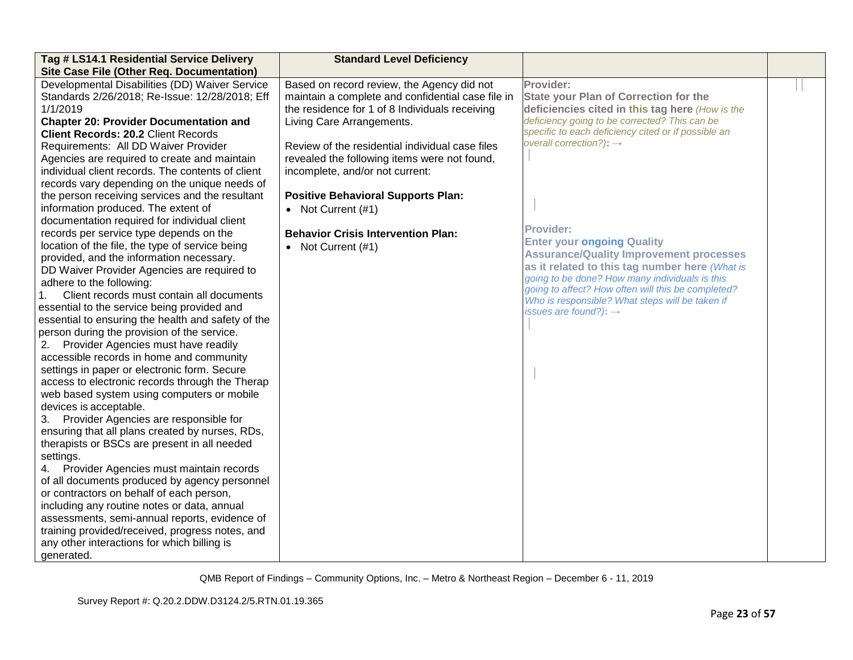| Tag # LS14.1 Residential Service Delivery                                                                                                                                                                                                                                                                                                                                                                                                                                                                                                                                                                                                                                                                                                                                                                                                                                                                                                                                                                                                                                                                                                                                                                                                                                                                                                                                                                                                                                                                                                                                                                                                                                                                                                                                                           | <b>Standard Level Deficiency</b>                                                                                                                                                                                                                                                                                                                                                                                                                               |                                                                                                                                                                                                                                                                                                                                                                                                                                                                                                                                                                                                                          |  |
|-----------------------------------------------------------------------------------------------------------------------------------------------------------------------------------------------------------------------------------------------------------------------------------------------------------------------------------------------------------------------------------------------------------------------------------------------------------------------------------------------------------------------------------------------------------------------------------------------------------------------------------------------------------------------------------------------------------------------------------------------------------------------------------------------------------------------------------------------------------------------------------------------------------------------------------------------------------------------------------------------------------------------------------------------------------------------------------------------------------------------------------------------------------------------------------------------------------------------------------------------------------------------------------------------------------------------------------------------------------------------------------------------------------------------------------------------------------------------------------------------------------------------------------------------------------------------------------------------------------------------------------------------------------------------------------------------------------------------------------------------------------------------------------------------------|----------------------------------------------------------------------------------------------------------------------------------------------------------------------------------------------------------------------------------------------------------------------------------------------------------------------------------------------------------------------------------------------------------------------------------------------------------------|--------------------------------------------------------------------------------------------------------------------------------------------------------------------------------------------------------------------------------------------------------------------------------------------------------------------------------------------------------------------------------------------------------------------------------------------------------------------------------------------------------------------------------------------------------------------------------------------------------------------------|--|
| Site Case File (Other Req. Documentation)<br>Developmental Disabilities (DD) Waiver Service<br>Standards 2/26/2018; Re-Issue: 12/28/2018; Eff<br>1/1/2019<br><b>Chapter 20: Provider Documentation and</b><br><b>Client Records: 20.2 Client Records</b><br>Requirements: All DD Waiver Provider<br>Agencies are required to create and maintain<br>individual client records. The contents of client<br>records vary depending on the unique needs of<br>the person receiving services and the resultant<br>information produced. The extent of<br>documentation required for individual client<br>records per service type depends on the<br>location of the file, the type of service being<br>provided, and the information necessary.<br>DD Waiver Provider Agencies are required to<br>adhere to the following:<br>Client records must contain all documents<br>essential to the service being provided and<br>essential to ensuring the health and safety of the<br>person during the provision of the service.<br>2. Provider Agencies must have readily<br>accessible records in home and community<br>settings in paper or electronic form. Secure<br>access to electronic records through the Therap<br>web based system using computers or mobile<br>devices is acceptable.<br>Provider Agencies are responsible for<br>3.<br>ensuring that all plans created by nurses, RDs,<br>therapists or BSCs are present in all needed<br>settings.<br>4. Provider Agencies must maintain records<br>of all documents produced by agency personnel<br>or contractors on behalf of each person,<br>including any routine notes or data, annual<br>assessments, semi-annual reports, evidence of<br>training provided/received, progress notes, and<br>any other interactions for which billing is | Based on record review, the Agency did not<br>maintain a complete and confidential case file in<br>the residence for 1 of 8 Individuals receiving<br>Living Care Arrangements.<br>Review of the residential individual case files<br>revealed the following items were not found,<br>incomplete, and/or not current:<br><b>Positive Behavioral Supports Plan:</b><br>• Not Current $(#1)$<br><b>Behavior Crisis Intervention Plan:</b><br>• Not Current $(#1)$ | Provider:<br><b>State your Plan of Correction for the</b><br>deficiencies cited in this tag here (How is the<br>deficiency going to be corrected? This can be<br>specific to each deficiency cited or if possible an<br>overall correction?): $\rightarrow$<br><b>Provider:</b><br><b>Enter your ongoing Quality</b><br><b>Assurance/Quality Improvement processes</b><br>as it related to this tag number here (What is<br>going to be done? How many individuals is this<br>going to affect? How often will this be completed?<br>Who is responsible? What steps will be taken if<br>issues are found?): $\rightarrow$ |  |
| generated.                                                                                                                                                                                                                                                                                                                                                                                                                                                                                                                                                                                                                                                                                                                                                                                                                                                                                                                                                                                                                                                                                                                                                                                                                                                                                                                                                                                                                                                                                                                                                                                                                                                                                                                                                                                          |                                                                                                                                                                                                                                                                                                                                                                                                                                                                |                                                                                                                                                                                                                                                                                                                                                                                                                                                                                                                                                                                                                          |  |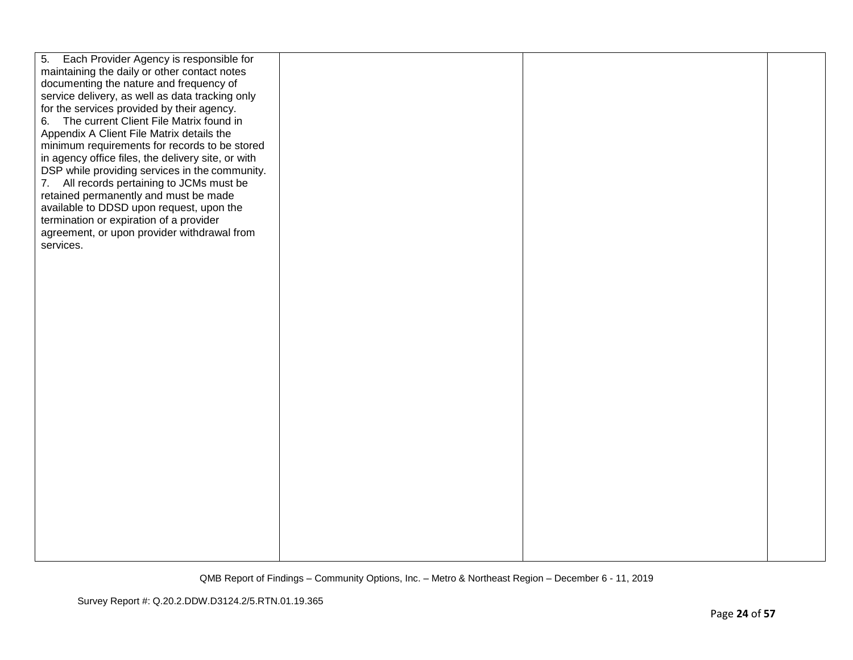| 5. Each Provider Agency is responsible for<br>maintaining the daily or other contact notes<br>documenting the nature and frequency of<br>service delivery, as well as data tracking only<br>for the services provided by their agency.<br>6. The current Client File Matrix found in<br>Appendix A Client File Matrix details the<br>minimum requirements for records to be stored<br>in agency office files, the delivery site, or with<br>DSP while providing services in the community.<br>7. All records pertaining to JCMs must be<br>retained permanently and must be made<br>available to DDSD upon request, upon the<br>termination or expiration of a provider<br>agreement, or upon provider withdrawal from<br>services. |  |  |
|-------------------------------------------------------------------------------------------------------------------------------------------------------------------------------------------------------------------------------------------------------------------------------------------------------------------------------------------------------------------------------------------------------------------------------------------------------------------------------------------------------------------------------------------------------------------------------------------------------------------------------------------------------------------------------------------------------------------------------------|--|--|
|                                                                                                                                                                                                                                                                                                                                                                                                                                                                                                                                                                                                                                                                                                                                     |  |  |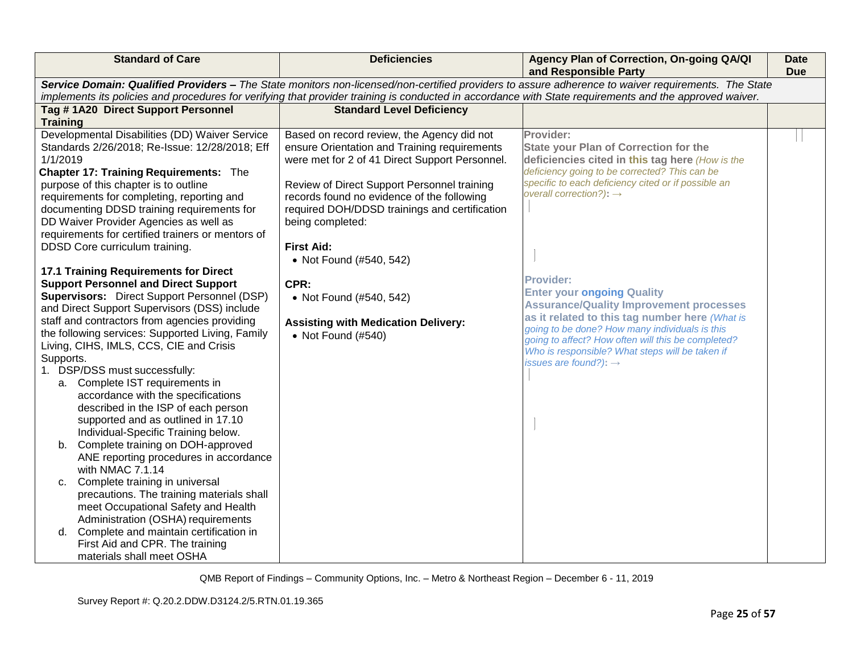| <b>Standard of Care</b>                                                                       | <b>Deficiencies</b>                                                                                                                                                                                                                                                                                            | Agency Plan of Correction, On-going QA/QI<br>and Responsible Party                                   | <b>Date</b><br><b>Due</b> |  |  |
|-----------------------------------------------------------------------------------------------|----------------------------------------------------------------------------------------------------------------------------------------------------------------------------------------------------------------------------------------------------------------------------------------------------------------|------------------------------------------------------------------------------------------------------|---------------------------|--|--|
|                                                                                               | Service Domain: Qualified Providers - The State monitors non-licensed/non-certified providers to assure adherence to waiver requirements. The State<br>implements its policies and procedures for verifying that provider training is conducted in accordance with State requirements and the approved waiver. |                                                                                                      |                           |  |  |
| Tag #1A20 Direct Support Personnel                                                            | <b>Standard Level Deficiency</b>                                                                                                                                                                                                                                                                               |                                                                                                      |                           |  |  |
| <b>Training</b>                                                                               |                                                                                                                                                                                                                                                                                                                |                                                                                                      |                           |  |  |
| Developmental Disabilities (DD) Waiver Service                                                | Based on record review, the Agency did not                                                                                                                                                                                                                                                                     | Provider:                                                                                            |                           |  |  |
| Standards 2/26/2018; Re-Issue: 12/28/2018; Eff                                                | ensure Orientation and Training requirements                                                                                                                                                                                                                                                                   | <b>State your Plan of Correction for the</b>                                                         |                           |  |  |
| 1/1/2019                                                                                      | were met for 2 of 41 Direct Support Personnel.                                                                                                                                                                                                                                                                 | deficiencies cited in this tag here (How is the                                                      |                           |  |  |
| <b>Chapter 17: Training Requirements: The</b><br>purpose of this chapter is to outline        |                                                                                                                                                                                                                                                                                                                | deficiency going to be corrected? This can be<br>specific to each deficiency cited or if possible an |                           |  |  |
| requirements for completing, reporting and                                                    | Review of Direct Support Personnel training<br>records found no evidence of the following                                                                                                                                                                                                                      | overall correction?): $\rightarrow$                                                                  |                           |  |  |
| documenting DDSD training requirements for                                                    | required DOH/DDSD trainings and certification                                                                                                                                                                                                                                                                  |                                                                                                      |                           |  |  |
| DD Waiver Provider Agencies as well as                                                        | being completed:                                                                                                                                                                                                                                                                                               |                                                                                                      |                           |  |  |
| requirements for certified trainers or mentors of                                             |                                                                                                                                                                                                                                                                                                                |                                                                                                      |                           |  |  |
| DDSD Core curriculum training.                                                                | <b>First Aid:</b>                                                                                                                                                                                                                                                                                              |                                                                                                      |                           |  |  |
|                                                                                               | • Not Found (#540, 542)                                                                                                                                                                                                                                                                                        |                                                                                                      |                           |  |  |
| 17.1 Training Requirements for Direct                                                         |                                                                                                                                                                                                                                                                                                                | <b>Provider:</b>                                                                                     |                           |  |  |
| <b>Support Personnel and Direct Support</b>                                                   | CPR:                                                                                                                                                                                                                                                                                                           | <b>Enter your ongoing Quality</b>                                                                    |                           |  |  |
| Supervisors: Direct Support Personnel (DSP)                                                   | • Not Found (#540, 542)                                                                                                                                                                                                                                                                                        | <b>Assurance/Quality Improvement processes</b>                                                       |                           |  |  |
| and Direct Support Supervisors (DSS) include<br>staff and contractors from agencies providing |                                                                                                                                                                                                                                                                                                                | as it related to this tag number here (What is                                                       |                           |  |  |
| the following services: Supported Living, Family                                              | <b>Assisting with Medication Delivery:</b>                                                                                                                                                                                                                                                                     | going to be done? How many individuals is this                                                       |                           |  |  |
| Living, CIHS, IMLS, CCS, CIE and Crisis                                                       | • Not Found (#540)                                                                                                                                                                                                                                                                                             | going to affect? How often will this be completed?                                                   |                           |  |  |
| Supports.                                                                                     |                                                                                                                                                                                                                                                                                                                | Who is responsible? What steps will be taken if<br>issues are found?): $\rightarrow$                 |                           |  |  |
| 1. DSP/DSS must successfully:                                                                 |                                                                                                                                                                                                                                                                                                                |                                                                                                      |                           |  |  |
| a. Complete IST requirements in                                                               |                                                                                                                                                                                                                                                                                                                |                                                                                                      |                           |  |  |
| accordance with the specifications                                                            |                                                                                                                                                                                                                                                                                                                |                                                                                                      |                           |  |  |
| described in the ISP of each person                                                           |                                                                                                                                                                                                                                                                                                                |                                                                                                      |                           |  |  |
| supported and as outlined in 17.10                                                            |                                                                                                                                                                                                                                                                                                                |                                                                                                      |                           |  |  |
| Individual-Specific Training below.                                                           |                                                                                                                                                                                                                                                                                                                |                                                                                                      |                           |  |  |
| Complete training on DOH-approved<br>b.<br>ANE reporting procedures in accordance             |                                                                                                                                                                                                                                                                                                                |                                                                                                      |                           |  |  |
| with NMAC 7.1.14                                                                              |                                                                                                                                                                                                                                                                                                                |                                                                                                      |                           |  |  |
| Complete training in universal<br>C.                                                          |                                                                                                                                                                                                                                                                                                                |                                                                                                      |                           |  |  |
| precautions. The training materials shall                                                     |                                                                                                                                                                                                                                                                                                                |                                                                                                      |                           |  |  |
| meet Occupational Safety and Health                                                           |                                                                                                                                                                                                                                                                                                                |                                                                                                      |                           |  |  |
| Administration (OSHA) requirements                                                            |                                                                                                                                                                                                                                                                                                                |                                                                                                      |                           |  |  |
| d. Complete and maintain certification in                                                     |                                                                                                                                                                                                                                                                                                                |                                                                                                      |                           |  |  |
| First Aid and CPR. The training                                                               |                                                                                                                                                                                                                                                                                                                |                                                                                                      |                           |  |  |
| materials shall meet OSHA                                                                     |                                                                                                                                                                                                                                                                                                                |                                                                                                      |                           |  |  |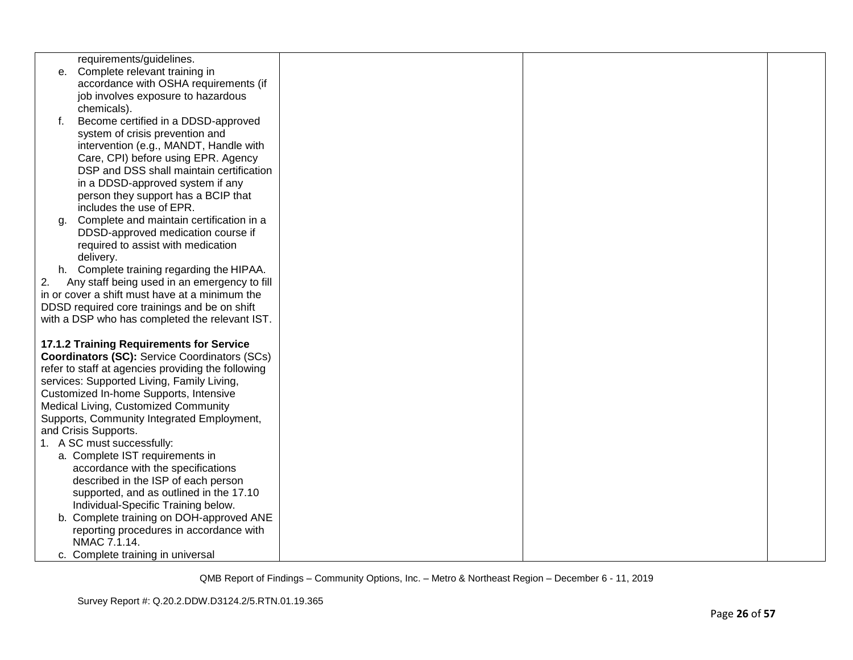|    | requirements/guidelines.                               |  |  |
|----|--------------------------------------------------------|--|--|
| е. | Complete relevant training in                          |  |  |
|    | accordance with OSHA requirements (if                  |  |  |
|    | job involves exposure to hazardous                     |  |  |
|    | chemicals).                                            |  |  |
| f. | Become certified in a DDSD-approved                    |  |  |
|    | system of crisis prevention and                        |  |  |
|    | intervention (e.g., MANDT, Handle with                 |  |  |
|    | Care, CPI) before using EPR. Agency                    |  |  |
|    | DSP and DSS shall maintain certification               |  |  |
|    | in a DDSD-approved system if any                       |  |  |
|    | person they support has a BCIP that                    |  |  |
|    | includes the use of EPR.                               |  |  |
| a. | Complete and maintain certification in a               |  |  |
|    | DDSD-approved medication course if                     |  |  |
|    | required to assist with medication                     |  |  |
|    | delivery.<br>h. Complete training regarding the HIPAA. |  |  |
| 2. | Any staff being used in an emergency to fill           |  |  |
|    | in or cover a shift must have at a minimum the         |  |  |
|    | DDSD required core trainings and be on shift           |  |  |
|    | with a DSP who has completed the relevant IST.         |  |  |
|    |                                                        |  |  |
|    | 17.1.2 Training Requirements for Service               |  |  |
|    | <b>Coordinators (SC): Service Coordinators (SCs)</b>   |  |  |
|    | refer to staff at agencies providing the following     |  |  |
|    | services: Supported Living, Family Living,             |  |  |
|    | Customized In-home Supports, Intensive                 |  |  |
|    | Medical Living, Customized Community                   |  |  |
|    | Supports, Community Integrated Employment,             |  |  |
|    | and Crisis Supports.                                   |  |  |
|    | 1. A SC must successfully:                             |  |  |
|    | a. Complete IST requirements in                        |  |  |
|    | accordance with the specifications                     |  |  |
|    | described in the ISP of each person                    |  |  |
|    | supported, and as outlined in the 17.10                |  |  |
|    | Individual-Specific Training below.                    |  |  |
|    | b. Complete training on DOH-approved ANE               |  |  |
|    | reporting procedures in accordance with                |  |  |
|    | NMAC 7.1.14.                                           |  |  |
|    | c. Complete training in universal                      |  |  |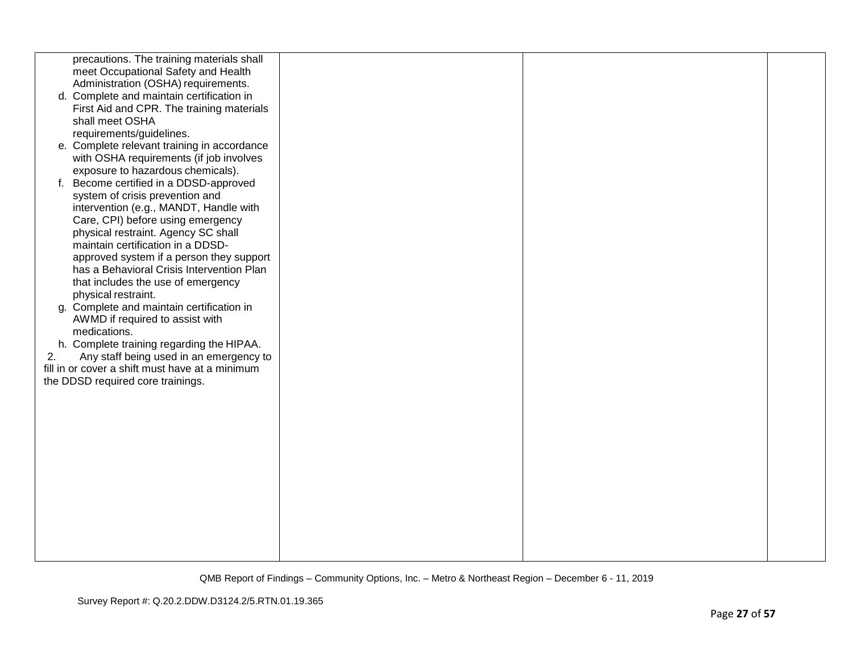|    | precautions. The training materials shall       |  |  |
|----|-------------------------------------------------|--|--|
|    | meet Occupational Safety and Health             |  |  |
|    | Administration (OSHA) requirements.             |  |  |
|    | d. Complete and maintain certification in       |  |  |
|    | First Aid and CPR. The training materials       |  |  |
|    | shall meet OSHA                                 |  |  |
|    | requirements/guidelines.                        |  |  |
|    | e. Complete relevant training in accordance     |  |  |
|    | with OSHA requirements (if job involves         |  |  |
|    | exposure to hazardous chemicals).               |  |  |
|    | f. Become certified in a DDSD-approved          |  |  |
|    | system of crisis prevention and                 |  |  |
|    | intervention (e.g., MANDT, Handle with          |  |  |
|    | Care, CPI) before using emergency               |  |  |
|    | physical restraint. Agency SC shall             |  |  |
|    | maintain certification in a DDSD-               |  |  |
|    | approved system if a person they support        |  |  |
|    | has a Behavioral Crisis Intervention Plan       |  |  |
|    | that includes the use of emergency              |  |  |
|    | physical restraint.                             |  |  |
|    | g. Complete and maintain certification in       |  |  |
|    | AWMD if required to assist with                 |  |  |
|    | medications.                                    |  |  |
|    | h. Complete training regarding the HIPAA.       |  |  |
| 2. | Any staff being used in an emergency to         |  |  |
|    | fill in or cover a shift must have at a minimum |  |  |
|    | the DDSD required core trainings.               |  |  |
|    |                                                 |  |  |
|    |                                                 |  |  |
|    |                                                 |  |  |
|    |                                                 |  |  |
|    |                                                 |  |  |
|    |                                                 |  |  |
|    |                                                 |  |  |
|    |                                                 |  |  |
|    |                                                 |  |  |
|    |                                                 |  |  |
|    |                                                 |  |  |
|    |                                                 |  |  |
|    |                                                 |  |  |
|    |                                                 |  |  |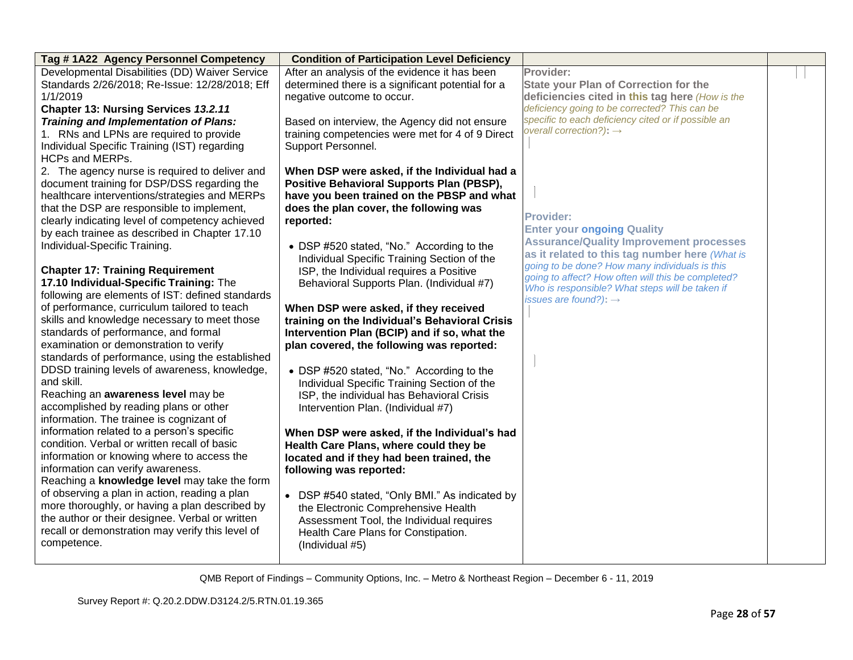| Tag #1A22 Agency Personnel Competency            | <b>Condition of Participation Level Deficiency</b> |                                                                                                  |  |
|--------------------------------------------------|----------------------------------------------------|--------------------------------------------------------------------------------------------------|--|
| Developmental Disabilities (DD) Waiver Service   | After an analysis of the evidence it has been      | Provider:                                                                                        |  |
| Standards 2/26/2018; Re-Issue: 12/28/2018; Eff   | determined there is a significant potential for a  | <b>State your Plan of Correction for the</b>                                                     |  |
| 1/1/2019                                         | negative outcome to occur.                         | deficiencies cited in this tag here (How is the                                                  |  |
| Chapter 13: Nursing Services 13.2.11             |                                                    | deficiency going to be corrected? This can be                                                    |  |
| <b>Training and Implementation of Plans:</b>     | Based on interview, the Agency did not ensure      | specific to each deficiency cited or if possible an                                              |  |
| 1. RNs and LPNs are required to provide          | training competencies were met for 4 of 9 Direct   | overall correction?): $\rightarrow$                                                              |  |
| Individual Specific Training (IST) regarding     | Support Personnel.                                 |                                                                                                  |  |
| <b>HCPs and MERPs.</b>                           |                                                    |                                                                                                  |  |
| 2. The agency nurse is required to deliver and   | When DSP were asked, if the Individual had a       |                                                                                                  |  |
| document training for DSP/DSS regarding the      | Positive Behavioral Supports Plan (PBSP),          |                                                                                                  |  |
| healthcare interventions/strategies and MERPs    | have you been trained on the PBSP and what         |                                                                                                  |  |
| that the DSP are responsible to implement,       | does the plan cover, the following was             |                                                                                                  |  |
| clearly indicating level of competency achieved  | reported:                                          | <b>Provider:</b>                                                                                 |  |
| by each trainee as described in Chapter 17.10    |                                                    | <b>Enter your ongoing Quality</b>                                                                |  |
| Individual-Specific Training.                    | • DSP #520 stated, "No." According to the          | <b>Assurance/Quality Improvement processes</b>                                                   |  |
|                                                  | Individual Specific Training Section of the        | as it related to this tag number here (What is<br>going to be done? How many individuals is this |  |
| <b>Chapter 17: Training Requirement</b>          | ISP, the Individual requires a Positive            | going to affect? How often will this be completed?                                               |  |
| 17.10 Individual-Specific Training: The          | Behavioral Supports Plan. (Individual #7)          | Who is responsible? What steps will be taken if                                                  |  |
| following are elements of IST: defined standards |                                                    | issues are found?): $\rightarrow$                                                                |  |
| of performance, curriculum tailored to teach     | When DSP were asked, if they received              |                                                                                                  |  |
| skills and knowledge necessary to meet those     | training on the Individual's Behavioral Crisis     |                                                                                                  |  |
| standards of performance, and formal             | Intervention Plan (BCIP) and if so, what the       |                                                                                                  |  |
| examination or demonstration to verify           | plan covered, the following was reported:          |                                                                                                  |  |
| standards of performance, using the established  |                                                    |                                                                                                  |  |
| DDSD training levels of awareness, knowledge,    | • DSP #520 stated, "No." According to the          |                                                                                                  |  |
| and skill.                                       | Individual Specific Training Section of the        |                                                                                                  |  |
| Reaching an awareness level may be               | ISP, the individual has Behavioral Crisis          |                                                                                                  |  |
| accomplished by reading plans or other           | Intervention Plan. (Individual #7)                 |                                                                                                  |  |
| information. The trainee is cognizant of         |                                                    |                                                                                                  |  |
| information related to a person's specific       | When DSP were asked, if the Individual's had       |                                                                                                  |  |
| condition. Verbal or written recall of basic     | Health Care Plans, where could they be             |                                                                                                  |  |
| information or knowing where to access the       | located and if they had been trained, the          |                                                                                                  |  |
| information can verify awareness.                | following was reported:                            |                                                                                                  |  |
| Reaching a knowledge level may take the form     |                                                    |                                                                                                  |  |
| of observing a plan in action, reading a plan    | • DSP #540 stated, "Only BMI." As indicated by     |                                                                                                  |  |
| more thoroughly, or having a plan described by   | the Electronic Comprehensive Health                |                                                                                                  |  |
| the author or their designee. Verbal or written  | Assessment Tool, the Individual requires           |                                                                                                  |  |
| recall or demonstration may verify this level of | Health Care Plans for Constipation.                |                                                                                                  |  |
| competence.                                      | (Individual #5)                                    |                                                                                                  |  |
|                                                  |                                                    |                                                                                                  |  |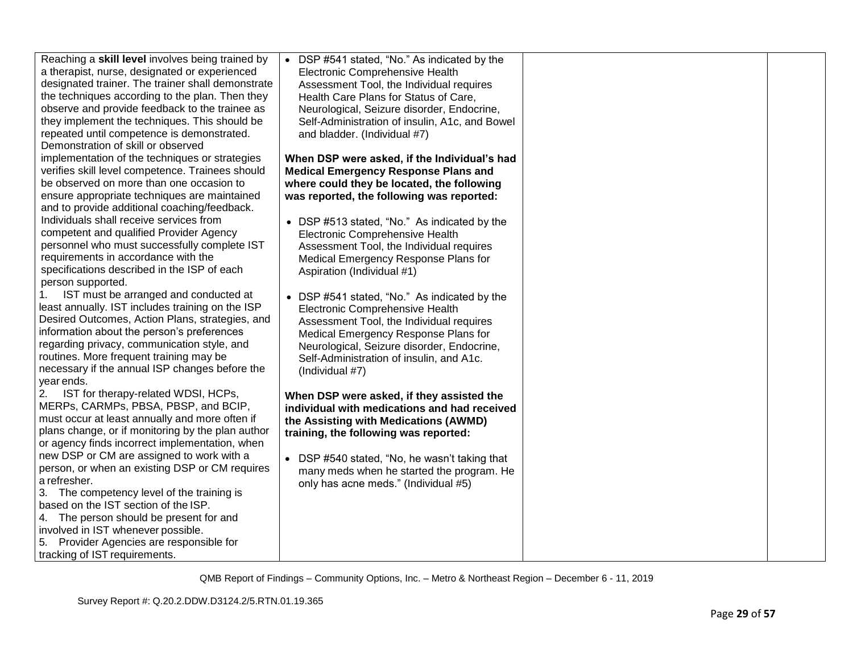| Reaching a skill level involves being trained by  | • DSP #541 stated, "No." As indicated by the   |  |
|---------------------------------------------------|------------------------------------------------|--|
| a therapist, nurse, designated or experienced     | Electronic Comprehensive Health                |  |
| designated trainer. The trainer shall demonstrate | Assessment Tool, the Individual requires       |  |
| the techniques according to the plan. Then they   | Health Care Plans for Status of Care,          |  |
| observe and provide feedback to the trainee as    | Neurological, Seizure disorder, Endocrine,     |  |
| they implement the techniques. This should be     | Self-Administration of insulin, A1c, and Bowel |  |
| repeated until competence is demonstrated.        | and bladder. (Individual #7)                   |  |
| Demonstration of skill or observed                |                                                |  |
| implementation of the techniques or strategies    | When DSP were asked, if the Individual's had   |  |
| verifies skill level competence. Trainees should  | <b>Medical Emergency Response Plans and</b>    |  |
| be observed on more than one occasion to          | where could they be located, the following     |  |
| ensure appropriate techniques are maintained      | was reported, the following was reported:      |  |
| and to provide additional coaching/feedback.      |                                                |  |
| Individuals shall receive services from           | • DSP #513 stated, "No." As indicated by the   |  |
| competent and qualified Provider Agency           | Electronic Comprehensive Health                |  |
| personnel who must successfully complete IST      | Assessment Tool, the Individual requires       |  |
| requirements in accordance with the               | Medical Emergency Response Plans for           |  |
| specifications described in the ISP of each       | Aspiration (Individual #1)                     |  |
| person supported.                                 |                                                |  |
| IST must be arranged and conducted at             | • DSP #541 stated, "No." As indicated by the   |  |
| least annually. IST includes training on the ISP  | Electronic Comprehensive Health                |  |
| Desired Outcomes, Action Plans, strategies, and   | Assessment Tool, the Individual requires       |  |
| information about the person's preferences        | Medical Emergency Response Plans for           |  |
| regarding privacy, communication style, and       | Neurological, Seizure disorder, Endocrine,     |  |
| routines. More frequent training may be           | Self-Administration of insulin, and A1c.       |  |
| necessary if the annual ISP changes before the    | (Individual #7)                                |  |
| year ends.                                        |                                                |  |
| IST for therapy-related WDSI, HCPs,<br>2.         | When DSP were asked, if they assisted the      |  |
| MERPs, CARMPs, PBSA, PBSP, and BCIP,              | individual with medications and had received   |  |
| must occur at least annually and more often if    | the Assisting with Medications (AWMD)          |  |
| plans change, or if monitoring by the plan author | training, the following was reported:          |  |
| or agency finds incorrect implementation, when    |                                                |  |
| new DSP or CM are assigned to work with a         | • DSP #540 stated, "No, he wasn't taking that  |  |
| person, or when an existing DSP or CM requires    | many meds when he started the program. He      |  |
| a refresher.                                      | only has acne meds." (Individual #5)           |  |
| 3. The competency level of the training is        |                                                |  |
| based on the IST section of the ISP.              |                                                |  |
| 4. The person should be present for and           |                                                |  |
| involved in IST whenever possible.                |                                                |  |
| 5. Provider Agencies are responsible for          |                                                |  |
| tracking of IST requirements.                     |                                                |  |
|                                                   |                                                |  |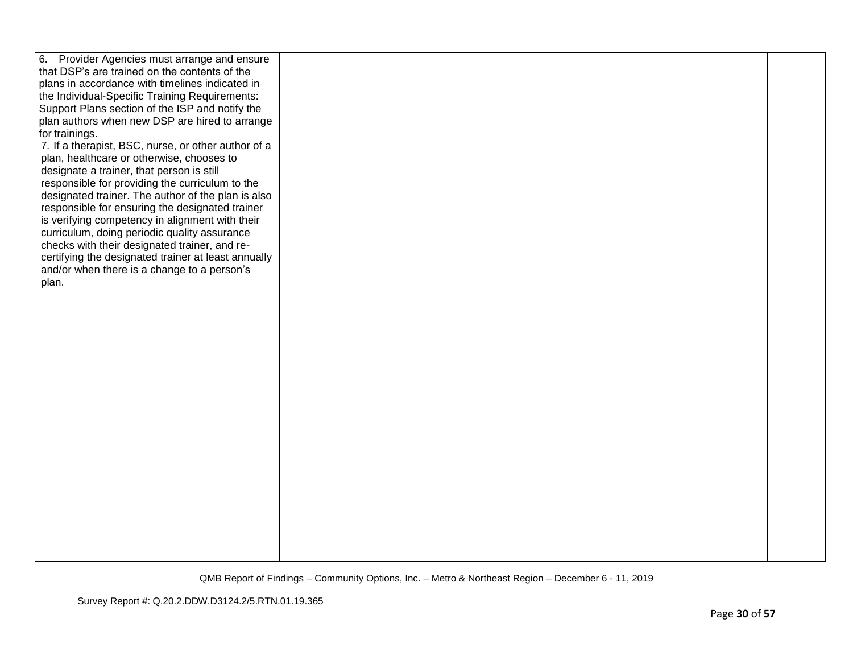| 6. Provider Agencies must arrange and ensure        |  |  |
|-----------------------------------------------------|--|--|
| that DSP's are trained on the contents of the       |  |  |
| plans in accordance with timelines indicated in     |  |  |
| the Individual-Specific Training Requirements:      |  |  |
| Support Plans section of the ISP and notify the     |  |  |
| plan authors when new DSP are hired to arrange      |  |  |
| for trainings.                                      |  |  |
| 7. If a therapist, BSC, nurse, or other author of a |  |  |
| plan, healthcare or otherwise, chooses to           |  |  |
| designate a trainer, that person is still           |  |  |
| responsible for providing the curriculum to the     |  |  |
| designated trainer. The author of the plan is also  |  |  |
| responsible for ensuring the designated trainer     |  |  |
| is verifying competency in alignment with their     |  |  |
| curriculum, doing periodic quality assurance        |  |  |
| checks with their designated trainer, and re-       |  |  |
| certifying the designated trainer at least annually |  |  |
| and/or when there is a change to a person's         |  |  |
| plan.                                               |  |  |
|                                                     |  |  |
|                                                     |  |  |
|                                                     |  |  |
|                                                     |  |  |
|                                                     |  |  |
|                                                     |  |  |
|                                                     |  |  |
|                                                     |  |  |
|                                                     |  |  |
|                                                     |  |  |
|                                                     |  |  |
|                                                     |  |  |
|                                                     |  |  |
|                                                     |  |  |
|                                                     |  |  |
|                                                     |  |  |
|                                                     |  |  |
|                                                     |  |  |
|                                                     |  |  |
|                                                     |  |  |
|                                                     |  |  |
|                                                     |  |  |
|                                                     |  |  |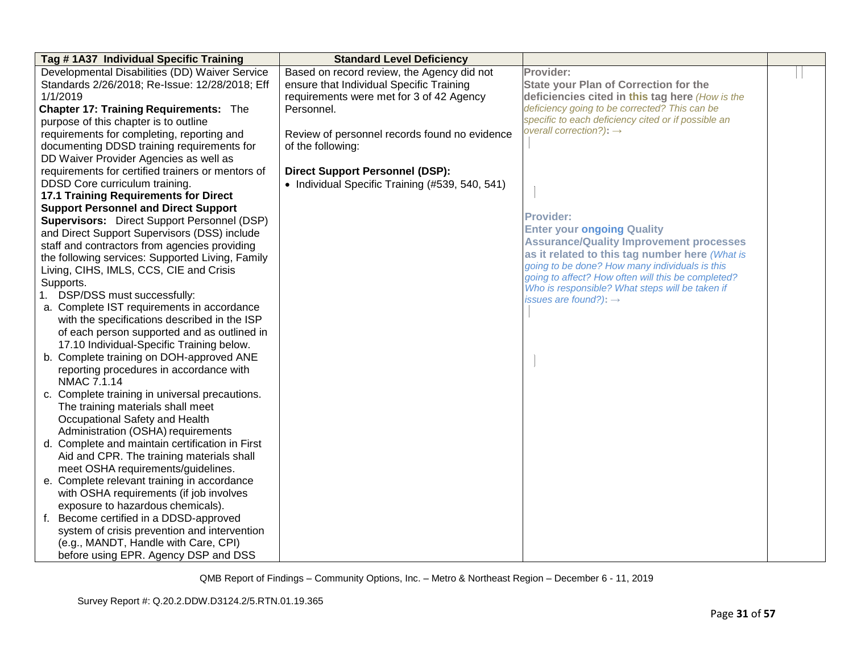| Tag #1A37 Individual Specific Training             | <b>Standard Level Deficiency</b>                |                                                                                      |  |
|----------------------------------------------------|-------------------------------------------------|--------------------------------------------------------------------------------------|--|
| Developmental Disabilities (DD) Waiver Service     | Based on record review, the Agency did not      | Provider:                                                                            |  |
| Standards 2/26/2018; Re-Issue: 12/28/2018; Eff     | ensure that Individual Specific Training        | <b>State your Plan of Correction for the</b>                                         |  |
| 1/1/2019                                           | requirements were met for 3 of 42 Agency        | deficiencies cited in this tag here (How is the                                      |  |
| <b>Chapter 17: Training Requirements: The</b>      | Personnel.                                      | deficiency going to be corrected? This can be                                        |  |
| purpose of this chapter is to outline              |                                                 | specific to each deficiency cited or if possible an                                  |  |
| requirements for completing, reporting and         | Review of personnel records found no evidence   | overall correction?): $\rightarrow$                                                  |  |
| documenting DDSD training requirements for         | of the following:                               |                                                                                      |  |
| DD Waiver Provider Agencies as well as             |                                                 |                                                                                      |  |
| requirements for certified trainers or mentors of  | <b>Direct Support Personnel (DSP):</b>          |                                                                                      |  |
| DDSD Core curriculum training.                     | • Individual Specific Training (#539, 540, 541) |                                                                                      |  |
| 17.1 Training Requirements for Direct              |                                                 |                                                                                      |  |
| <b>Support Personnel and Direct Support</b>        |                                                 |                                                                                      |  |
| <b>Supervisors:</b> Direct Support Personnel (DSP) |                                                 | <b>Provider:</b>                                                                     |  |
| and Direct Support Supervisors (DSS) include       |                                                 | <b>Enter your ongoing Quality</b>                                                    |  |
| staff and contractors from agencies providing      |                                                 | <b>Assurance/Quality Improvement processes</b>                                       |  |
| the following services: Supported Living, Family   |                                                 | as it related to this tag number here (What is                                       |  |
| Living, CIHS, IMLS, CCS, CIE and Crisis            |                                                 | going to be done? How many individuals is this                                       |  |
| Supports.                                          |                                                 | going to affect? How often will this be completed?                                   |  |
| 1. DSP/DSS must successfully:                      |                                                 | Who is responsible? What steps will be taken if<br>issues are found?): $\rightarrow$ |  |
| a. Complete IST requirements in accordance         |                                                 |                                                                                      |  |
| with the specifications described in the ISP       |                                                 |                                                                                      |  |
| of each person supported and as outlined in        |                                                 |                                                                                      |  |
| 17.10 Individual-Specific Training below.          |                                                 |                                                                                      |  |
| b. Complete training on DOH-approved ANE           |                                                 |                                                                                      |  |
| reporting procedures in accordance with            |                                                 |                                                                                      |  |
| NMAC 7.1.14                                        |                                                 |                                                                                      |  |
| c. Complete training in universal precautions.     |                                                 |                                                                                      |  |
| The training materials shall meet                  |                                                 |                                                                                      |  |
| Occupational Safety and Health                     |                                                 |                                                                                      |  |
| Administration (OSHA) requirements                 |                                                 |                                                                                      |  |
| d. Complete and maintain certification in First    |                                                 |                                                                                      |  |
| Aid and CPR. The training materials shall          |                                                 |                                                                                      |  |
| meet OSHA requirements/guidelines.                 |                                                 |                                                                                      |  |
| e. Complete relevant training in accordance        |                                                 |                                                                                      |  |
| with OSHA requirements (if job involves            |                                                 |                                                                                      |  |
| exposure to hazardous chemicals).                  |                                                 |                                                                                      |  |
| f. Become certified in a DDSD-approved             |                                                 |                                                                                      |  |
| system of crisis prevention and intervention       |                                                 |                                                                                      |  |
| (e.g., MANDT, Handle with Care, CPI)               |                                                 |                                                                                      |  |
| before using EPR. Agency DSP and DSS               |                                                 |                                                                                      |  |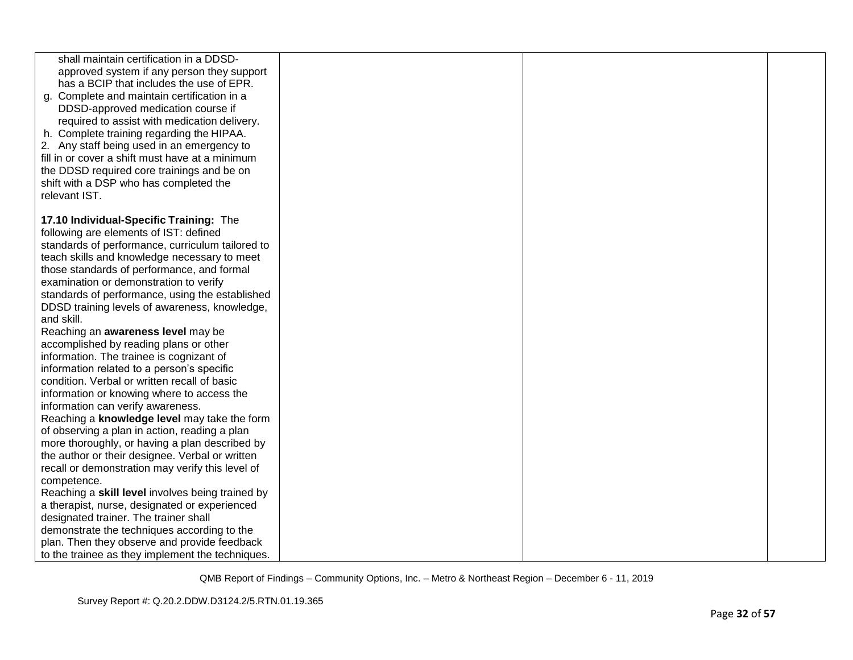| shall maintain certification in a DDSD-<br>approved system if any person they support<br>has a BCIP that includes the use of EPR.<br>g. Complete and maintain certification in a<br>DDSD-approved medication course if<br>required to assist with medication delivery.<br>h. Complete training regarding the HIPAA.<br>2. Any staff being used in an emergency to<br>fill in or cover a shift must have at a minimum<br>the DDSD required core trainings and be on<br>shift with a DSP who has completed the<br>relevant IST. |  |  |
|-------------------------------------------------------------------------------------------------------------------------------------------------------------------------------------------------------------------------------------------------------------------------------------------------------------------------------------------------------------------------------------------------------------------------------------------------------------------------------------------------------------------------------|--|--|
|                                                                                                                                                                                                                                                                                                                                                                                                                                                                                                                               |  |  |
| 17.10 Individual-Specific Training: The                                                                                                                                                                                                                                                                                                                                                                                                                                                                                       |  |  |
| following are elements of IST: defined                                                                                                                                                                                                                                                                                                                                                                                                                                                                                        |  |  |
| standards of performance, curriculum tailored to                                                                                                                                                                                                                                                                                                                                                                                                                                                                              |  |  |
| teach skills and knowledge necessary to meet                                                                                                                                                                                                                                                                                                                                                                                                                                                                                  |  |  |
| those standards of performance, and formal<br>examination or demonstration to verify                                                                                                                                                                                                                                                                                                                                                                                                                                          |  |  |
|                                                                                                                                                                                                                                                                                                                                                                                                                                                                                                                               |  |  |
| standards of performance, using the established                                                                                                                                                                                                                                                                                                                                                                                                                                                                               |  |  |
| DDSD training levels of awareness, knowledge,<br>and skill.                                                                                                                                                                                                                                                                                                                                                                                                                                                                   |  |  |
| Reaching an awareness level may be                                                                                                                                                                                                                                                                                                                                                                                                                                                                                            |  |  |
| accomplished by reading plans or other                                                                                                                                                                                                                                                                                                                                                                                                                                                                                        |  |  |
| information. The trainee is cognizant of                                                                                                                                                                                                                                                                                                                                                                                                                                                                                      |  |  |
| information related to a person's specific                                                                                                                                                                                                                                                                                                                                                                                                                                                                                    |  |  |
| condition. Verbal or written recall of basic                                                                                                                                                                                                                                                                                                                                                                                                                                                                                  |  |  |
| information or knowing where to access the                                                                                                                                                                                                                                                                                                                                                                                                                                                                                    |  |  |
| information can verify awareness.                                                                                                                                                                                                                                                                                                                                                                                                                                                                                             |  |  |
| Reaching a knowledge level may take the form                                                                                                                                                                                                                                                                                                                                                                                                                                                                                  |  |  |
| of observing a plan in action, reading a plan                                                                                                                                                                                                                                                                                                                                                                                                                                                                                 |  |  |
| more thoroughly, or having a plan described by                                                                                                                                                                                                                                                                                                                                                                                                                                                                                |  |  |
| the author or their designee. Verbal or written                                                                                                                                                                                                                                                                                                                                                                                                                                                                               |  |  |
| recall or demonstration may verify this level of                                                                                                                                                                                                                                                                                                                                                                                                                                                                              |  |  |
| competence.                                                                                                                                                                                                                                                                                                                                                                                                                                                                                                                   |  |  |
| Reaching a skill level involves being trained by                                                                                                                                                                                                                                                                                                                                                                                                                                                                              |  |  |
| a therapist, nurse, designated or experienced                                                                                                                                                                                                                                                                                                                                                                                                                                                                                 |  |  |
| designated trainer. The trainer shall                                                                                                                                                                                                                                                                                                                                                                                                                                                                                         |  |  |
| demonstrate the techniques according to the                                                                                                                                                                                                                                                                                                                                                                                                                                                                                   |  |  |
| plan. Then they observe and provide feedback                                                                                                                                                                                                                                                                                                                                                                                                                                                                                  |  |  |
| to the trainee as they implement the techniques.                                                                                                                                                                                                                                                                                                                                                                                                                                                                              |  |  |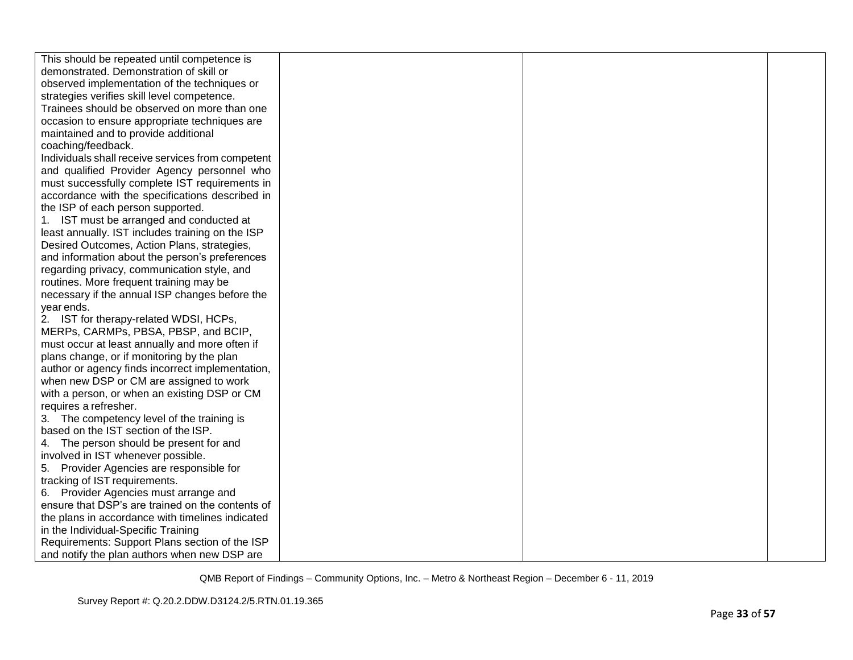| This should be repeated until competence is       |  |  |
|---------------------------------------------------|--|--|
| demonstrated. Demonstration of skill or           |  |  |
| observed implementation of the techniques or      |  |  |
| strategies verifies skill level competence.       |  |  |
| Trainees should be observed on more than one      |  |  |
| occasion to ensure appropriate techniques are     |  |  |
| maintained and to provide additional              |  |  |
| coaching/feedback.                                |  |  |
| Individuals shall receive services from competent |  |  |
| and qualified Provider Agency personnel who       |  |  |
| must successfully complete IST requirements in    |  |  |
| accordance with the specifications described in   |  |  |
| the ISP of each person supported.                 |  |  |
| 1. IST must be arranged and conducted at          |  |  |
| least annually. IST includes training on the ISP  |  |  |
| Desired Outcomes, Action Plans, strategies,       |  |  |
| and information about the person's preferences    |  |  |
| regarding privacy, communication style, and       |  |  |
| routines. More frequent training may be           |  |  |
| necessary if the annual ISP changes before the    |  |  |
| year ends.                                        |  |  |
| 2. IST for therapy-related WDSI, HCPs,            |  |  |
| MERPs, CARMPs, PBSA, PBSP, and BCIP,              |  |  |
| must occur at least annually and more often if    |  |  |
| plans change, or if monitoring by the plan        |  |  |
| author or agency finds incorrect implementation,  |  |  |
| when new DSP or CM are assigned to work           |  |  |
| with a person, or when an existing DSP or CM      |  |  |
| requires a refresher.                             |  |  |
| 3. The competency level of the training is        |  |  |
| based on the IST section of the ISP.              |  |  |
| 4. The person should be present for and           |  |  |
| involved in IST whenever possible.                |  |  |
| 5. Provider Agencies are responsible for          |  |  |
| tracking of IST requirements.                     |  |  |
| 6. Provider Agencies must arrange and             |  |  |
| ensure that DSP's are trained on the contents of  |  |  |
| the plans in accordance with timelines indicated  |  |  |
| in the Individual-Specific Training               |  |  |
| Requirements: Support Plans section of the ISP    |  |  |
| and notify the plan authors when new DSP are      |  |  |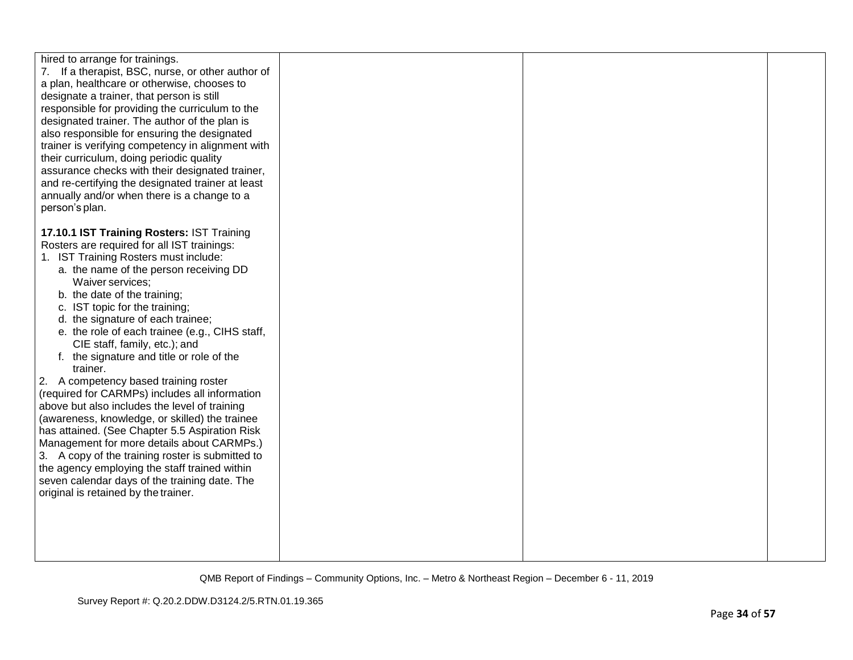| hired to arrange for trainings.<br>7. If a therapist, BSC, nurse, or other author of<br>a plan, healthcare or otherwise, chooses to<br>designate a trainer, that person is still<br>responsible for providing the curriculum to the<br>designated trainer. The author of the plan is<br>also responsible for ensuring the designated<br>trainer is verifying competency in alignment with<br>their curriculum, doing periodic quality<br>assurance checks with their designated trainer,<br>and re-certifying the designated trainer at least<br>annually and/or when there is a change to a<br>person's plan.<br>17.10.1 IST Training Rosters: IST Training<br>Rosters are required for all IST trainings: |  |  |
|-------------------------------------------------------------------------------------------------------------------------------------------------------------------------------------------------------------------------------------------------------------------------------------------------------------------------------------------------------------------------------------------------------------------------------------------------------------------------------------------------------------------------------------------------------------------------------------------------------------------------------------------------------------------------------------------------------------|--|--|
| 1. IST Training Rosters must include:<br>a. the name of the person receiving DD<br>Waiver services;<br>b. the date of the training;<br>c. IST topic for the training;<br>d. the signature of each trainee;<br>e. the role of each trainee (e.g., CIHS staff,<br>CIE staff, family, etc.); and<br>f. the signature and title or role of the<br>trainer.<br>2. A competency based training roster                                                                                                                                                                                                                                                                                                             |  |  |
| (required for CARMPs) includes all information<br>above but also includes the level of training<br>(awareness, knowledge, or skilled) the trainee<br>has attained. (See Chapter 5.5 Aspiration Risk<br>Management for more details about CARMPs.)<br>3. A copy of the training roster is submitted to<br>the agency employing the staff trained within<br>seven calendar days of the training date. The<br>original is retained by the trainer.                                                                                                                                                                                                                                                             |  |  |
|                                                                                                                                                                                                                                                                                                                                                                                                                                                                                                                                                                                                                                                                                                             |  |  |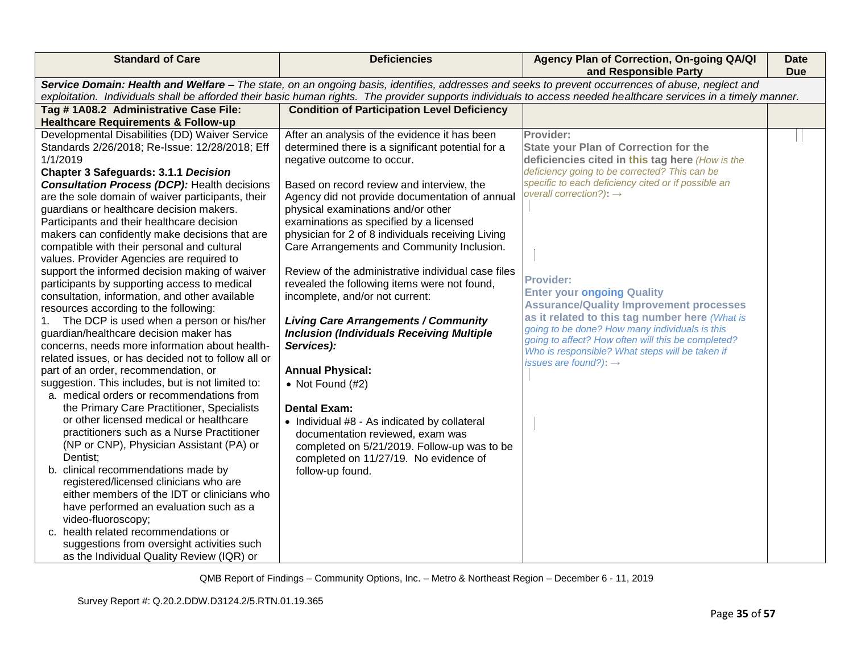| <b>Standard of Care</b>                                                                                                                                                                                                                                                                                               | <b>Deficiencies</b>                                                             | Agency Plan of Correction, On-going QA/QI<br>and Responsible Party                               | <b>Date</b><br><b>Due</b> |
|-----------------------------------------------------------------------------------------------------------------------------------------------------------------------------------------------------------------------------------------------------------------------------------------------------------------------|---------------------------------------------------------------------------------|--------------------------------------------------------------------------------------------------|---------------------------|
| Service Domain: Health and Welfare - The state, on an ongoing basis, identifies, addresses and seeks to prevent occurrences of abuse, neglect and<br>exploitation. Individuals shall be afforded their basic human rights. The provider supports individuals to access needed healthcare services in a timely manner. |                                                                                 |                                                                                                  |                           |
| Tag #1A08.2 Administrative Case File:                                                                                                                                                                                                                                                                                 | <b>Condition of Participation Level Deficiency</b>                              |                                                                                                  |                           |
| <b>Healthcare Requirements &amp; Follow-up</b>                                                                                                                                                                                                                                                                        |                                                                                 |                                                                                                  |                           |
| Developmental Disabilities (DD) Waiver Service                                                                                                                                                                                                                                                                        | After an analysis of the evidence it has been                                   | Provider:                                                                                        |                           |
| Standards 2/26/2018; Re-Issue: 12/28/2018; Eff                                                                                                                                                                                                                                                                        | determined there is a significant potential for a                               | <b>State your Plan of Correction for the</b>                                                     |                           |
| 1/1/2019                                                                                                                                                                                                                                                                                                              | negative outcome to occur.                                                      | deficiencies cited in this tag here (How is the                                                  |                           |
| <b>Chapter 3 Safeguards: 3.1.1 Decision</b>                                                                                                                                                                                                                                                                           |                                                                                 | deficiency going to be corrected? This can be                                                    |                           |
| <b>Consultation Process (DCP): Health decisions</b>                                                                                                                                                                                                                                                                   | Based on record review and interview, the                                       | specific to each deficiency cited or if possible an                                              |                           |
| are the sole domain of waiver participants, their                                                                                                                                                                                                                                                                     | Agency did not provide documentation of annual                                  | overall correction?): $\rightarrow$                                                              |                           |
| guardians or healthcare decision makers.                                                                                                                                                                                                                                                                              | physical examinations and/or other                                              |                                                                                                  |                           |
| Participants and their healthcare decision                                                                                                                                                                                                                                                                            | examinations as specified by a licensed                                         |                                                                                                  |                           |
| makers can confidently make decisions that are                                                                                                                                                                                                                                                                        | physician for 2 of 8 individuals receiving Living                               |                                                                                                  |                           |
| compatible with their personal and cultural                                                                                                                                                                                                                                                                           | Care Arrangements and Community Inclusion.                                      |                                                                                                  |                           |
| values. Provider Agencies are required to                                                                                                                                                                                                                                                                             |                                                                                 |                                                                                                  |                           |
| support the informed decision making of waiver                                                                                                                                                                                                                                                                        | Review of the administrative individual case files                              |                                                                                                  |                           |
| participants by supporting access to medical                                                                                                                                                                                                                                                                          | revealed the following items were not found,                                    | <b>Provider:</b>                                                                                 |                           |
| consultation, information, and other available                                                                                                                                                                                                                                                                        | incomplete, and/or not current:                                                 | <b>Enter your ongoing Quality</b>                                                                |                           |
| resources according to the following:                                                                                                                                                                                                                                                                                 |                                                                                 | <b>Assurance/Quality Improvement processes</b><br>as it related to this tag number here (What is |                           |
| The DCP is used when a person or his/her<br>1.                                                                                                                                                                                                                                                                        | <b>Living Care Arrangements / Community</b>                                     | going to be done? How many individuals is this                                                   |                           |
| guardian/healthcare decision maker has                                                                                                                                                                                                                                                                                | <b>Inclusion (Individuals Receiving Multiple</b>                                | going to affect? How often will this be completed?                                               |                           |
| concerns, needs more information about health-                                                                                                                                                                                                                                                                        | Services):                                                                      | Who is responsible? What steps will be taken if                                                  |                           |
| related issues, or has decided not to follow all or                                                                                                                                                                                                                                                                   |                                                                                 | issues are found?): $\rightarrow$                                                                |                           |
| part of an order, recommendation, or                                                                                                                                                                                                                                                                                  | <b>Annual Physical:</b>                                                         |                                                                                                  |                           |
| suggestion. This includes, but is not limited to:                                                                                                                                                                                                                                                                     | • Not Found $(H2)$                                                              |                                                                                                  |                           |
| a. medical orders or recommendations from<br>the Primary Care Practitioner, Specialists                                                                                                                                                                                                                               | <b>Dental Exam:</b>                                                             |                                                                                                  |                           |
| or other licensed medical or healthcare                                                                                                                                                                                                                                                                               |                                                                                 |                                                                                                  |                           |
| practitioners such as a Nurse Practitioner                                                                                                                                                                                                                                                                            | • Individual #8 - As indicated by collateral                                    |                                                                                                  |                           |
| (NP or CNP), Physician Assistant (PA) or                                                                                                                                                                                                                                                                              | documentation reviewed, exam was<br>completed on 5/21/2019. Follow-up was to be |                                                                                                  |                           |
| Dentist;                                                                                                                                                                                                                                                                                                              | completed on 11/27/19. No evidence of                                           |                                                                                                  |                           |
| b. clinical recommendations made by                                                                                                                                                                                                                                                                                   | follow-up found.                                                                |                                                                                                  |                           |
| registered/licensed clinicians who are                                                                                                                                                                                                                                                                                |                                                                                 |                                                                                                  |                           |
| either members of the IDT or clinicians who                                                                                                                                                                                                                                                                           |                                                                                 |                                                                                                  |                           |
| have performed an evaluation such as a                                                                                                                                                                                                                                                                                |                                                                                 |                                                                                                  |                           |
| video-fluoroscopy;                                                                                                                                                                                                                                                                                                    |                                                                                 |                                                                                                  |                           |
| c. health related recommendations or                                                                                                                                                                                                                                                                                  |                                                                                 |                                                                                                  |                           |
| suggestions from oversight activities such                                                                                                                                                                                                                                                                            |                                                                                 |                                                                                                  |                           |
| as the Individual Quality Review (IQR) or                                                                                                                                                                                                                                                                             |                                                                                 |                                                                                                  |                           |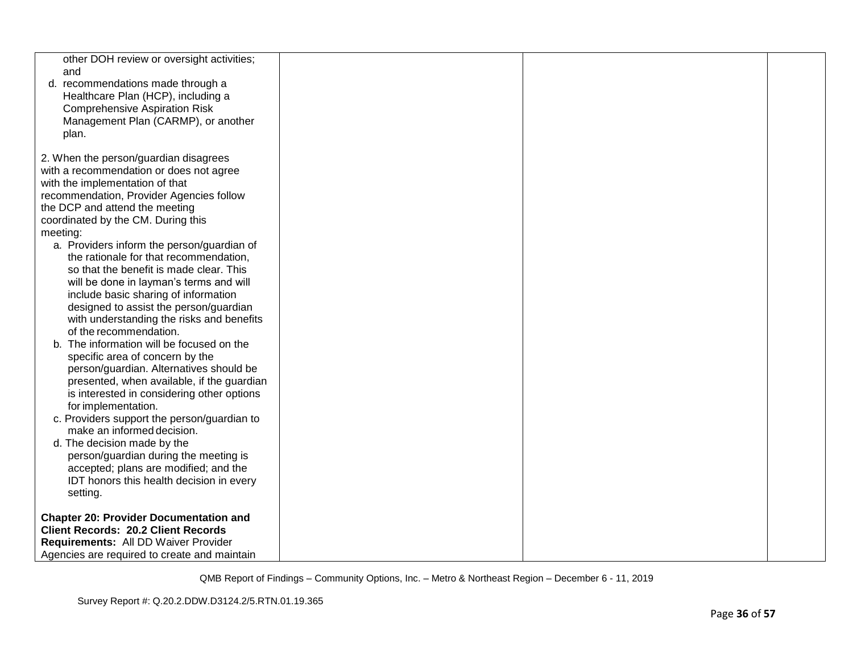| other DOH review or oversight activities;<br>and<br>d. recommendations made through a<br>Healthcare Plan (HCP), including a<br><b>Comprehensive Aspiration Risk</b><br>Management Plan (CARMP), or another<br>plan.                                                                                                                                                                                                                                                                                                                                                                                                                                                                                                                                                                                                                                                                                                                                                                                                                                                                         |  |  |
|---------------------------------------------------------------------------------------------------------------------------------------------------------------------------------------------------------------------------------------------------------------------------------------------------------------------------------------------------------------------------------------------------------------------------------------------------------------------------------------------------------------------------------------------------------------------------------------------------------------------------------------------------------------------------------------------------------------------------------------------------------------------------------------------------------------------------------------------------------------------------------------------------------------------------------------------------------------------------------------------------------------------------------------------------------------------------------------------|--|--|
| 2. When the person/guardian disagrees<br>with a recommendation or does not agree<br>with the implementation of that<br>recommendation, Provider Agencies follow<br>the DCP and attend the meeting<br>coordinated by the CM. During this<br>meeting:<br>a. Providers inform the person/guardian of<br>the rationale for that recommendation,<br>so that the benefit is made clear. This<br>will be done in layman's terms and will<br>include basic sharing of information<br>designed to assist the person/guardian<br>with understanding the risks and benefits<br>of the recommendation.<br>The information will be focused on the<br>specific area of concern by the<br>person/guardian. Alternatives should be<br>presented, when available, if the guardian<br>is interested in considering other options<br>for implementation.<br>c. Providers support the person/guardian to<br>make an informed decision.<br>d. The decision made by the<br>person/guardian during the meeting is<br>accepted; plans are modified; and the<br>IDT honors this health decision in every<br>setting. |  |  |
| <b>Chapter 20: Provider Documentation and</b><br><b>Client Records: 20.2 Client Records</b><br>Requirements: All DD Waiver Provider<br>Agencies are required to create and maintain                                                                                                                                                                                                                                                                                                                                                                                                                                                                                                                                                                                                                                                                                                                                                                                                                                                                                                         |  |  |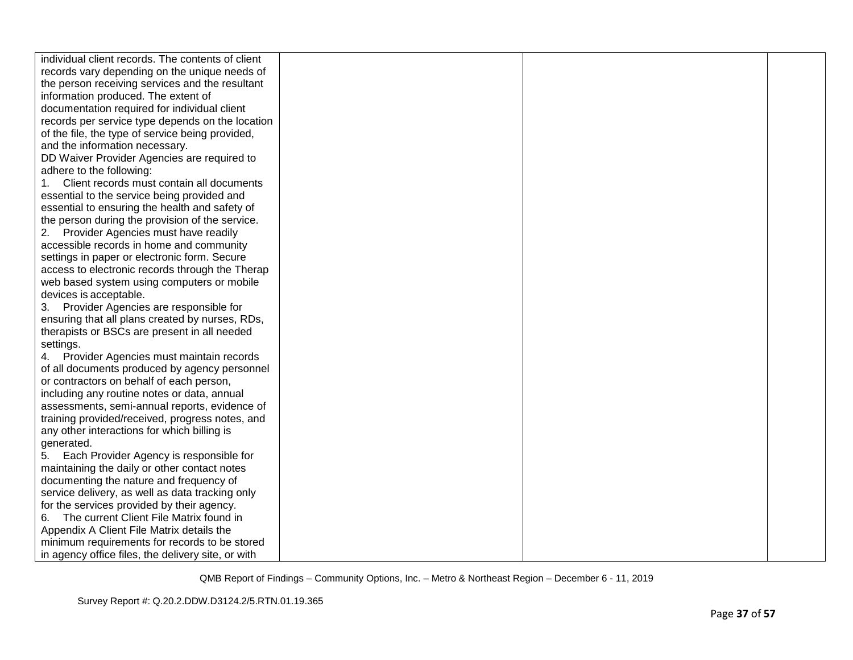| individual client records. The contents of client  |  |  |
|----------------------------------------------------|--|--|
| records vary depending on the unique needs of      |  |  |
| the person receiving services and the resultant    |  |  |
| information produced. The extent of                |  |  |
| documentation required for individual client       |  |  |
| records per service type depends on the location   |  |  |
| of the file, the type of service being provided,   |  |  |
| and the information necessary.                     |  |  |
| DD Waiver Provider Agencies are required to        |  |  |
| adhere to the following:                           |  |  |
| Client records must contain all documents<br>1.    |  |  |
| essential to the service being provided and        |  |  |
| essential to ensuring the health and safety of     |  |  |
| the person during the provision of the service.    |  |  |
| 2. Provider Agencies must have readily             |  |  |
| accessible records in home and community           |  |  |
| settings in paper or electronic form. Secure       |  |  |
| access to electronic records through the Therap    |  |  |
| web based system using computers or mobile         |  |  |
| devices is acceptable.                             |  |  |
| 3. Provider Agencies are responsible for           |  |  |
| ensuring that all plans created by nurses, RDs,    |  |  |
| therapists or BSCs are present in all needed       |  |  |
| settings.                                          |  |  |
| 4. Provider Agencies must maintain records         |  |  |
| of all documents produced by agency personnel      |  |  |
| or contractors on behalf of each person,           |  |  |
| including any routine notes or data, annual        |  |  |
| assessments, semi-annual reports, evidence of      |  |  |
| training provided/received, progress notes, and    |  |  |
| any other interactions for which billing is        |  |  |
| generated.                                         |  |  |
| 5. Each Provider Agency is responsible for         |  |  |
| maintaining the daily or other contact notes       |  |  |
| documenting the nature and frequency of            |  |  |
| service delivery, as well as data tracking only    |  |  |
| for the services provided by their agency.         |  |  |
| The current Client File Matrix found in<br>6.      |  |  |
| Appendix A Client File Matrix details the          |  |  |
| minimum requirements for records to be stored      |  |  |
| in agency office files, the delivery site, or with |  |  |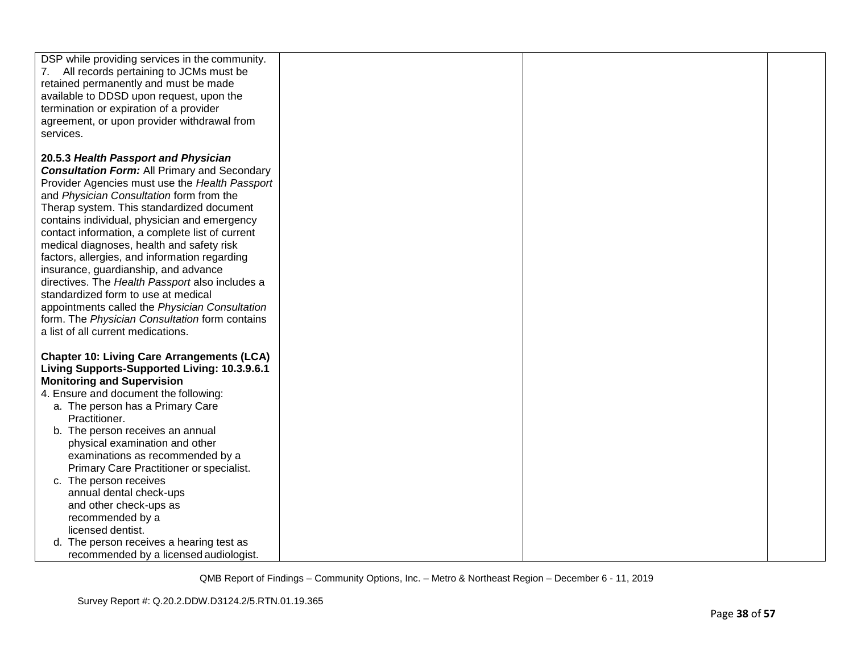| DSP while providing services in the community.<br>7. All records pertaining to JCMs must be<br>retained permanently and must be made<br>available to DDSD upon request, upon the<br>termination or expiration of a provider<br>agreement, or upon provider withdrawal from<br>services.                                                                                                                                                                                                                                                                                                                                                                                                                             |  |  |
|---------------------------------------------------------------------------------------------------------------------------------------------------------------------------------------------------------------------------------------------------------------------------------------------------------------------------------------------------------------------------------------------------------------------------------------------------------------------------------------------------------------------------------------------------------------------------------------------------------------------------------------------------------------------------------------------------------------------|--|--|
| 20.5.3 Health Passport and Physician<br><b>Consultation Form:</b> All Primary and Secondary<br>Provider Agencies must use the Health Passport<br>and Physician Consultation form from the<br>Therap system. This standardized document<br>contains individual, physician and emergency<br>contact information, a complete list of current<br>medical diagnoses, health and safety risk<br>factors, allergies, and information regarding<br>insurance, guardianship, and advance<br>directives. The Health Passport also includes a<br>standardized form to use at medical<br>appointments called the Physician Consultation<br>form. The Physician Consultation form contains<br>a list of all current medications. |  |  |
| <b>Chapter 10: Living Care Arrangements (LCA)</b><br>Living Supports-Supported Living: 10.3.9.6.1<br><b>Monitoring and Supervision</b><br>4. Ensure and document the following:<br>a. The person has a Primary Care<br>Practitioner.<br>b. The person receives an annual<br>physical examination and other<br>examinations as recommended by a<br>Primary Care Practitioner or specialist.<br>c. The person receives<br>annual dental check-ups<br>and other check-ups as<br>recommended by a<br>licensed dentist.                                                                                                                                                                                                  |  |  |
| d. The person receives a hearing test as<br>recommended by a licensed audiologist.                                                                                                                                                                                                                                                                                                                                                                                                                                                                                                                                                                                                                                  |  |  |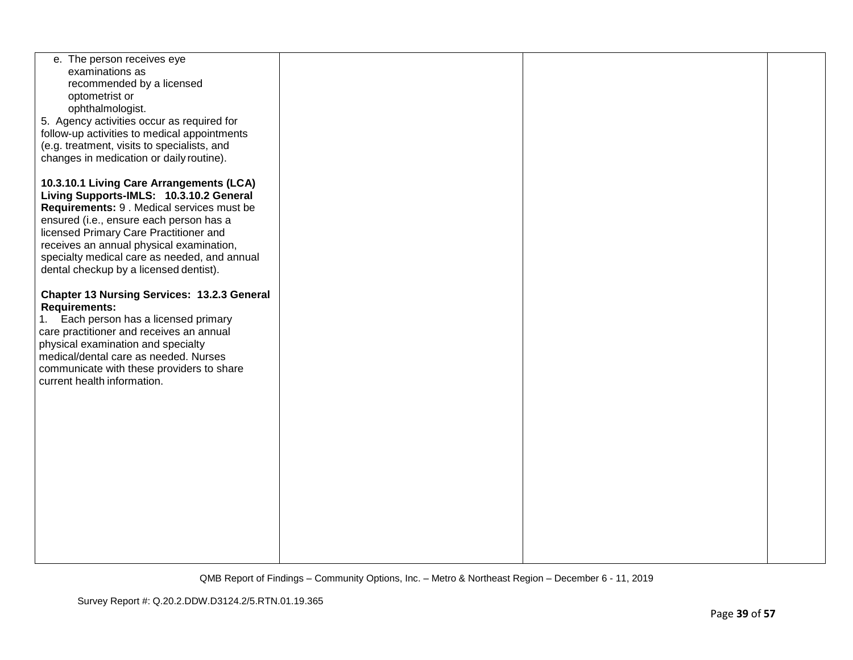| e. The person receives eye                                               |  |  |
|--------------------------------------------------------------------------|--|--|
| examinations as                                                          |  |  |
| recommended by a licensed                                                |  |  |
| optometrist or                                                           |  |  |
| ophthalmologist.                                                         |  |  |
| 5. Agency activities occur as required for                               |  |  |
| follow-up activities to medical appointments                             |  |  |
| (e.g. treatment, visits to specialists, and                              |  |  |
| changes in medication or daily routine).                                 |  |  |
|                                                                          |  |  |
| 10.3.10.1 Living Care Arrangements (LCA)                                 |  |  |
| Living Supports-IMLS: 10.3.10.2 General                                  |  |  |
| Requirements: 9 . Medical services must be                               |  |  |
| ensured (i.e., ensure each person has a                                  |  |  |
| licensed Primary Care Practitioner and                                   |  |  |
| receives an annual physical examination,                                 |  |  |
| specialty medical care as needed, and annual                             |  |  |
| dental checkup by a licensed dentist).                                   |  |  |
|                                                                          |  |  |
| <b>Chapter 13 Nursing Services: 13.2.3 General</b>                       |  |  |
| <b>Requirements:</b>                                                     |  |  |
| 1. Each person has a licensed primary                                    |  |  |
| care practitioner and receives an annual                                 |  |  |
| physical examination and specialty                                       |  |  |
| medical/dental care as needed. Nurses                                    |  |  |
|                                                                          |  |  |
| communicate with these providers to share<br>current health information. |  |  |
|                                                                          |  |  |
|                                                                          |  |  |
|                                                                          |  |  |
|                                                                          |  |  |
|                                                                          |  |  |
|                                                                          |  |  |
|                                                                          |  |  |
|                                                                          |  |  |
|                                                                          |  |  |
|                                                                          |  |  |
|                                                                          |  |  |
|                                                                          |  |  |
|                                                                          |  |  |
|                                                                          |  |  |
|                                                                          |  |  |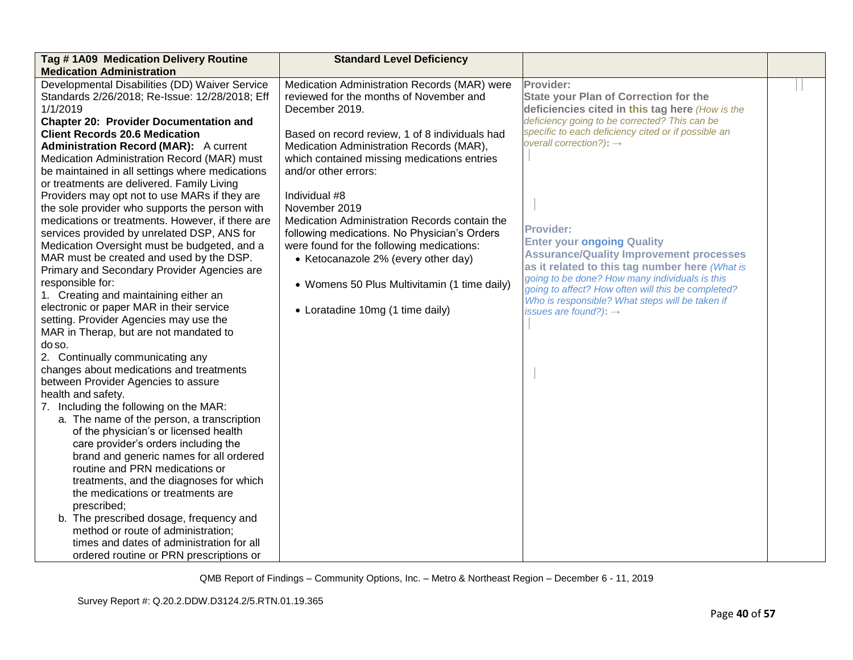| Tag #1A09 Medication Delivery Routine<br><b>Medication Administration</b>                                                                                                                                                                                                                                                                                                                                                                                                                                                                                                                                                                                                                                                                                                                                                                                                                                                                                                                                                                                                                                                                                                                                                                                                                                                                                                                                                                                                                                                                                                                                                                  | <b>Standard Level Deficiency</b>                                                                                                                                                                                                                                                                                                                                                                                                                                                                                                                                                          |                                                                                                                                                                                                                                                                                                                                                                                                                                                                                                                                                                                                                          |  |
|--------------------------------------------------------------------------------------------------------------------------------------------------------------------------------------------------------------------------------------------------------------------------------------------------------------------------------------------------------------------------------------------------------------------------------------------------------------------------------------------------------------------------------------------------------------------------------------------------------------------------------------------------------------------------------------------------------------------------------------------------------------------------------------------------------------------------------------------------------------------------------------------------------------------------------------------------------------------------------------------------------------------------------------------------------------------------------------------------------------------------------------------------------------------------------------------------------------------------------------------------------------------------------------------------------------------------------------------------------------------------------------------------------------------------------------------------------------------------------------------------------------------------------------------------------------------------------------------------------------------------------------------|-------------------------------------------------------------------------------------------------------------------------------------------------------------------------------------------------------------------------------------------------------------------------------------------------------------------------------------------------------------------------------------------------------------------------------------------------------------------------------------------------------------------------------------------------------------------------------------------|--------------------------------------------------------------------------------------------------------------------------------------------------------------------------------------------------------------------------------------------------------------------------------------------------------------------------------------------------------------------------------------------------------------------------------------------------------------------------------------------------------------------------------------------------------------------------------------------------------------------------|--|
| Developmental Disabilities (DD) Waiver Service<br>Standards 2/26/2018; Re-Issue: 12/28/2018; Eff<br>1/1/2019<br><b>Chapter 20: Provider Documentation and</b><br><b>Client Records 20.6 Medication</b><br><b>Administration Record (MAR):</b> A current<br>Medication Administration Record (MAR) must<br>be maintained in all settings where medications<br>or treatments are delivered. Family Living<br>Providers may opt not to use MARs if they are<br>the sole provider who supports the person with<br>medications or treatments. However, if there are<br>services provided by unrelated DSP, ANS for<br>Medication Oversight must be budgeted, and a<br>MAR must be created and used by the DSP.<br>Primary and Secondary Provider Agencies are<br>responsible for:<br>1. Creating and maintaining either an<br>electronic or paper MAR in their service<br>setting. Provider Agencies may use the<br>MAR in Therap, but are not mandated to<br>do so.<br>2. Continually communicating any<br>changes about medications and treatments<br>between Provider Agencies to assure<br>health and safety.<br>7. Including the following on the MAR:<br>a. The name of the person, a transcription<br>of the physician's or licensed health<br>care provider's orders including the<br>brand and generic names for all ordered<br>routine and PRN medications or<br>treatments, and the diagnoses for which<br>the medications or treatments are<br>prescribed;<br>b. The prescribed dosage, frequency and<br>method or route of administration;<br>times and dates of administration for all<br>ordered routine or PRN prescriptions or | Medication Administration Records (MAR) were<br>reviewed for the months of November and<br>December 2019.<br>Based on record review, 1 of 8 individuals had<br>Medication Administration Records (MAR),<br>which contained missing medications entries<br>and/or other errors:<br>Individual #8<br>November 2019<br>Medication Administration Records contain the<br>following medications. No Physician's Orders<br>were found for the following medications:<br>• Ketocanazole 2% (every other day)<br>• Womens 50 Plus Multivitamin (1 time daily)<br>• Loratadine 10mg (1 time daily) | Provider:<br><b>State your Plan of Correction for the</b><br>deficiencies cited in this tag here (How is the<br>deficiency going to be corrected? This can be<br>specific to each deficiency cited or if possible an<br>overall correction?): $\rightarrow$<br><b>Provider:</b><br><b>Enter your ongoing Quality</b><br><b>Assurance/Quality Improvement processes</b><br>as it related to this tag number here (What is<br>going to be done? How many individuals is this<br>going to affect? How often will this be completed?<br>Who is responsible? What steps will be taken if<br>issues are found?): $\rightarrow$ |  |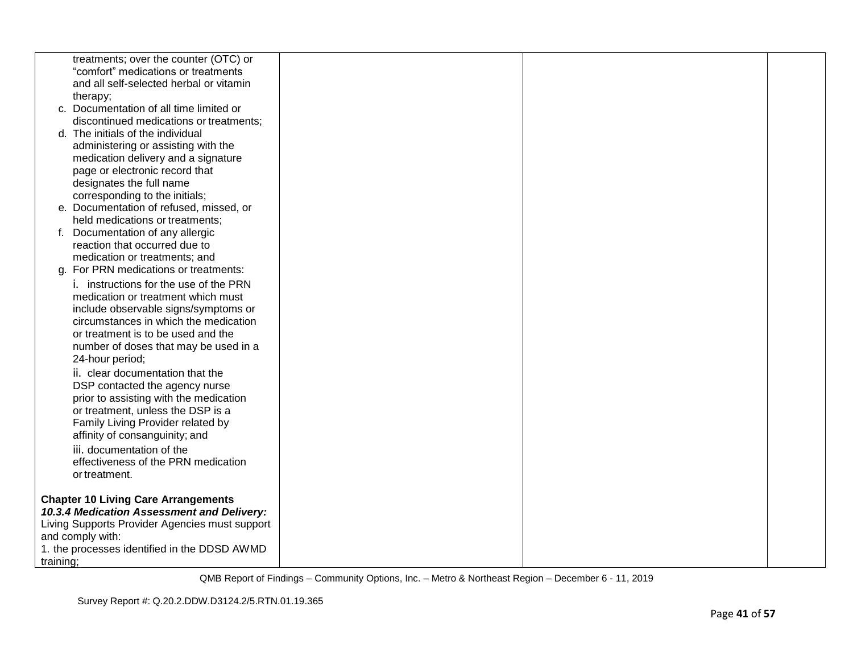|           | treatments; over the counter (OTC) or          |  |  |
|-----------|------------------------------------------------|--|--|
|           | "comfort" medications or treatments            |  |  |
|           | and all self-selected herbal or vitamin        |  |  |
|           | therapy;                                       |  |  |
|           | c. Documentation of all time limited or        |  |  |
|           | discontinued medications or treatments;        |  |  |
|           | d. The initials of the individual              |  |  |
|           | administering or assisting with the            |  |  |
|           | medication delivery and a signature            |  |  |
|           | page or electronic record that                 |  |  |
|           | designates the full name                       |  |  |
|           | corresponding to the initials;                 |  |  |
|           | e. Documentation of refused, missed, or        |  |  |
|           | held medications or treatments;                |  |  |
|           | f. Documentation of any allergic               |  |  |
|           | reaction that occurred due to                  |  |  |
|           | medication or treatments; and                  |  |  |
|           | g. For PRN medications or treatments:          |  |  |
|           | i. instructions for the use of the PRN         |  |  |
|           | medication or treatment which must             |  |  |
|           | include observable signs/symptoms or           |  |  |
|           | circumstances in which the medication          |  |  |
|           | or treatment is to be used and the             |  |  |
|           | number of doses that may be used in a          |  |  |
|           | 24-hour period;                                |  |  |
|           | ii. clear documentation that the               |  |  |
|           | DSP contacted the agency nurse                 |  |  |
|           | prior to assisting with the medication         |  |  |
|           | or treatment, unless the DSP is a              |  |  |
|           | Family Living Provider related by              |  |  |
|           | affinity of consanguinity; and                 |  |  |
|           | iii. documentation of the                      |  |  |
|           | effectiveness of the PRN medication            |  |  |
|           | or treatment.                                  |  |  |
|           |                                                |  |  |
|           | <b>Chapter 10 Living Care Arrangements</b>     |  |  |
|           | 10.3.4 Medication Assessment and Delivery:     |  |  |
|           | Living Supports Provider Agencies must support |  |  |
|           | and comply with:                               |  |  |
|           | 1. the processes identified in the DDSD AWMD   |  |  |
| training; |                                                |  |  |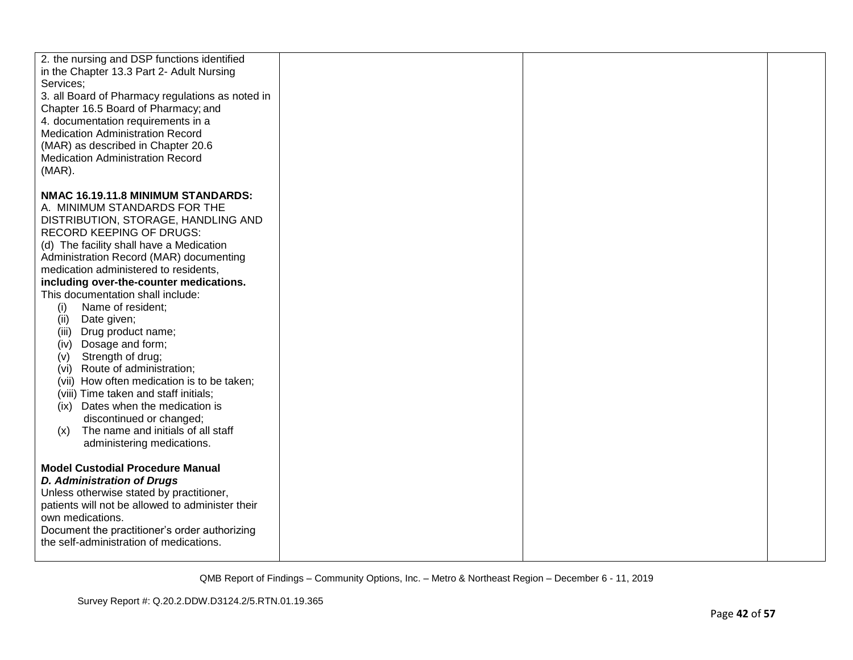| 2. the nursing and DSP functions identified<br>in the Chapter 13.3 Part 2- Adult Nursing<br>Services;<br>3. all Board of Pharmacy regulations as noted in<br>Chapter 16.5 Board of Pharmacy; and<br>4. documentation requirements in a<br><b>Medication Administration Record</b><br>(MAR) as described in Chapter 20.6<br><b>Medication Administration Record</b><br>$(MAR)$ . |  |  |
|---------------------------------------------------------------------------------------------------------------------------------------------------------------------------------------------------------------------------------------------------------------------------------------------------------------------------------------------------------------------------------|--|--|
| NMAC 16.19.11.8 MINIMUM STANDARDS:                                                                                                                                                                                                                                                                                                                                              |  |  |
| A. MINIMUM STANDARDS FOR THE                                                                                                                                                                                                                                                                                                                                                    |  |  |
| DISTRIBUTION, STORAGE, HANDLING AND                                                                                                                                                                                                                                                                                                                                             |  |  |
| <b>RECORD KEEPING OF DRUGS:</b>                                                                                                                                                                                                                                                                                                                                                 |  |  |
| (d) The facility shall have a Medication                                                                                                                                                                                                                                                                                                                                        |  |  |
| Administration Record (MAR) documenting<br>medication administered to residents,                                                                                                                                                                                                                                                                                                |  |  |
| including over-the-counter medications.                                                                                                                                                                                                                                                                                                                                         |  |  |
| This documentation shall include:                                                                                                                                                                                                                                                                                                                                               |  |  |
| (i)<br>Name of resident;                                                                                                                                                                                                                                                                                                                                                        |  |  |
| (ii)<br>Date given;                                                                                                                                                                                                                                                                                                                                                             |  |  |
| Drug product name;<br>(iii)                                                                                                                                                                                                                                                                                                                                                     |  |  |
| Dosage and form;<br>(iv)                                                                                                                                                                                                                                                                                                                                                        |  |  |
| Strength of drug;<br>(V)<br>Route of administration;<br>(vi)                                                                                                                                                                                                                                                                                                                    |  |  |
| (vii) How often medication is to be taken;                                                                                                                                                                                                                                                                                                                                      |  |  |
| (viii) Time taken and staff initials;                                                                                                                                                                                                                                                                                                                                           |  |  |
| (ix) Dates when the medication is                                                                                                                                                                                                                                                                                                                                               |  |  |
| discontinued or changed;                                                                                                                                                                                                                                                                                                                                                        |  |  |
| The name and initials of all staff<br>(x)                                                                                                                                                                                                                                                                                                                                       |  |  |
| administering medications.                                                                                                                                                                                                                                                                                                                                                      |  |  |
| <b>Model Custodial Procedure Manual</b>                                                                                                                                                                                                                                                                                                                                         |  |  |
| <b>D. Administration of Drugs</b>                                                                                                                                                                                                                                                                                                                                               |  |  |
| Unless otherwise stated by practitioner,                                                                                                                                                                                                                                                                                                                                        |  |  |
| patients will not be allowed to administer their                                                                                                                                                                                                                                                                                                                                |  |  |
| own medications.                                                                                                                                                                                                                                                                                                                                                                |  |  |
| Document the practitioner's order authorizing                                                                                                                                                                                                                                                                                                                                   |  |  |
| the self-administration of medications.                                                                                                                                                                                                                                                                                                                                         |  |  |
|                                                                                                                                                                                                                                                                                                                                                                                 |  |  |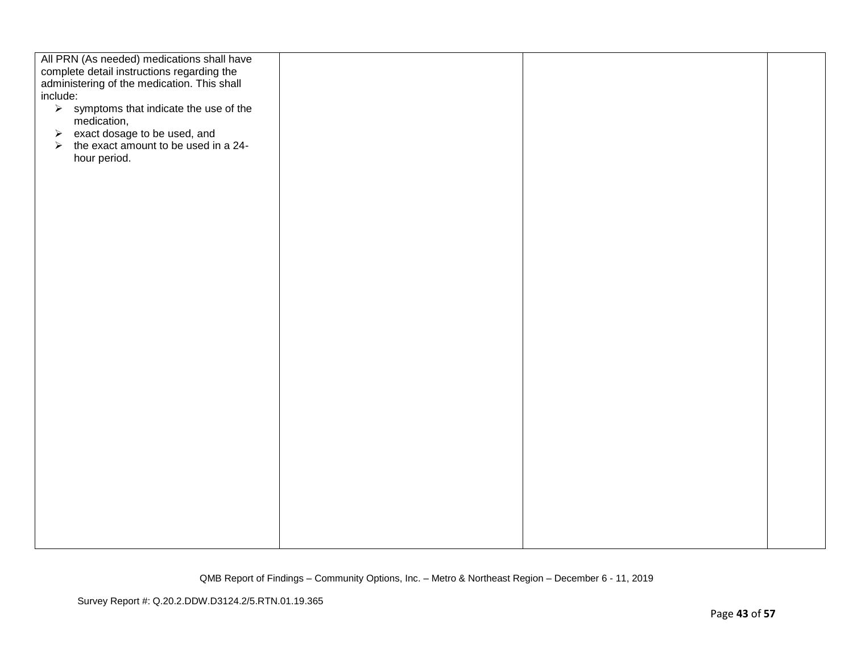| All PRN (As needed) medications shall have<br>complete detail instructions regarding the<br>administering of the medication. This shall<br>include:<br>$\triangleright$ symptoms that indicate the use of the<br>medication,<br>$\triangleright$ exact dosage to be used, and<br>$\triangleright$ the exact amount to be used in a 24-<br>hour period. |  |  |
|--------------------------------------------------------------------------------------------------------------------------------------------------------------------------------------------------------------------------------------------------------------------------------------------------------------------------------------------------------|--|--|
|                                                                                                                                                                                                                                                                                                                                                        |  |  |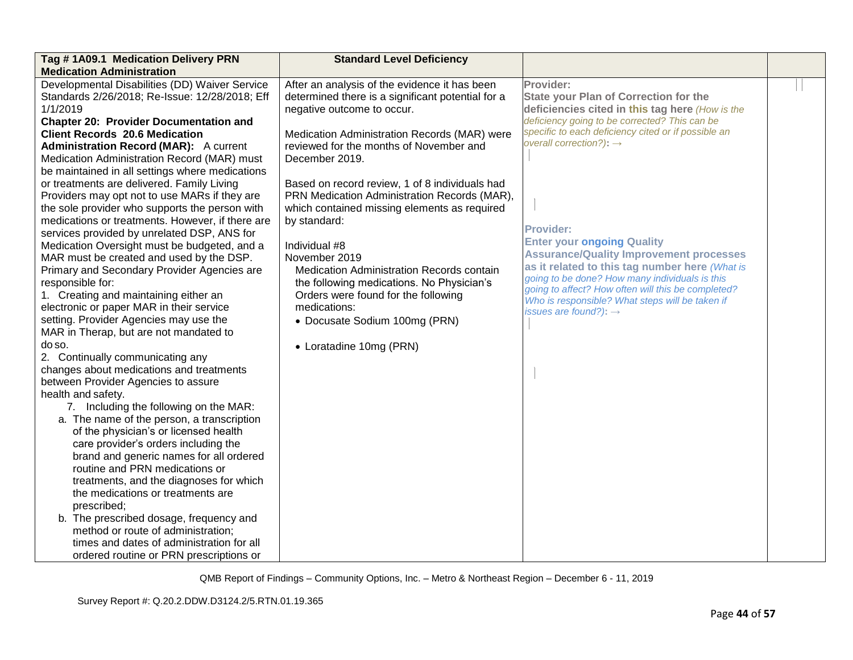| Tag #1A09.1 Medication Delivery PRN<br><b>Standard Level Deficiency</b>                             |                                                                                            |
|-----------------------------------------------------------------------------------------------------|--------------------------------------------------------------------------------------------|
| <b>Medication Administration</b>                                                                    |                                                                                            |
| Developmental Disabilities (DD) Waiver Service<br>After an analysis of the evidence it has been     | Provider:                                                                                  |
| Standards 2/26/2018; Re-Issue: 12/28/2018; Eff<br>determined there is a significant potential for a | <b>State your Plan of Correction for the</b>                                               |
| 1/1/2019<br>negative outcome to occur.                                                              | deficiencies cited in this tag here (How is the                                            |
| <b>Chapter 20: Provider Documentation and</b>                                                       | deficiency going to be corrected? This can be                                              |
| <b>Client Records 20.6 Medication</b><br>Medication Administration Records (MAR) were               | specific to each deficiency cited or if possible an<br>overall correction?): $\rightarrow$ |
| reviewed for the months of November and<br><b>Administration Record (MAR):</b> A current            |                                                                                            |
| Medication Administration Record (MAR) must<br>December 2019.                                       |                                                                                            |
| be maintained in all settings where medications                                                     |                                                                                            |
| or treatments are delivered. Family Living<br>Based on record review, 1 of 8 individuals had        |                                                                                            |
| PRN Medication Administration Records (MAR),<br>Providers may opt not to use MARs if they are       |                                                                                            |
| the sole provider who supports the person with<br>which contained missing elements as required      |                                                                                            |
| medications or treatments. However, if there are<br>by standard:                                    | <b>Provider:</b>                                                                           |
| services provided by unrelated DSP, ANS for                                                         | <b>Enter your ongoing Quality</b>                                                          |
| Medication Oversight must be budgeted, and a<br>Individual #8                                       | <b>Assurance/Quality Improvement processes</b>                                             |
| MAR must be created and used by the DSP.<br>November 2019                                           | as it related to this tag number here (What is                                             |
| Primary and Secondary Provider Agencies are<br>Medication Administration Records contain            | going to be done? How many individuals is this                                             |
| responsible for:<br>the following medications. No Physician's                                       | going to affect? How often will this be completed?                                         |
| 1. Creating and maintaining either an<br>Orders were found for the following                        | Who is responsible? What steps will be taken if                                            |
| electronic or paper MAR in their service<br>medications:                                            | issues are found?): $\rightarrow$                                                          |
| setting. Provider Agencies may use the<br>• Docusate Sodium 100mg (PRN)                             |                                                                                            |
| MAR in Therap, but are not mandated to                                                              |                                                                                            |
| do so.<br>• Loratadine 10mg (PRN)                                                                   |                                                                                            |
| 2. Continually communicating any                                                                    |                                                                                            |
| changes about medications and treatments<br>between Provider Agencies to assure                     |                                                                                            |
| health and safety.                                                                                  |                                                                                            |
| 7. Including the following on the MAR:                                                              |                                                                                            |
| a. The name of the person, a transcription                                                          |                                                                                            |
| of the physician's or licensed health                                                               |                                                                                            |
| care provider's orders including the                                                                |                                                                                            |
| brand and generic names for all ordered                                                             |                                                                                            |
| routine and PRN medications or                                                                      |                                                                                            |
| treatments, and the diagnoses for which                                                             |                                                                                            |
| the medications or treatments are                                                                   |                                                                                            |
| prescribed;                                                                                         |                                                                                            |
| b. The prescribed dosage, frequency and                                                             |                                                                                            |
| method or route of administration;                                                                  |                                                                                            |
| times and dates of administration for all                                                           |                                                                                            |
| ordered routine or PRN prescriptions or                                                             |                                                                                            |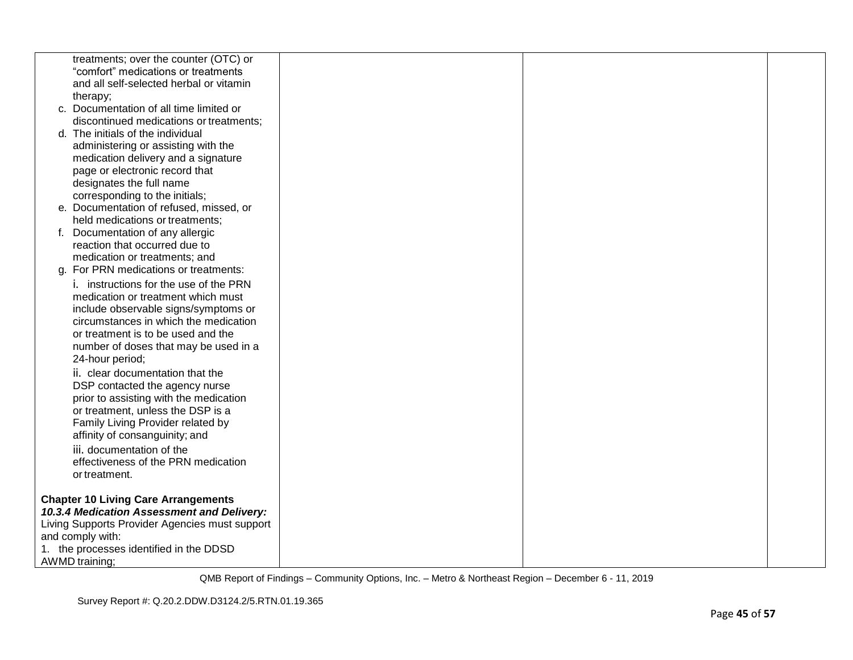| treatments; over the counter (OTC) or          |  |  |
|------------------------------------------------|--|--|
| "comfort" medications or treatments            |  |  |
| and all self-selected herbal or vitamin        |  |  |
| therapy;                                       |  |  |
| c. Documentation of all time limited or        |  |  |
| discontinued medications or treatments;        |  |  |
| d. The initials of the individual              |  |  |
| administering or assisting with the            |  |  |
| medication delivery and a signature            |  |  |
| page or electronic record that                 |  |  |
| designates the full name                       |  |  |
| corresponding to the initials;                 |  |  |
| e. Documentation of refused, missed, or        |  |  |
| held medications or treatments;                |  |  |
| f. Documentation of any allergic               |  |  |
| reaction that occurred due to                  |  |  |
| medication or treatments; and                  |  |  |
| g. For PRN medications or treatments:          |  |  |
| i. instructions for the use of the PRN         |  |  |
| medication or treatment which must             |  |  |
|                                                |  |  |
| include observable signs/symptoms or           |  |  |
| circumstances in which the medication          |  |  |
| or treatment is to be used and the             |  |  |
| number of doses that may be used in a          |  |  |
| 24-hour period;                                |  |  |
| ii. clear documentation that the               |  |  |
| DSP contacted the agency nurse                 |  |  |
| prior to assisting with the medication         |  |  |
| or treatment, unless the DSP is a              |  |  |
| Family Living Provider related by              |  |  |
| affinity of consanguinity; and                 |  |  |
| iii. documentation of the                      |  |  |
| effectiveness of the PRN medication            |  |  |
| or treatment.                                  |  |  |
|                                                |  |  |
| <b>Chapter 10 Living Care Arrangements</b>     |  |  |
| 10.3.4 Medication Assessment and Delivery:     |  |  |
| Living Supports Provider Agencies must support |  |  |
| and comply with:                               |  |  |
| 1. the processes identified in the DDSD        |  |  |
| AWMD training;                                 |  |  |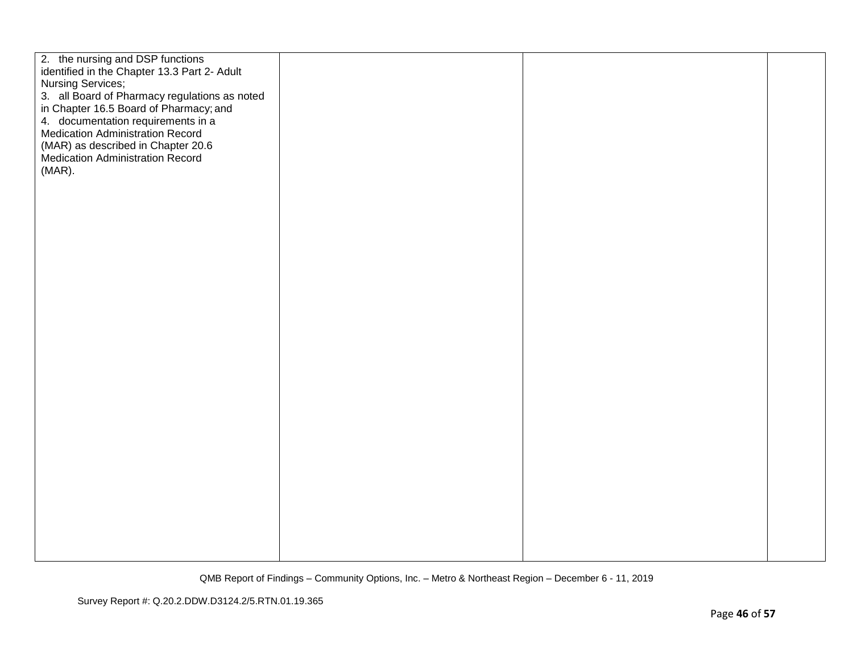| 2. the nursing and DSP functions<br>identified in the Chapter 13.3 Part 2- Adult<br><b>Nursing Services;</b><br>3. all Board of Pharmacy regulations as noted<br>in Chapter 16.5 Board of Pharmacy; and<br>4. documentation requirements in a<br>Medication Administration Record<br>(MAR) as described in Chapter 20.6<br>Medication Administration Record<br>(MAR). |  |  |
|-----------------------------------------------------------------------------------------------------------------------------------------------------------------------------------------------------------------------------------------------------------------------------------------------------------------------------------------------------------------------|--|--|
|                                                                                                                                                                                                                                                                                                                                                                       |  |  |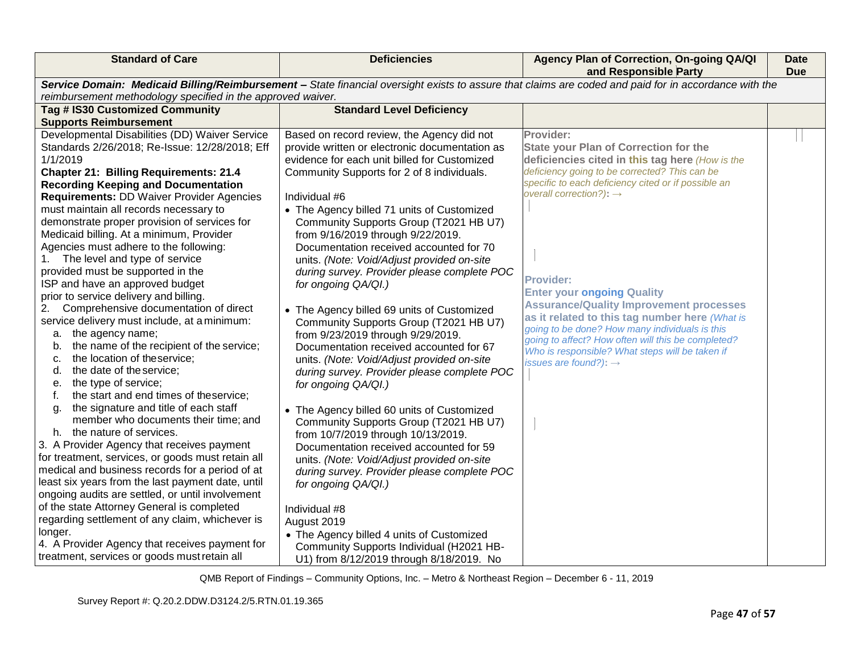| <b>Standard of Care</b>                                                                        | <b>Deficiencies</b>                                                | Agency Plan of Correction, On-going QA/QI<br>and Responsible Party                                                                                    | <b>Date</b><br><b>Due</b> |
|------------------------------------------------------------------------------------------------|--------------------------------------------------------------------|-------------------------------------------------------------------------------------------------------------------------------------------------------|---------------------------|
|                                                                                                |                                                                    | Service Domain: Medicaid Billing/Reimbursement - State financial oversight exists to assure that claims are coded and paid for in accordance with the |                           |
| reimbursement methodology specified in the approved waiver.<br>Tag # IS30 Customized Community | <b>Standard Level Deficiency</b>                                   |                                                                                                                                                       |                           |
| <b>Supports Reimbursement</b>                                                                  |                                                                    |                                                                                                                                                       |                           |
| Developmental Disabilities (DD) Waiver Service                                                 | Based on record review, the Agency did not                         | Provider:                                                                                                                                             |                           |
| Standards 2/26/2018; Re-Issue: 12/28/2018; Eff                                                 | provide written or electronic documentation as                     | <b>State your Plan of Correction for the</b>                                                                                                          |                           |
| 1/1/2019                                                                                       | evidence for each unit billed for Customized                       | deficiencies cited in this tag here (How is the                                                                                                       |                           |
| <b>Chapter 21: Billing Requirements: 21.4</b>                                                  | Community Supports for 2 of 8 individuals.                         | deficiency going to be corrected? This can be                                                                                                         |                           |
| <b>Recording Keeping and Documentation</b>                                                     |                                                                    | specific to each deficiency cited or if possible an                                                                                                   |                           |
| <b>Requirements: DD Waiver Provider Agencies</b>                                               | Individual #6                                                      | overall correction?): $\rightarrow$                                                                                                                   |                           |
| must maintain all records necessary to                                                         | • The Agency billed 71 units of Customized                         |                                                                                                                                                       |                           |
| demonstrate proper provision of services for                                                   | Community Supports Group (T2021 HB U7)                             |                                                                                                                                                       |                           |
| Medicaid billing. At a minimum, Provider                                                       | from 9/16/2019 through 9/22/2019.                                  |                                                                                                                                                       |                           |
| Agencies must adhere to the following:                                                         | Documentation received accounted for 70                            |                                                                                                                                                       |                           |
| The level and type of service                                                                  | units. (Note: Void/Adjust provided on-site                         |                                                                                                                                                       |                           |
| provided must be supported in the                                                              | during survey. Provider please complete POC                        | <b>Provider:</b>                                                                                                                                      |                           |
| ISP and have an approved budget                                                                | for ongoing QA/QI.)                                                | <b>Enter your ongoing Quality</b>                                                                                                                     |                           |
| prior to service delivery and billing.                                                         |                                                                    | <b>Assurance/Quality Improvement processes</b>                                                                                                        |                           |
| Comprehensive documentation of direct<br>2.                                                    | • The Agency billed 69 units of Customized                         | as it related to this tag number here (What is                                                                                                        |                           |
| service delivery must include, at a minimum:                                                   | Community Supports Group (T2021 HB U7)                             | going to be done? How many individuals is this                                                                                                        |                           |
| a. the agency name;<br>the name of the recipient of the service;                               | from 9/23/2019 through 9/29/2019.                                  | going to affect? How often will this be completed?                                                                                                    |                           |
| b.<br>the location of theservice;<br>c.                                                        | Documentation received accounted for 67                            | Who is responsible? What steps will be taken if                                                                                                       |                           |
| the date of the service;<br>d.                                                                 | units. (Note: Void/Adjust provided on-site                         | issues are found?): $\rightarrow$                                                                                                                     |                           |
| the type of service;<br>е.                                                                     | during survey. Provider please complete POC<br>for ongoing QA/QI.) |                                                                                                                                                       |                           |
| the start and end times of theservice;<br>f.                                                   |                                                                    |                                                                                                                                                       |                           |
| the signature and title of each staff<br>g.                                                    | • The Agency billed 60 units of Customized                         |                                                                                                                                                       |                           |
| member who documents their time; and                                                           | Community Supports Group (T2021 HB U7)                             |                                                                                                                                                       |                           |
| h. the nature of services.                                                                     | from 10/7/2019 through 10/13/2019.                                 |                                                                                                                                                       |                           |
| 3. A Provider Agency that receives payment                                                     | Documentation received accounted for 59                            |                                                                                                                                                       |                           |
| for treatment, services, or goods must retain all                                              | units. (Note: Void/Adjust provided on-site                         |                                                                                                                                                       |                           |
| medical and business records for a period of at                                                | during survey. Provider please complete POC                        |                                                                                                                                                       |                           |
| least six years from the last payment date, until                                              | for ongoing QA/QI.)                                                |                                                                                                                                                       |                           |
| ongoing audits are settled, or until involvement                                               |                                                                    |                                                                                                                                                       |                           |
| of the state Attorney General is completed                                                     | Individual #8                                                      |                                                                                                                                                       |                           |
| regarding settlement of any claim, whichever is                                                | August 2019                                                        |                                                                                                                                                       |                           |
| longer.                                                                                        | • The Agency billed 4 units of Customized                          |                                                                                                                                                       |                           |
| 4. A Provider Agency that receives payment for                                                 | Community Supports Individual (H2021 HB-                           |                                                                                                                                                       |                           |
| treatment, services or goods must retain all                                                   | U1) from 8/12/2019 through 8/18/2019. No                           |                                                                                                                                                       |                           |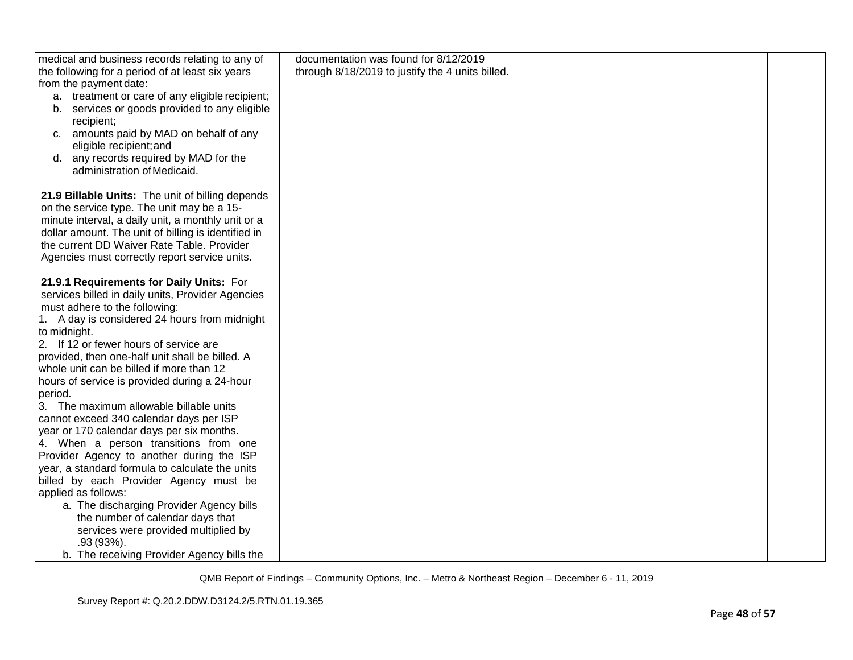| medical and business records relating to any of     | documentation was found for 8/12/2019            |  |
|-----------------------------------------------------|--------------------------------------------------|--|
| the following for a period of at least six years    | through 8/18/2019 to justify the 4 units billed. |  |
| from the payment date:                              |                                                  |  |
| a. treatment or care of any eligible recipient;     |                                                  |  |
| services or goods provided to any eligible<br>b.    |                                                  |  |
| recipient;                                          |                                                  |  |
| c. amounts paid by MAD on behalf of any             |                                                  |  |
| eligible recipient; and                             |                                                  |  |
| any records required by MAD for the<br>d.           |                                                  |  |
| administration of Medicaid.                         |                                                  |  |
|                                                     |                                                  |  |
| 21.9 Billable Units: The unit of billing depends    |                                                  |  |
| on the service type. The unit may be a 15-          |                                                  |  |
| minute interval, a daily unit, a monthly unit or a  |                                                  |  |
| dollar amount. The unit of billing is identified in |                                                  |  |
| the current DD Waiver Rate Table. Provider          |                                                  |  |
| Agencies must correctly report service units.       |                                                  |  |
|                                                     |                                                  |  |
| 21.9.1 Requirements for Daily Units: For            |                                                  |  |
| services billed in daily units, Provider Agencies   |                                                  |  |
| must adhere to the following:                       |                                                  |  |
| 1. A day is considered 24 hours from midnight       |                                                  |  |
| to midnight.                                        |                                                  |  |
| 2. If 12 or fewer hours of service are              |                                                  |  |
| provided, then one-half unit shall be billed. A     |                                                  |  |
| whole unit can be billed if more than 12            |                                                  |  |
| hours of service is provided during a 24-hour       |                                                  |  |
| period.                                             |                                                  |  |
| 3. The maximum allowable billable units             |                                                  |  |
| cannot exceed 340 calendar days per ISP             |                                                  |  |
| year or 170 calendar days per six months.           |                                                  |  |
| 4. When a person transitions from one               |                                                  |  |
| Provider Agency to another during the ISP           |                                                  |  |
| year, a standard formula to calculate the units     |                                                  |  |
| billed by each Provider Agency must be              |                                                  |  |
| applied as follows:                                 |                                                  |  |
| a. The discharging Provider Agency bills            |                                                  |  |
| the number of calendar days that                    |                                                  |  |
| services were provided multiplied by                |                                                  |  |
| $.93(93\%)$ .                                       |                                                  |  |
| b. The receiving Provider Agency bills the          |                                                  |  |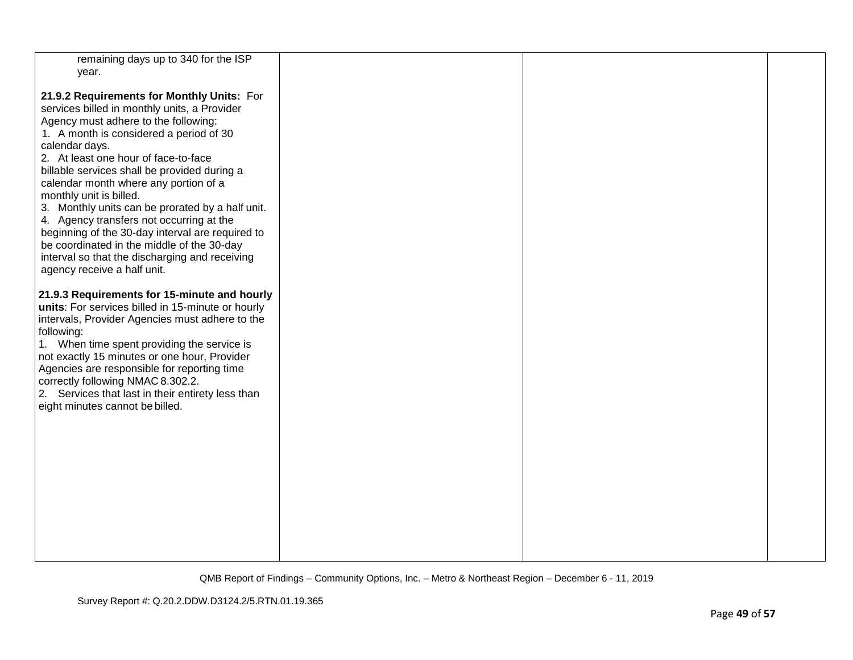| remaining days up to 340 for the ISP              |  |  |
|---------------------------------------------------|--|--|
| year.                                             |  |  |
|                                                   |  |  |
|                                                   |  |  |
| 21.9.2 Requirements for Monthly Units: For        |  |  |
| services billed in monthly units, a Provider      |  |  |
| Agency must adhere to the following:              |  |  |
|                                                   |  |  |
| 1. A month is considered a period of 30           |  |  |
| calendar days.                                    |  |  |
| 2. At least one hour of face-to-face              |  |  |
| billable services shall be provided during a      |  |  |
|                                                   |  |  |
| calendar month where any portion of a             |  |  |
| monthly unit is billed.                           |  |  |
| 3. Monthly units can be prorated by a half unit.  |  |  |
| 4. Agency transfers not occurring at the          |  |  |
|                                                   |  |  |
| beginning of the 30-day interval are required to  |  |  |
| be coordinated in the middle of the 30-day        |  |  |
| interval so that the discharging and receiving    |  |  |
| agency receive a half unit.                       |  |  |
|                                                   |  |  |
|                                                   |  |  |
| 21.9.3 Requirements for 15-minute and hourly      |  |  |
| units: For services billed in 15-minute or hourly |  |  |
| intervals, Provider Agencies must adhere to the   |  |  |
| following:                                        |  |  |
| 1. When time spent providing the service is       |  |  |
|                                                   |  |  |
| not exactly 15 minutes or one hour, Provider      |  |  |
| Agencies are responsible for reporting time       |  |  |
| correctly following NMAC 8.302.2.                 |  |  |
| 2. Services that last in their entirety less than |  |  |
|                                                   |  |  |
| eight minutes cannot be billed.                   |  |  |
|                                                   |  |  |
|                                                   |  |  |
|                                                   |  |  |
|                                                   |  |  |
|                                                   |  |  |
|                                                   |  |  |
|                                                   |  |  |
|                                                   |  |  |
|                                                   |  |  |
|                                                   |  |  |
|                                                   |  |  |
|                                                   |  |  |
|                                                   |  |  |
|                                                   |  |  |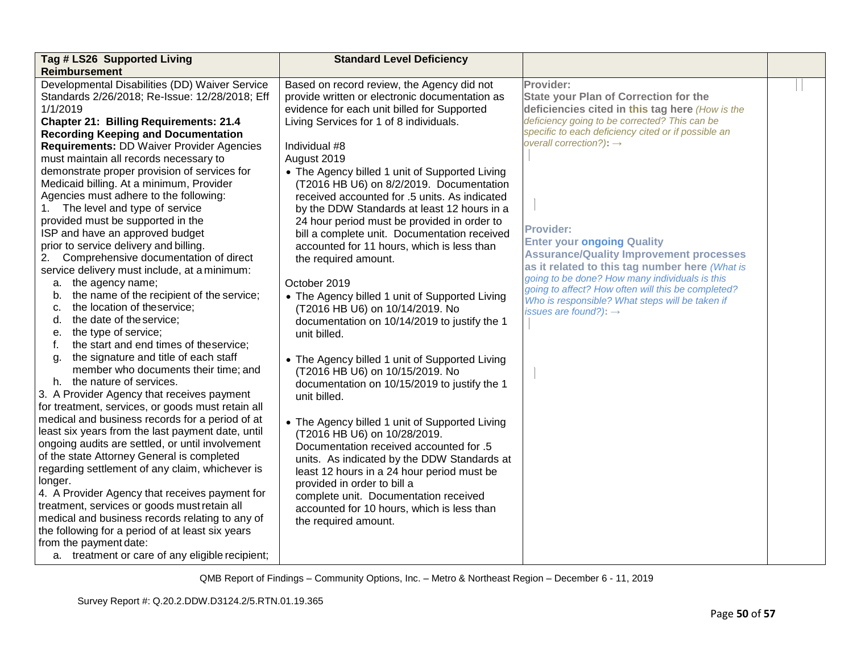| Tag # LS26 Supported Living<br>Reimbursement                                                                                                                                                                                                                                                                                                                                                                                                                                                                                                                                                                                                                                                                                                                                                                                                                                                                                                                                                                                                                                                                                                                                                                                                                                                                                                                                                                                                                                                                                                                                                                                                                                                                                 | <b>Standard Level Deficiency</b>                                                                                                                                                                                                                                                                                                                                                                                                                                                                                                                                                                                                                                                                                                                                                                                                                                                                                                                                                                                                                                                                                                                                                                                                                                                            |                                                                                                                                                                                                                                                                                                                                                                                                                                                                                                                                                                                                                   |  |
|------------------------------------------------------------------------------------------------------------------------------------------------------------------------------------------------------------------------------------------------------------------------------------------------------------------------------------------------------------------------------------------------------------------------------------------------------------------------------------------------------------------------------------------------------------------------------------------------------------------------------------------------------------------------------------------------------------------------------------------------------------------------------------------------------------------------------------------------------------------------------------------------------------------------------------------------------------------------------------------------------------------------------------------------------------------------------------------------------------------------------------------------------------------------------------------------------------------------------------------------------------------------------------------------------------------------------------------------------------------------------------------------------------------------------------------------------------------------------------------------------------------------------------------------------------------------------------------------------------------------------------------------------------------------------------------------------------------------------|---------------------------------------------------------------------------------------------------------------------------------------------------------------------------------------------------------------------------------------------------------------------------------------------------------------------------------------------------------------------------------------------------------------------------------------------------------------------------------------------------------------------------------------------------------------------------------------------------------------------------------------------------------------------------------------------------------------------------------------------------------------------------------------------------------------------------------------------------------------------------------------------------------------------------------------------------------------------------------------------------------------------------------------------------------------------------------------------------------------------------------------------------------------------------------------------------------------------------------------------------------------------------------------------|-------------------------------------------------------------------------------------------------------------------------------------------------------------------------------------------------------------------------------------------------------------------------------------------------------------------------------------------------------------------------------------------------------------------------------------------------------------------------------------------------------------------------------------------------------------------------------------------------------------------|--|
| Developmental Disabilities (DD) Waiver Service<br>Standards 2/26/2018; Re-Issue: 12/28/2018; Eff<br>1/1/2019<br><b>Chapter 21: Billing Requirements: 21.4</b><br><b>Recording Keeping and Documentation</b><br><b>Requirements: DD Waiver Provider Agencies</b><br>must maintain all records necessary to<br>demonstrate proper provision of services for<br>Medicaid billing. At a minimum, Provider<br>Agencies must adhere to the following:<br>1. The level and type of service<br>provided must be supported in the<br>ISP and have an approved budget<br>prior to service delivery and billing.<br>2.<br>Comprehensive documentation of direct<br>service delivery must include, at a minimum:<br>the agency name;<br>а.<br>the name of the recipient of the service;<br>b.<br>the location of theservice;<br>C.<br>the date of the service;<br>d.<br>the type of service;<br>е.<br>the start and end times of theservice;<br>f.<br>the signature and title of each staff<br>q.<br>member who documents their time; and<br>h. the nature of services.<br>3. A Provider Agency that receives payment<br>for treatment, services, or goods must retain all<br>medical and business records for a period of at<br>least six years from the last payment date, until<br>ongoing audits are settled, or until involvement<br>of the state Attorney General is completed<br>regarding settlement of any claim, whichever is<br>longer.<br>4. A Provider Agency that receives payment for<br>treatment, services or goods must retain all<br>medical and business records relating to any of<br>the following for a period of at least six years<br>from the payment date:<br>a. treatment or care of any eligible recipient; | Based on record review, the Agency did not<br>provide written or electronic documentation as<br>evidence for each unit billed for Supported<br>Living Services for 1 of 8 individuals.<br>Individual #8<br>August 2019<br>• The Agency billed 1 unit of Supported Living<br>(T2016 HB U6) on 8/2/2019. Documentation<br>received accounted for .5 units. As indicated<br>by the DDW Standards at least 12 hours in a<br>24 hour period must be provided in order to<br>bill a complete unit. Documentation received<br>accounted for 11 hours, which is less than<br>the required amount.<br>October 2019<br>• The Agency billed 1 unit of Supported Living<br>(T2016 HB U6) on 10/14/2019. No<br>documentation on 10/14/2019 to justify the 1<br>unit billed.<br>• The Agency billed 1 unit of Supported Living<br>(T2016 HB U6) on 10/15/2019. No<br>documentation on 10/15/2019 to justify the 1<br>unit billed.<br>• The Agency billed 1 unit of Supported Living<br>(T2016 HB U6) on 10/28/2019.<br>Documentation received accounted for .5<br>units. As indicated by the DDW Standards at<br>least 12 hours in a 24 hour period must be<br>provided in order to bill a<br>complete unit. Documentation received<br>accounted for 10 hours, which is less than<br>the required amount. | Provider:<br><b>State your Plan of Correction for the</b><br>deficiencies cited in this tag here (How is the<br>deficiency going to be corrected? This can be<br>specific to each deficiency cited or if possible an<br>overall correction?): $\rightarrow$<br>Provider:<br><b>Enter your ongoing Quality</b><br><b>Assurance/Quality Improvement processes</b><br>as it related to this tag number here (What is<br>going to be done? How many individuals is this<br>going to affect? How often will this be completed?<br>Who is responsible? What steps will be taken if<br>issues are found?): $\rightarrow$ |  |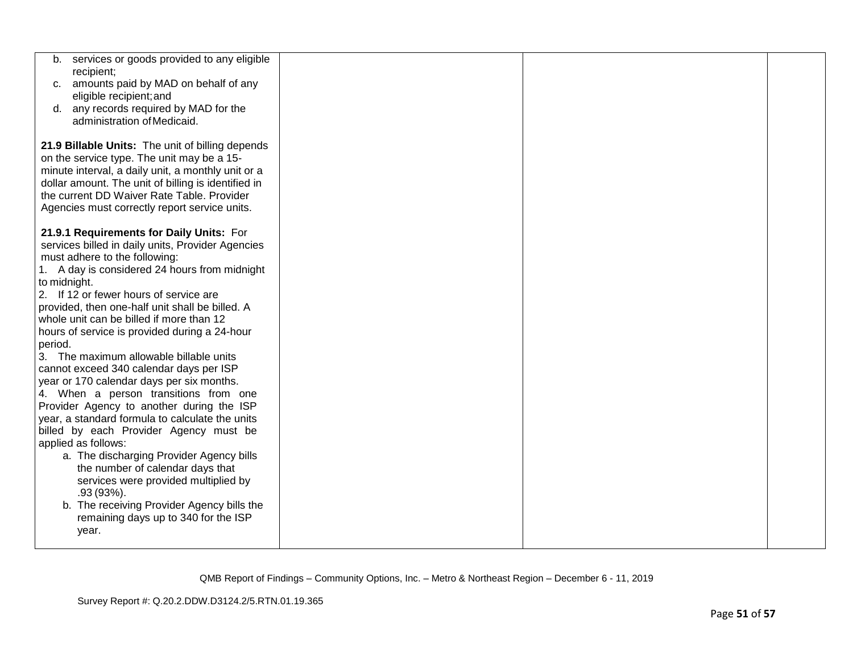| services or goods provided to any eligible<br>b.<br>recipient;                            |  |  |
|-------------------------------------------------------------------------------------------|--|--|
| amounts paid by MAD on behalf of any<br>C.                                                |  |  |
| eligible recipient; and                                                                   |  |  |
| d. any records required by MAD for the                                                    |  |  |
| administration of Medicaid.                                                               |  |  |
| 21.9 Billable Units: The unit of billing depends                                          |  |  |
| on the service type. The unit may be a 15-                                                |  |  |
| minute interval, a daily unit, a monthly unit or a                                        |  |  |
| dollar amount. The unit of billing is identified in                                       |  |  |
| the current DD Waiver Rate Table. Provider                                                |  |  |
| Agencies must correctly report service units.                                             |  |  |
| 21.9.1 Requirements for Daily Units: For                                                  |  |  |
| services billed in daily units, Provider Agencies                                         |  |  |
| must adhere to the following:                                                             |  |  |
| 1. A day is considered 24 hours from midnight                                             |  |  |
| to midnight.                                                                              |  |  |
| 2. If 12 or fewer hours of service are                                                    |  |  |
| provided, then one-half unit shall be billed. A                                           |  |  |
| whole unit can be billed if more than 12<br>hours of service is provided during a 24-hour |  |  |
| period.                                                                                   |  |  |
| 3. The maximum allowable billable units                                                   |  |  |
| cannot exceed 340 calendar days per ISP                                                   |  |  |
| year or 170 calendar days per six months.                                                 |  |  |
| 4. When a person transitions from one                                                     |  |  |
| Provider Agency to another during the ISP                                                 |  |  |
| year, a standard formula to calculate the units                                           |  |  |
| billed by each Provider Agency must be                                                    |  |  |
| applied as follows:                                                                       |  |  |
| a. The discharging Provider Agency bills                                                  |  |  |
| the number of calendar days that<br>services were provided multiplied by                  |  |  |
| $.93(93\%).$                                                                              |  |  |
| b. The receiving Provider Agency bills the                                                |  |  |
| remaining days up to 340 for the ISP                                                      |  |  |
| year.                                                                                     |  |  |
|                                                                                           |  |  |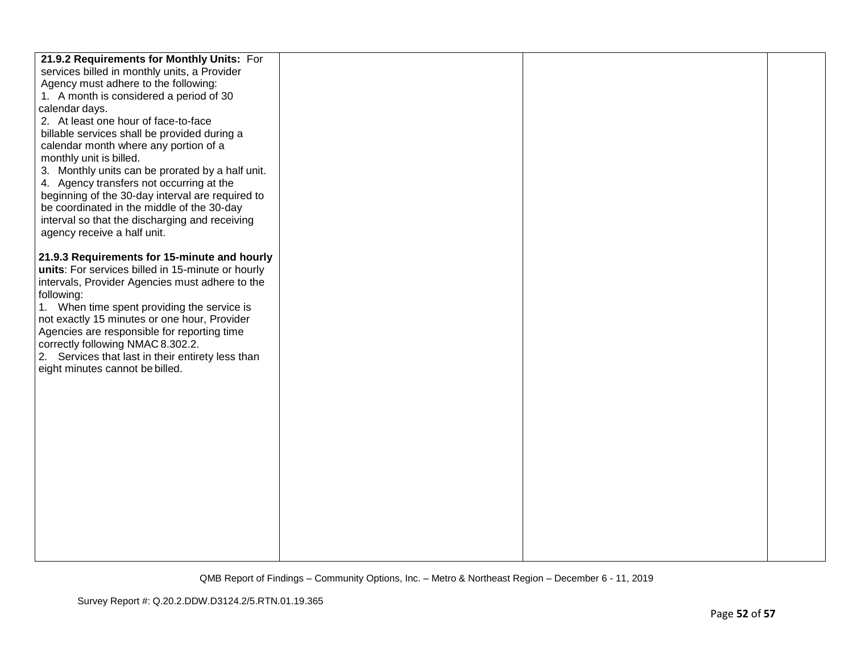| 21.9.2 Requirements for Monthly Units: For        |  |  |
|---------------------------------------------------|--|--|
| services billed in monthly units, a Provider      |  |  |
| Agency must adhere to the following:              |  |  |
| 1. A month is considered a period of 30           |  |  |
| calendar days.                                    |  |  |
| 2. At least one hour of face-to-face              |  |  |
| billable services shall be provided during a      |  |  |
| calendar month where any portion of a             |  |  |
| monthly unit is billed.                           |  |  |
| 3. Monthly units can be prorated by a half unit.  |  |  |
| 4. Agency transfers not occurring at the          |  |  |
| beginning of the 30-day interval are required to  |  |  |
| be coordinated in the middle of the 30-day        |  |  |
| interval so that the discharging and receiving    |  |  |
| agency receive a half unit.                       |  |  |
|                                                   |  |  |
| 21.9.3 Requirements for 15-minute and hourly      |  |  |
| units: For services billed in 15-minute or hourly |  |  |
| intervals, Provider Agencies must adhere to the   |  |  |
| following:                                        |  |  |
| 1. When time spent providing the service is       |  |  |
| not exactly 15 minutes or one hour, Provider      |  |  |
| Agencies are responsible for reporting time       |  |  |
| correctly following NMAC 8.302.2.                 |  |  |
| 2. Services that last in their entirety less than |  |  |
| eight minutes cannot be billed.                   |  |  |
|                                                   |  |  |
|                                                   |  |  |
|                                                   |  |  |
|                                                   |  |  |
|                                                   |  |  |
|                                                   |  |  |
|                                                   |  |  |
|                                                   |  |  |
|                                                   |  |  |
|                                                   |  |  |
|                                                   |  |  |
|                                                   |  |  |
|                                                   |  |  |
|                                                   |  |  |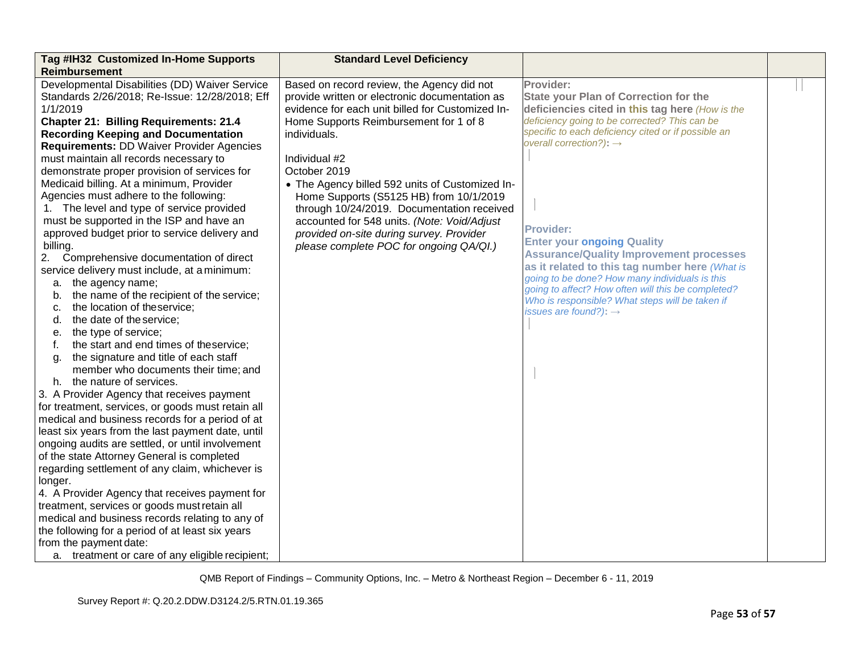| Reimbursement<br>Developmental Disabilities (DD) Waiver Service<br>Provider:<br>Based on record review, the Agency did not<br>Standards 2/26/2018; Re-Issue: 12/28/2018; Eff<br>provide written or electronic documentation as<br>evidence for each unit billed for Customized In-<br>1/1/2019<br>Home Supports Reimbursement for 1 of 8<br><b>Chapter 21: Billing Requirements: 21.4</b><br><b>Recording Keeping and Documentation</b><br>individuals.<br><b>Requirements: DD Waiver Provider Agencies</b><br>must maintain all records necessary to<br>Individual #2<br>October 2019<br>demonstrate proper provision of services for<br>Medicaid billing. At a minimum, Provider<br>• The Agency billed 592 units of Customized In-<br>Agencies must adhere to the following:<br>Home Supports (S5125 HB) from 10/1/2019<br>1. The level and type of service provided<br>through 10/24/2019. Documentation received<br>must be supported in the ISP and have an<br>accounted for 548 units. (Note: Void/Adjust<br><b>Provider:</b><br>approved budget prior to service delivery and<br>provided on-site during survey. Provider<br>billing.<br>please complete POC for ongoing QA/QI.)<br>Comprehensive documentation of direct<br>2.<br>service delivery must include, at a minimum:<br>the agency name;<br>а.<br>the name of the recipient of the service;<br>b.<br>the location of theservice;<br>C.<br>the date of the service;<br>d.<br>the type of service;<br>е.<br>the start and end times of theservice;<br>f.<br>the signature and title of each staff<br>g.<br>member who documents their time; and<br>h. the nature of services.<br>3. A Provider Agency that receives payment<br>for treatment, services, or goods must retain all<br>medical and business records for a period of at<br>least six years from the last payment date, until<br>ongoing audits are settled, or until involvement<br>of the state Attorney General is completed<br>regarding settlement of any claim, whichever is<br>longer.<br>4. A Provider Agency that receives payment for<br>treatment, services or goods must retain all<br>medical and business records relating to any of<br>the following for a period of at least six years<br>from the payment date:<br>a. treatment or care of any eligible recipient; | <b>State your Plan of Correction for the</b><br>deficiencies cited in this tag here (How is the<br>deficiency going to be corrected? This can be<br>specific to each deficiency cited or if possible an<br>overall correction?): $\rightarrow$<br><b>Enter your ongoing Quality</b><br><b>Assurance/Quality Improvement processes</b><br>as it related to this tag number here (What is<br>going to be done? How many individuals is this<br>going to affect? How often will this be completed?<br>Who is responsible? What steps will be taken if<br>issues are found?): $\rightarrow$ |
|-----------------------------------------------------------------------------------------------------------------------------------------------------------------------------------------------------------------------------------------------------------------------------------------------------------------------------------------------------------------------------------------------------------------------------------------------------------------------------------------------------------------------------------------------------------------------------------------------------------------------------------------------------------------------------------------------------------------------------------------------------------------------------------------------------------------------------------------------------------------------------------------------------------------------------------------------------------------------------------------------------------------------------------------------------------------------------------------------------------------------------------------------------------------------------------------------------------------------------------------------------------------------------------------------------------------------------------------------------------------------------------------------------------------------------------------------------------------------------------------------------------------------------------------------------------------------------------------------------------------------------------------------------------------------------------------------------------------------------------------------------------------------------------------------------------------------------------------------------------------------------------------------------------------------------------------------------------------------------------------------------------------------------------------------------------------------------------------------------------------------------------------------------------------------------------------------------------------------------------------------------------------------------------------------------------------|-----------------------------------------------------------------------------------------------------------------------------------------------------------------------------------------------------------------------------------------------------------------------------------------------------------------------------------------------------------------------------------------------------------------------------------------------------------------------------------------------------------------------------------------------------------------------------------------|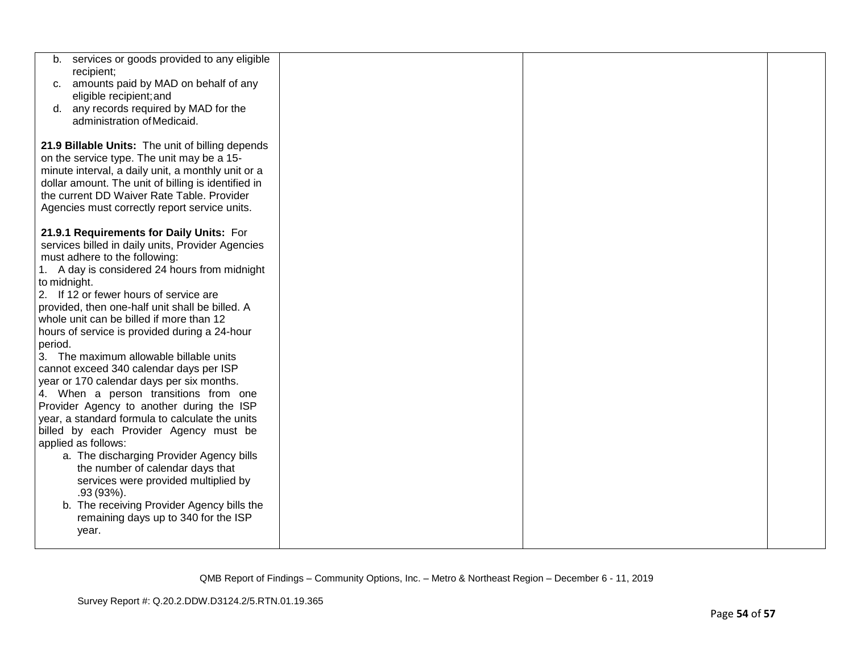| services or goods provided to any eligible<br>b.<br>recipient; |  |  |
|----------------------------------------------------------------|--|--|
| amounts paid by MAD on behalf of any<br>C.                     |  |  |
| eligible recipient; and                                        |  |  |
| d. any records required by MAD for the                         |  |  |
| administration of Medicaid.                                    |  |  |
| 21.9 Billable Units: The unit of billing depends               |  |  |
| on the service type. The unit may be a 15-                     |  |  |
| minute interval, a daily unit, a monthly unit or a             |  |  |
| dollar amount. The unit of billing is identified in            |  |  |
| the current DD Waiver Rate Table. Provider                     |  |  |
| Agencies must correctly report service units.                  |  |  |
| 21.9.1 Requirements for Daily Units: For                       |  |  |
| services billed in daily units, Provider Agencies              |  |  |
| must adhere to the following:                                  |  |  |
| 1. A day is considered 24 hours from midnight                  |  |  |
| to midnight.                                                   |  |  |
| 2. If 12 or fewer hours of service are                         |  |  |
| provided, then one-half unit shall be billed. A                |  |  |
| whole unit can be billed if more than 12                       |  |  |
| hours of service is provided during a 24-hour<br>period.       |  |  |
| 3. The maximum allowable billable units                        |  |  |
| cannot exceed 340 calendar days per ISP                        |  |  |
| year or 170 calendar days per six months.                      |  |  |
| 4. When a person transitions from one                          |  |  |
| Provider Agency to another during the ISP                      |  |  |
| year, a standard formula to calculate the units                |  |  |
| billed by each Provider Agency must be                         |  |  |
| applied as follows:                                            |  |  |
| a. The discharging Provider Agency bills                       |  |  |
| the number of calendar days that                               |  |  |
| services were provided multiplied by<br>$.93(93\%).$           |  |  |
| b. The receiving Provider Agency bills the                     |  |  |
| remaining days up to 340 for the ISP                           |  |  |
| year.                                                          |  |  |
|                                                                |  |  |
|                                                                |  |  |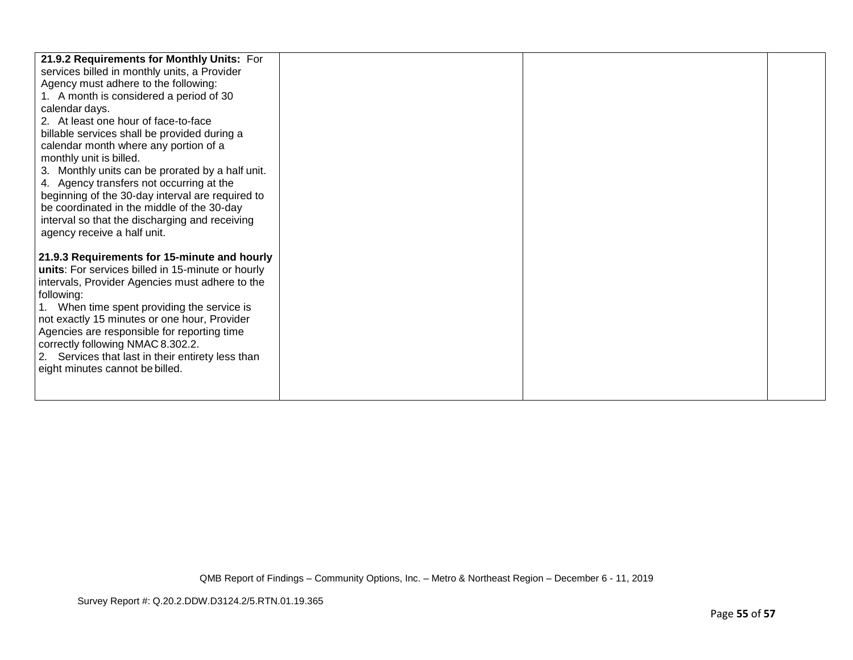| 21.9.2 Requirements for Monthly Units: For        |  |  |
|---------------------------------------------------|--|--|
| services billed in monthly units, a Provider      |  |  |
| Agency must adhere to the following:              |  |  |
| 1. A month is considered a period of 30           |  |  |
| calendar days.                                    |  |  |
| 2. At least one hour of face-to-face              |  |  |
| billable services shall be provided during a      |  |  |
| calendar month where any portion of a             |  |  |
| monthly unit is billed.                           |  |  |
| 3. Monthly units can be prorated by a half unit.  |  |  |
| 4. Agency transfers not occurring at the          |  |  |
| beginning of the 30-day interval are required to  |  |  |
| be coordinated in the middle of the 30-day        |  |  |
| interval so that the discharging and receiving    |  |  |
| agency receive a half unit.                       |  |  |
|                                                   |  |  |
| 21.9.3 Requirements for 15-minute and hourly      |  |  |
| units: For services billed in 15-minute or hourly |  |  |
| intervals, Provider Agencies must adhere to the   |  |  |
| following:                                        |  |  |
| 1. When time spent providing the service is       |  |  |
| not exactly 15 minutes or one hour, Provider      |  |  |
| Agencies are responsible for reporting time       |  |  |
| correctly following NMAC 8.302.2.                 |  |  |
| 2. Services that last in their entirety less than |  |  |
| eight minutes cannot be billed.                   |  |  |
|                                                   |  |  |
|                                                   |  |  |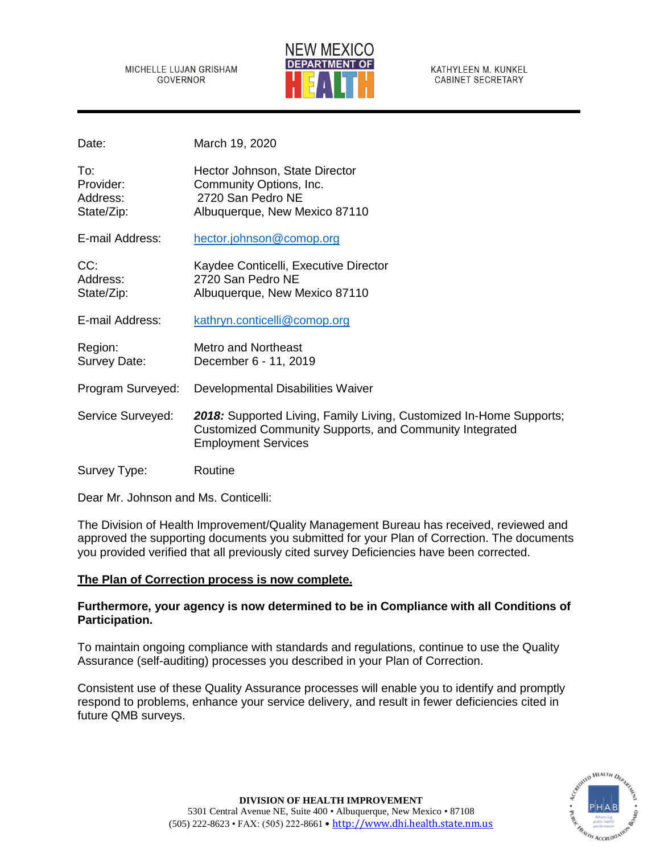#### MICHELLE LUJAN GRISHAM **GOVERNOR**



KATHYLEEN M. KUNKEL **CABINET SECRETARY** 

| Date:                                      | March 19, 2020                                                                                                                                               |
|--------------------------------------------|--------------------------------------------------------------------------------------------------------------------------------------------------------------|
| To:<br>Provider:<br>Address:<br>State/Zip: | Hector Johnson, State Director<br>Community Options, Inc.<br>2720 San Pedro NE<br>Albuquerque, New Mexico 87110                                              |
| E-mail Address:                            | hector.johnson@comop.org                                                                                                                                     |
| CC:<br>Address:<br>State/Zip:              | Kaydee Conticelli, Executive Director<br>2720 San Pedro NE<br>Albuquerque, New Mexico 87110                                                                  |
| E-mail Address:                            | kathryn.conticelli@comop.org                                                                                                                                 |
| Region:<br>Survey Date:                    | <b>Metro and Northeast</b><br>December 6 - 11, 2019                                                                                                          |
| Program Surveyed:                          | Developmental Disabilities Waiver                                                                                                                            |
| Service Surveyed:                          | 2018: Supported Living, Family Living, Customized In-Home Supports;<br>Customized Community Supports, and Community Integrated<br><b>Employment Services</b> |
| Survey Type:                               | Routine                                                                                                                                                      |

Dear Mr. Johnson and Ms. Conticelli:

The Division of Health Improvement/Quality Management Bureau has received, reviewed and approved the supporting documents you submitted for your Plan of Correction. The documents you provided verified that all previously cited survey Deficiencies have been corrected.

# **The Plan of Correction process is now complete.**

# **Furthermore, your agency is now determined to be in Compliance with all Conditions of Participation.**

To maintain ongoing compliance with standards and regulations, continue to use the Quality Assurance (self-auditing) processes you described in your Plan of Correction.

Consistent use of these Quality Assurance processes will enable you to identify and promptly respond to problems, enhance your service delivery, and result in fewer deficiencies cited in future QMB surveys.